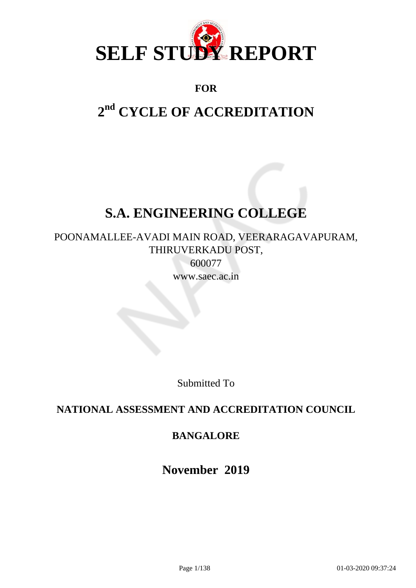

## **FOR**

# **2 nd CYCLE OF ACCREDITATION**

# **S.A. ENGINEERING COLLEGE**

POONAMALLEE-AVADI MAIN ROAD, VEERARAGAVAPURAM, THIRUVERKADU POST,

> 600077 www.saec.ac.in

Submitted To

## **NATIONAL ASSESSMENT AND ACCREDITATION COUNCIL**

### **BANGALORE**

**November 2019**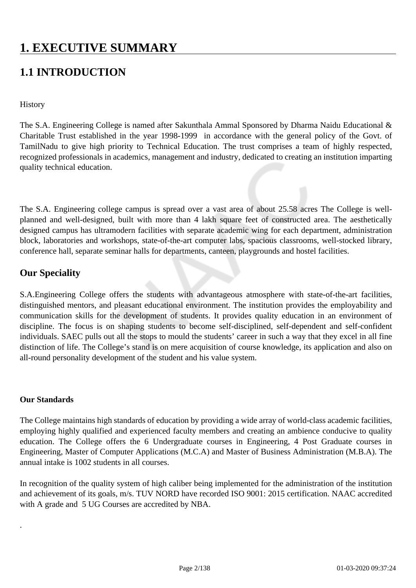## **1.1 INTRODUCTION**

**History** 

The S.A. Engineering College is named after Sakunthala Ammal Sponsored by Dharma Naidu Educational & Charitable Trust established in the year 1998-1999 in accordance with the general policy of the Govt. of TamilNadu to give high priority to Technical Education. The trust comprises a team of highly respected, recognized professionals in academics, management and industry, dedicated to creating an institution imparting quality technical education.

The S.A. Engineering college campus is spread over a vast area of about 25.58 acres The College is wellplanned and well-designed, built with more than 4 lakh square feet of constructed area. The aesthetically designed campus has ultramodern facilities with separate academic wing for each department, administration block, laboratories and workshops, state-of-the-art computer labs, spacious classrooms, well-stocked library, conference hall, separate seminar halls for departments, canteen, playgrounds and hostel facilities.

#### **Our Speciality**

S.A.Engineering College offers the students with advantageous atmosphere with state-of-the-art facilities, distinguished mentors, and pleasant educational environment. The institution provides the employability and communication skills for the development of students. It provides quality education in an environment of discipline. The focus is on shaping students to become self-disciplined, self-dependent and self-confident individuals. SAEC pulls out all the stops to mould the students' career in such a way that they excel in all fine distinction of life. The College's stand is on mere acquisition of course knowledge, its application and also on all-round personality development of the student and his value system.

#### **Our Standards**

.

The College maintains high standards of education by providing a wide array of world-class academic facilities, employing highly qualified and experienced faculty members and creating an ambience conducive to quality education. The College offers the 6 Undergraduate courses in Engineering, 4 Post Graduate courses in Engineering, Master of Computer Applications (M.C.A) and Master of Business Administration (M.B.A). The annual intake is 1002 students in all courses.

In recognition of the quality system of high caliber being implemented for the administration of the institution and achievement of its goals, m/s. TUV NORD have recorded ISO 9001: 2015 certification. NAAC accredited with A grade and 5 UG Courses are accredited by NBA.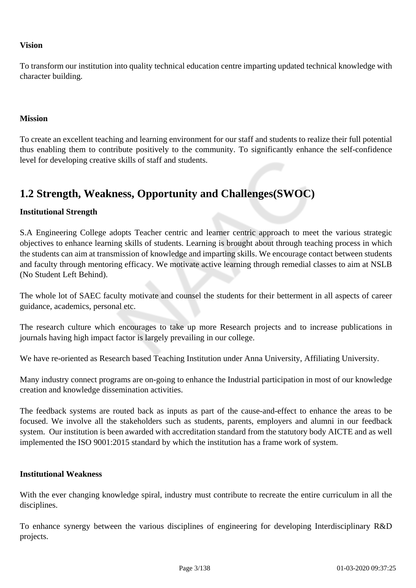#### **Vision**

To transform our institution into quality technical education centre imparting updated technical knowledge with character building.

#### **Mission**

To create an excellent teaching and learning environment for our staff and students to realize their full potential thus enabling them to contribute positively to the community. To significantly enhance the self-confidence level for developing creative skills of staff and students.

## **1.2 Strength, Weakness, Opportunity and Challenges(SWOC)**

#### **Institutional Strength**

S.A Engineering College adopts Teacher centric and learner centric approach to meet the various strategic objectives to enhance learning skills of students. Learning is brought about through teaching process in which the students can aim at transmission of knowledge and imparting skills. We encourage contact between students and faculty through mentoring efficacy. We motivate active learning through remedial classes to aim at NSLB (No Student Left Behind).

The whole lot of SAEC faculty motivate and counsel the students for their betterment in all aspects of career guidance, academics, personal etc.

The research culture which encourages to take up more Research projects and to increase publications in journals having high impact factor is largely prevailing in our college.

We have re-oriented as Research based Teaching Institution under Anna University, Affiliating University.

Many industry connect programs are on-going to enhance the Industrial participation in most of our knowledge creation and knowledge dissemination activities.

The feedback systems are routed back as inputs as part of the cause-and-effect to enhance the areas to be focused. We involve all the stakeholders such as students, parents, employers and alumni in our feedback system. Our institution is been awarded with accreditation standard from the statutory body AICTE and as well implemented the ISO 9001:2015 standard by which the institution has a frame work of system.

#### **Institutional Weakness**

With the ever changing knowledge spiral, industry must contribute to recreate the entire curriculum in all the disciplines.

To enhance synergy between the various disciplines of engineering for developing Interdisciplinary R&D projects.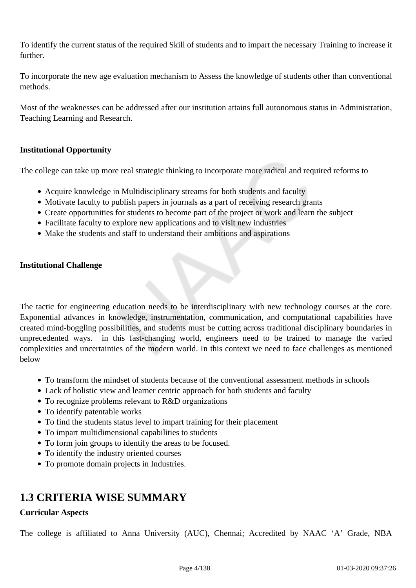To identify the current status of the required Skill of students and to impart the necessary Training to increase it further.

To incorporate the new age evaluation mechanism to Assess the knowledge of students other than conventional methods.

Most of the weaknesses can be addressed after our institution attains full autonomous status in Administration, Teaching Learning and Research.

#### **Institutional Opportunity**

The college can take up more real strategic thinking to incorporate more radical and required reforms to

- Acquire knowledge in Multidisciplinary streams for both students and faculty
- Motivate faculty to publish papers in journals as a part of receiving research grants
- Create opportunities for students to become part of the project or work and learn the subject
- Facilitate faculty to explore new applications and to visit new industries
- Make the students and staff to understand their ambitions and aspirations

#### **Institutional Challenge**

The tactic for engineering education needs to be interdisciplinary with new technology courses at the core. Exponential advances in knowledge, instrumentation, communication, and computational capabilities have created mind-boggling possibilities, and students must be cutting across traditional disciplinary boundaries in unprecedented ways. in this fast-changing world, engineers need to be trained to manage the varied complexities and uncertainties of the modern world. In this context we need to face challenges as mentioned below

- To transform the mindset of students because of the conventional assessment methods in schools
- Lack of holistic view and learner centric approach for both students and faculty
- To recognize problems relevant to R&D organizations
- To identify patentable works
- To find the students status level to impart training for their placement
- To impart multidimensional capabilities to students
- To form join groups to identify the areas to be focused.
- To identify the industry oriented courses
- To promote domain projects in Industries.

## **1.3 CRITERIA WISE SUMMARY**

#### **Curricular Aspects**

The college is affiliated to Anna University (AUC), Chennai; Accredited by NAAC 'A' Grade, NBA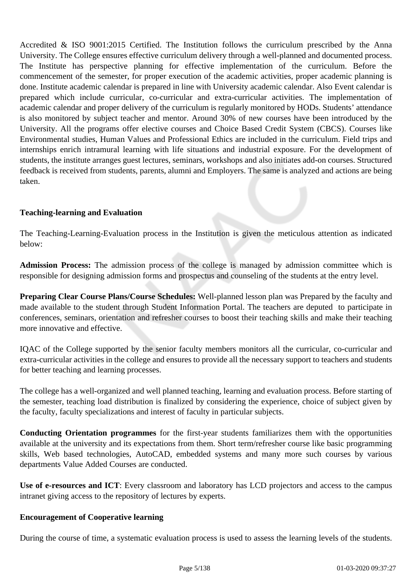Accredited & ISO 9001:2015 Certified. The Institution follows the curriculum prescribed by the Anna University. The College ensures effective curriculum delivery through a well-planned and documented process. The Institute has perspective planning for effective implementation of the curriculum. Before the commencement of the semester, for proper execution of the academic activities, proper academic planning is done. Institute academic calendar is prepared in line with University academic calendar. Also Event calendar is prepared which include curricular, co-curricular and extra-curricular activities. The implementation of academic calendar and proper delivery of the curriculum is regularly monitored by HODs. Students' attendance is also monitored by subject teacher and mentor. Around 30% of new courses have been introduced by the University. All the programs offer elective courses and Choice Based Credit System (CBCS). Courses like Environmental studies, Human Values and Professional Ethics are included in the curriculum. Field trips and internships enrich intramural learning with life situations and industrial exposure. For the development of students, the institute arranges guest lectures, seminars, workshops and also initiates add-on courses. Structured feedback is received from students, parents, alumni and Employers. The same is analyzed and actions are being taken.

#### **Teaching-learning and Evaluation**

The Teaching-Learning-Evaluation process in the Institution is given the meticulous attention as indicated below:

**Admission Process:** The admission process of the college is managed by admission committee which is responsible for designing admission forms and prospectus and counseling of the students at the entry level.

**Preparing Clear Course Plans/Course Schedules:** Well-planned lesson plan was Prepared by the faculty and made available to the student through Student Information Portal. The teachers are deputed to participate in conferences, seminars, orientation and refresher courses to boost their teaching skills and make their teaching more innovative and effective.

IQAC of the College supported by the senior faculty members monitors all the curricular, co-curricular and extra-curricular activities in the college and ensures to provide all the necessary support to teachers and students for better teaching and learning processes.

The college has a well-organized and well planned teaching, learning and evaluation process. Before starting of the semester, teaching load distribution is finalized by considering the experience, choice of subject given by the faculty, faculty specializations and interest of faculty in particular subjects.

**Conducting Orientation programmes** for the first-year students familiarizes them with the opportunities available at the university and its expectations from them. Short term/refresher course like basic programming skills, Web based technologies, AutoCAD, embedded systems and many more such courses by various departments Value Added Courses are conducted.

**Use of e-resources and ICT**: Every classroom and laboratory has LCD projectors and access to the campus intranet giving access to the repository of lectures by experts.

#### **Encouragement of Cooperative learning**

During the course of time, a systematic evaluation process is used to assess the learning levels of the students.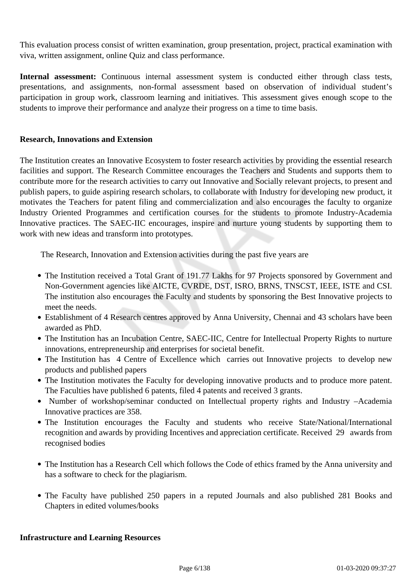This evaluation process consist of written examination, group presentation, project, practical examination with viva, written assignment, online Quiz and class performance.

Internal assessment: Continuous internal assessment system is conducted either through class tests, presentations, and assignments, non-formal assessment based on observation of individual student's participation in group work, classroom learning and initiatives. This assessment gives enough scope to the students to improve their performance and analyze their progress on a time to time basis.

#### **Research, Innovations and Extension**

The Institution creates an Innovative Ecosystem to foster research activities by providing the essential research facilities and support. The Research Committee encourages the Teachers and Students and supports them to contribute more for the research activities to carry out Innovative and Socially relevant projects, to present and publish papers, to guide aspiring research scholars, to collaborate with Industry for developing new product, it motivates the Teachers for patent filing and commercialization and also encourages the faculty to organize Industry Oriented Programmes and certification courses for the students to promote Industry-Academia Innovative practices. The SAEC-IIC encourages, inspire and nurture young students by supporting them to work with new ideas and transform into prototypes.

The Research, Innovation and Extension activities during the past five years are

- The Institution received a Total Grant of 191.77 Lakhs for 97 Projects sponsored by Government and Non-Government agencies like AICTE, CVRDE, DST, ISRO, BRNS, TNSCST, IEEE, ISTE and CSI. The institution also encourages the Faculty and students by sponsoring the Best Innovative projects to meet the needs.
- Establishment of 4 Research centres approved by Anna University, Chennai and 43 scholars have been awarded as PhD.
- The Institution has an Incubation Centre, SAEC-IIC, Centre for Intellectual Property Rights to nurture innovations, entrepreneurship and enterprises for societal benefit.
- The Institution has 4 Centre of Excellence which carries out Innovative projects to develop new products and published papers
- The Institution motivates the Faculty for developing innovative products and to produce more patent. The Faculties have published 6 patents, filed 4 patents and received 3 grants.
- Number of workshop/seminar conducted on Intellectual property rights and Industry –Academia Innovative practices are 358.
- The Institution encourages the Faculty and students who receive State/National/International recognition and awards by providing Incentives and appreciation certificate. Received 29 awards from recognised bodies
- The Institution has a Research Cell which follows the Code of ethics framed by the Anna university and has a software to check for the plagiarism.
- The Faculty have published 250 papers in a reputed Journals and also published 281 Books and Chapters in edited volumes/books

#### **Infrastructure and Learning Resources**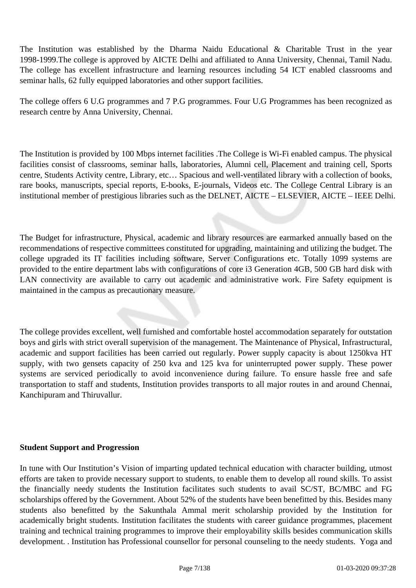The Institution was established by the Dharma Naidu Educational & Charitable Trust in the year 1998-1999.The college is approved by AICTE Delhi and affiliated to Anna University, Chennai, Tamil Nadu. The college has excellent infrastructure and learning resources including 54 ICT enabled classrooms and seminar halls, 62 fully equipped laboratories and other support facilities.

The college offers 6 U.G programmes and 7 P.G programmes. Four U.G Programmes has been recognized as research centre by Anna University, Chennai.

The Institution is provided by 100 Mbps internet facilities .The College is Wi-Fi enabled campus. The physical facilities consist of classrooms, seminar halls, laboratories, Alumni cell, Placement and training cell, Sports centre, Students Activity centre, Library, etc… Spacious and well-ventilated library with a collection of books, rare books, manuscripts, special reports, E-books, E-journals, Videos etc. The College Central Library is an institutional member of prestigious libraries such as the DELNET, AICTE – ELSEVIER, AICTE – IEEE Delhi.

The Budget for infrastructure, Physical, academic and library resources are earmarked annually based on the recommendations of respective committees constituted for upgrading, maintaining and utilizing the budget. The college upgraded its IT facilities including software, Server Configurations etc. Totally 1099 systems are provided to the entire department labs with configurations of core i3 Generation 4GB, 500 GB hard disk with LAN connectivity are available to carry out academic and administrative work. Fire Safety equipment is maintained in the campus as precautionary measure.

The college provides excellent, well furnished and comfortable hostel accommodation separately for outstation boys and girls with strict overall supervision of the management. The Maintenance of Physical, Infrastructural, academic and support facilities has been carried out regularly. Power supply capacity is about 1250kva HT supply, with two gensets capacity of 250 kva and 125 kva for uninterrupted power supply. These power systems are serviced periodically to avoid inconvenience during failure. To ensure hassle free and safe transportation to staff and students, Institution provides transports to all major routes in and around Chennai, Kanchipuram and Thiruvallur.

#### **Student Support and Progression**

In tune with Our Institution's Vision of imparting updated technical education with character building, utmost efforts are taken to provide necessary support to students, to enable them to develop all round skills. To assist the financially needy students the Institution facilitates such students to avail SC/ST, BC/MBC and FG scholarships offered by the Government. About 52% of the students have been benefitted by this. Besides many students also benefitted by the Sakunthala Ammal merit scholarship provided by the Institution for academically bright students. Institution facilitates the students with career guidance programmes, placement training and technical training programmes to improve their employability skills besides communication skills development. . Institution has Professional counsellor for personal counseling to the needy students. Yoga and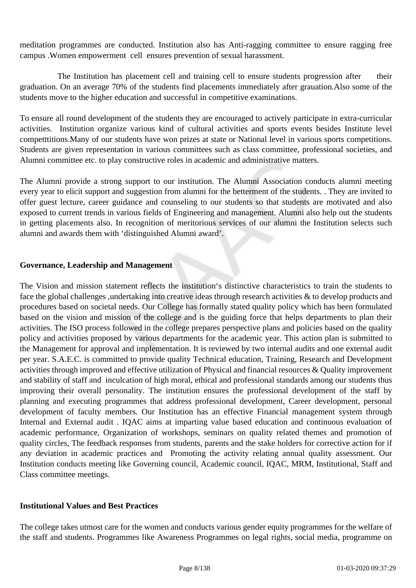meditation programmes are conducted. Institution also has Anti-ragging committee to ensure ragging free campus .Women empowerment cell ensures prevention of sexual harassment.

 The Institution has placement cell and training cell to ensure students progression after their graduation. On an average 70% of the students find placements immediately after grauation.Also some of the students move to the higher education and successful in competitive examinations.

To ensure all round development of the students they are encouraged to actively participate in extra-curricular activities. Institution organize various kind of cultural activities and sports events besides Institute level competttitions.Many of our students have won prizes at state or National level in various sports competitions. Students are given representation in various committees such as class committee, professional societies, and Alumni committee etc. to play constructive roles in academic and administrative matters.

The Alumni provide a strong support to our institution. The Alumni Association conducts alumni meeting every year to elicit support and suggestion from alumni for the betterment of the students. . They are invited to offer guest lecture, career guidance and counseling to our students so that students are motivated and also exposed to current trends in various fields of Engineering and management. Alumni also help out the students in getting placements also. In recognition of meritorious services of our alumni the Institution selects such alumni and awards them with 'distinguished Alumni award'.

#### **Governance, Leadership and Management**

The Vision and mission statement reflects the institution's distinctive characteristics to train the students to face the global challenges ,undertaking into creative ideas through research activities & to develop products and procedures based on societal needs. Our College has formally stated quality policy which has been formulated based on the vision and mission of the college and is the guiding force that helps departments to plan their activities. The ISO process followed in the college prepares perspective plans and policies based on the quality policy and activities proposed by various departments for the academic year. This action plan is submitted to the Management for approval and implementation. It is reviewed by two internal audits and one external audit per year. S.A.E.C. is committed to provide quality Technical education, Training, Research and Development activities through improved and effective utilization of Physical and financial resources & Quality improvement and stability of staff and inculcation of high moral, ethical and professional standards among our students thus improving their overall personality. The institution ensures the professional development of the staff by planning and executing programmes that address professional development, Career development, personal development of faculty members. Our Institution has an effective Financial management system through Internal and External audit . IQAC aims at imparting value based education and continuous evaluation of academic performance, Organization of workshops, seminars on quality related themes and promotion of quality circles, The feedback responses from students, parents and the stake holders for corrective action for if any deviation in academic practices and Promoting the activity relating annual quality assessment. Our Institution conducts meeting like Governing council, Academic council, IQAC, MRM, Institutional, Staff and Class committee meetings.

#### **Institutional Values and Best Practices**

The college takes utmost care for the women and conducts various gender equity programmes for the welfare of the staff and students. Programmes like Awareness Programmes on legal rights, social media, programme on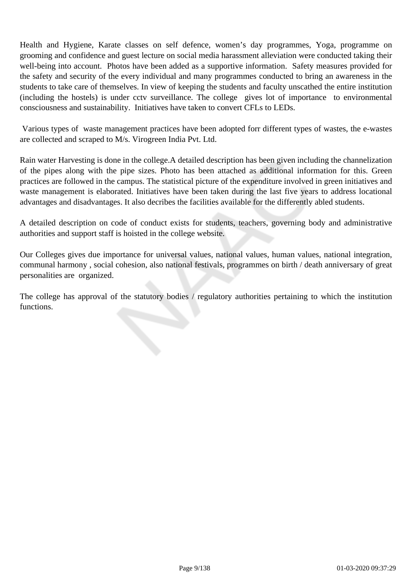Health and Hygiene, Karate classes on self defence, women's day programmes, Yoga, programme on grooming and confidence and guest lecture on social media harassment alleviation were conducted taking their well-being into account. Photos have been added as a supportive information. Safety measures provided for the safety and security of the every individual and many programmes conducted to bring an awareness in the students to take care of themselves. In view of keeping the students and faculty unscathed the entire institution (including the hostels) is under cctv surveillance. The college gives lot of importance to environmental consciousness and sustainability. Initiatives have taken to convert CFLs to LEDs.

 Various types of waste management practices have been adopted forr different types of wastes, the e-wastes are collected and scraped to M/s. Virogreen India Pvt. Ltd.

Rain water Harvesting is done in the college.A detailed description has been given including the channelization of the pipes along with the pipe sizes. Photo has been attached as additional information for this. Green practices are followed in the campus. The statistical picture of the expenditure involved in green initiatives and waste management is elaborated. Initiatives have been taken during the last five years to address locational advantages and disadvantages. It also decribes the facilities available for the differently abled students.

A detailed description on code of conduct exists for students, teachers, governing body and administrative authorities and support staff is hoisted in the college website.

Our Colleges gives due importance for universal values, national values, human values, national integration, communal harmony , social cohesion, also national festivals, programmes on birth / death anniversary of great personalities are organized.

The college has approval of the statutory bodies / regulatory authorities pertaining to which the institution functions.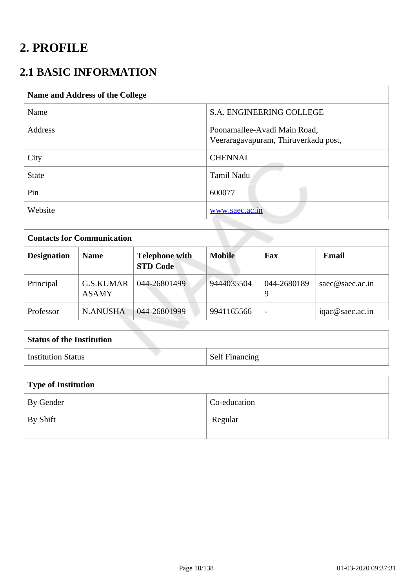# **2. PROFILE**

## **2.1 BASIC INFORMATION**

| Name and Address of the College |                                                                      |  |
|---------------------------------|----------------------------------------------------------------------|--|
| Name                            | S.A. ENGINEERING COLLEGE                                             |  |
| Address                         | Poonamallee-Avadi Main Road,<br>Veeraragavapuram, Thiruverkadu post, |  |
| City                            | <b>CHENNAI</b>                                                       |  |
| <b>State</b>                    | Tamil Nadu                                                           |  |
| Pin                             | 600077                                                               |  |
| Website                         | www.saec.ac.in                                                       |  |

| <b>Contacts for Communication</b> |                                  |                                          |               |                          |                 |
|-----------------------------------|----------------------------------|------------------------------------------|---------------|--------------------------|-----------------|
| <b>Designation</b>                | <b>Name</b>                      | <b>Telephone with</b><br><b>STD Code</b> | <b>Mobile</b> | Fax                      | Email           |
| Principal                         | <b>G.S.KUMAR</b><br><b>ASAMY</b> | 044-26801499                             | 9444035504    | 044-2680189<br>9         | saec@saec.ac.in |
| Professor                         | <b>N.ANUSHA</b>                  | 044-26801999                             | 9941165566    | $\overline{\phantom{a}}$ | iqac@saec.ac.in |

| <b>Status of the Institution</b> |                       |
|----------------------------------|-----------------------|
| Institution Status               | <b>Self Financing</b> |

| Type of Institution |              |  |
|---------------------|--------------|--|
| By Gender           | Co-education |  |
| By Shift            | Regular      |  |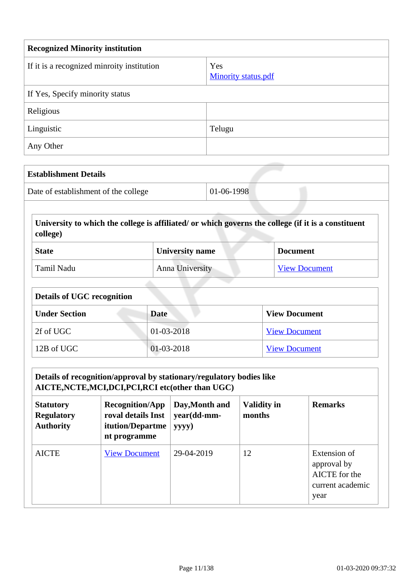| <b>Recognized Minority institution</b>     |                                   |  |
|--------------------------------------------|-----------------------------------|--|
| If it is a recognized minroity institution | Yes<br><b>Minority status.pdf</b> |  |
| If Yes, Specify minority status            |                                   |  |
| Religious                                  |                                   |  |
| Linguistic                                 | Telugu                            |  |
| Any Other                                  |                                   |  |

| <b>Establishment Details</b>         |              |  |
|--------------------------------------|--------------|--|
| Date of establishment of the college | $01-06-1998$ |  |

 **University to which the college is affiliated/ or which governs the college (if it is a constituent college)**

| <b>State</b> | <b>University name</b> | <b>Document</b>      |
|--------------|------------------------|----------------------|
| Tamil Nadu   | Anna University        | <b>View Document</b> |

| Details of UGC recognition |                  |                      |  |
|----------------------------|------------------|----------------------|--|
| <b>Under Section</b>       | <b>Date</b>      | <b>View Document</b> |  |
| 2f of UGC                  | $01 - 03 - 2018$ | <b>View Document</b> |  |
| 12B of UGC                 | $01-03-2018$     | <b>View Document</b> |  |

| Details of recognition/approval by stationary/regulatory bodies like<br>AICTE, NCTE, MCI, DCI, PCI, RCI etc(other than UGC) |                                                                                         |                                        |                              |                                                                          |
|-----------------------------------------------------------------------------------------------------------------------------|-----------------------------------------------------------------------------------------|----------------------------------------|------------------------------|--------------------------------------------------------------------------|
| <b>Statutory</b><br><b>Regulatory</b><br><b>Authority</b>                                                                   | <b>Recognition/App</b><br>roval details Inst<br><b>itution/Departme</b><br>nt programme | Day, Month and<br>year(dd-mm-<br>yyyy) | <b>Validity in</b><br>months | <b>Remarks</b>                                                           |
| <b>AICTE</b>                                                                                                                | <b>View Document</b>                                                                    | 29-04-2019                             | 12                           | Extension of<br>approval by<br>AICTE for the<br>current academic<br>year |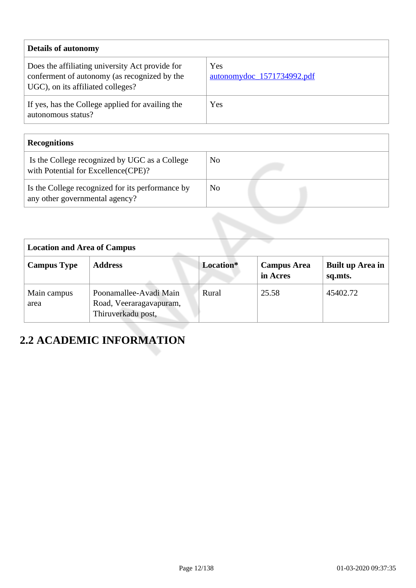| <b>Details of autonomy</b>                                                                                                           |                                   |  |  |
|--------------------------------------------------------------------------------------------------------------------------------------|-----------------------------------|--|--|
| Does the affiliating university Act provide for<br>conferment of autonomy (as recognized by the<br>UGC), on its affiliated colleges? | Yes<br>autonomydoc 1571734992.pdf |  |  |
| If yes, has the College applied for availing the<br>autonomous status?                                                               | Yes                               |  |  |

| <b>Recognitions</b>                                                                  |                |  |
|--------------------------------------------------------------------------------------|----------------|--|
| Is the College recognized by UGC as a College<br>with Potential for Excellence(CPE)? | N <sub>0</sub> |  |
| Is the College recognized for its performance by<br>any other governmental agency?   | N <sub>0</sub> |  |

| <b>Location and Area of Campus</b> |                                                                         |           |                                |                             |
|------------------------------------|-------------------------------------------------------------------------|-----------|--------------------------------|-----------------------------|
| <b>Campus Type</b>                 | <b>Address</b>                                                          | Location* | <b>Campus Area</b><br>in Acres | Built up Area in<br>sq.mts. |
| Main campus<br>area                | Poonamallee-Avadi Main<br>Road, Veeraragavapuram,<br>Thiruverkadu post, | Rural     | 25.58                          | 45402.72                    |

# **2.2 ACADEMIC INFORMATION**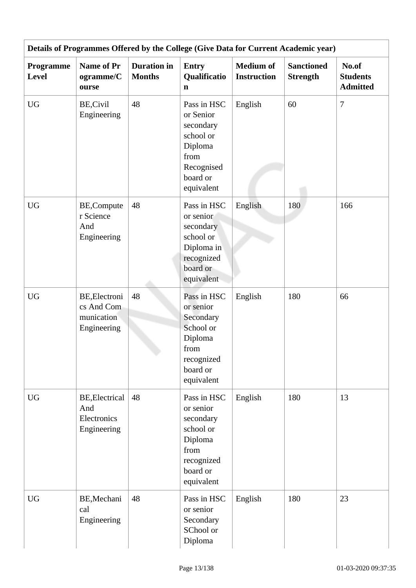|                           | Details of Programmes Offered by the College (Give Data for Current Academic year) |                                     |                                                                                                               |                                        |                                      |                                             |  |  |  |
|---------------------------|------------------------------------------------------------------------------------|-------------------------------------|---------------------------------------------------------------------------------------------------------------|----------------------------------------|--------------------------------------|---------------------------------------------|--|--|--|
| Programme<br><b>Level</b> | <b>Name of Pr</b><br>ogramme/C<br>ourse                                            | <b>Duration</b> in<br><b>Months</b> | <b>Entry</b><br>Qualificatio<br>n                                                                             | <b>Medium of</b><br><b>Instruction</b> | <b>Sanctioned</b><br><b>Strength</b> | No.of<br><b>Students</b><br><b>Admitted</b> |  |  |  |
| <b>UG</b>                 | BE, Civil<br>Engineering                                                           | 48                                  | Pass in HSC<br>or Senior<br>secondary<br>school or<br>Diploma<br>from<br>Recognised<br>board or<br>equivalent | English                                | 60                                   | $\tau$                                      |  |  |  |
| ${\rm U}{\rm G}$          | BE,Compute<br>r Science<br>And<br>Engineering                                      | 48                                  | Pass in HSC<br>or senior<br>secondary<br>school or<br>Diploma in<br>recognized<br>board or<br>equivalent      | English                                | 180                                  | 166                                         |  |  |  |
| <b>UG</b>                 | <b>BE, Electroni</b><br>cs And Com<br>munication<br>Engineering                    | 48                                  | Pass in HSC<br>or senior<br>Secondary<br>School or<br>Diploma<br>from<br>recognized<br>board or<br>equivalent | English                                | 180                                  | 66                                          |  |  |  |
| ${\rm U}{\rm G}$          | <b>BE, Electrical</b><br>And<br>Electronics<br>Engineering                         | 48                                  | Pass in HSC<br>or senior<br>secondary<br>school or<br>Diploma<br>from<br>recognized<br>board or<br>equivalent | English                                | 180                                  | 13                                          |  |  |  |
| <b>UG</b>                 | BE, Mechani<br>cal<br>Engineering                                                  | 48                                  | Pass in HSC<br>or senior<br>Secondary<br>SChool or<br>Diploma                                                 | English                                | 180                                  | 23                                          |  |  |  |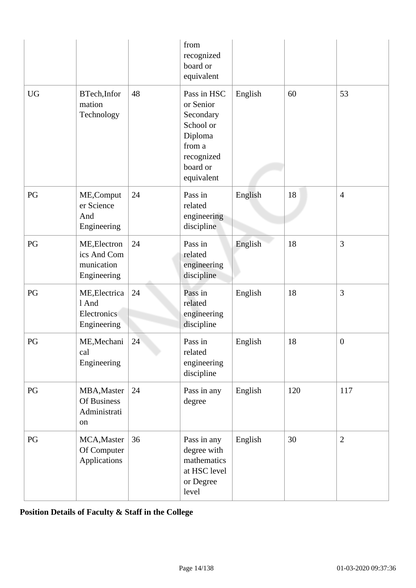|           |                                                          |    | from<br>recognized<br>board or<br>equivalent                                                                    |         |     |                  |
|-----------|----------------------------------------------------------|----|-----------------------------------------------------------------------------------------------------------------|---------|-----|------------------|
| <b>UG</b> | BTech, Infor<br>mation<br>Technology                     | 48 | Pass in HSC<br>or Senior<br>Secondary<br>School or<br>Diploma<br>from a<br>recognized<br>board or<br>equivalent | English | 60  | 53               |
| PG        | ME, Comput<br>er Science<br>And<br>Engineering           | 24 | Pass in<br>related<br>engineering<br>discipline                                                                 | English | 18  | $\overline{4}$   |
| PG        | ME, Electron<br>ics And Com<br>munication<br>Engineering | 24 | Pass in<br>related<br>engineering<br>discipline                                                                 | English | 18  | 3                |
| PG        | ME, Electrica<br>1 And<br>Electronics<br>Engineering     | 24 | Pass in<br>related<br>engineering<br>discipline                                                                 | English | 18  | 3                |
| PG        | ME, Mechani<br>cal<br>Engineering                        | 24 | Pass in<br>related<br>engineering<br>discipline                                                                 | English | 18  | $\boldsymbol{0}$ |
| PG        | MBA, Master<br>Of Business<br>Administrati<br>on         | 24 | Pass in any<br>degree                                                                                           | English | 120 | 117              |
| PG        | MCA, Master<br>Of Computer<br>Applications               | 36 | Pass in any<br>degree with<br>mathematics<br>at HSC level<br>or Degree<br>level                                 | English | 30  | $\overline{2}$   |

**Position Details of Faculty & Staff in the College**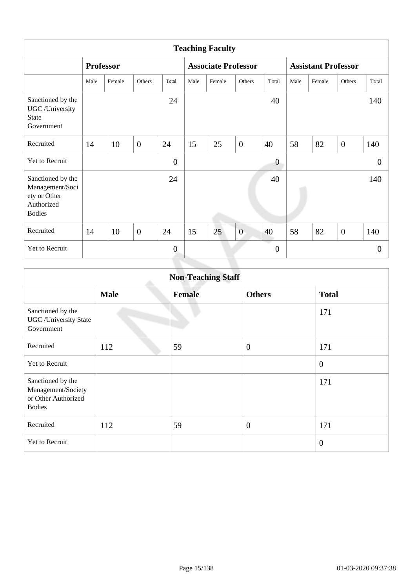|                                                                                     | <b>Teaching Faculty</b> |                  |              |                |      |                            |                  |                |                            |        |                |                |
|-------------------------------------------------------------------------------------|-------------------------|------------------|--------------|----------------|------|----------------------------|------------------|----------------|----------------------------|--------|----------------|----------------|
|                                                                                     |                         | <b>Professor</b> |              |                |      | <b>Associate Professor</b> |                  |                | <b>Assistant Professor</b> |        |                |                |
|                                                                                     | Male                    | Female           | Others       | Total          | Male | Female                     | Others           | Total          | Male                       | Female | Others         | Total          |
| Sanctioned by the<br>UGC /University<br><b>State</b><br>Government                  |                         |                  |              | 24             |      |                            |                  | 40             |                            |        |                | 140            |
| Recruited                                                                           | 14                      | 10               | $\mathbf{0}$ | 24             | 15   | 25                         | $\boldsymbol{0}$ | 40             | 58                         | 82     | $\mathbf{0}$   | 140            |
| Yet to Recruit                                                                      |                         |                  |              | $\overline{0}$ |      |                            |                  | $\overline{0}$ |                            |        |                | $\overline{0}$ |
| Sanctioned by the<br>Management/Soci<br>ety or Other<br>Authorized<br><b>Bodies</b> |                         |                  |              | 24             |      |                            |                  | 40             |                            |        |                | 140            |
| Recruited                                                                           | 14                      | 10               | $\mathbf{0}$ | 24             | 15   | 25                         | $\overline{0}$   | 40             | 58                         | 82     | $\overline{0}$ | 140            |
| Yet to Recruit                                                                      |                         |                  |              | $\overline{0}$ |      |                            |                  | $\mathbf{0}$   |                            |        |                | $\overline{0}$ |
|                                                                                     |                         |                  |              |                |      |                            |                  |                |                            |        |                |                |

|                                                                                 | <b>Non-Teaching Staff</b> |               |                  |                |  |  |  |  |  |
|---------------------------------------------------------------------------------|---------------------------|---------------|------------------|----------------|--|--|--|--|--|
|                                                                                 | <b>Male</b>               | <b>Female</b> | <b>Others</b>    | <b>Total</b>   |  |  |  |  |  |
| Sanctioned by the<br><b>UGC</b> / University State<br>Government                |                           |               |                  | 171            |  |  |  |  |  |
| Recruited                                                                       | 112                       | 59            | $\boldsymbol{0}$ | 171            |  |  |  |  |  |
| Yet to Recruit                                                                  |                           |               |                  | $\mathbf{0}$   |  |  |  |  |  |
| Sanctioned by the<br>Management/Society<br>or Other Authorized<br><b>Bodies</b> |                           |               |                  | 171            |  |  |  |  |  |
| Recruited                                                                       | 112                       | 59            | $\overline{0}$   | 171            |  |  |  |  |  |
| Yet to Recruit                                                                  |                           |               |                  | $\overline{0}$ |  |  |  |  |  |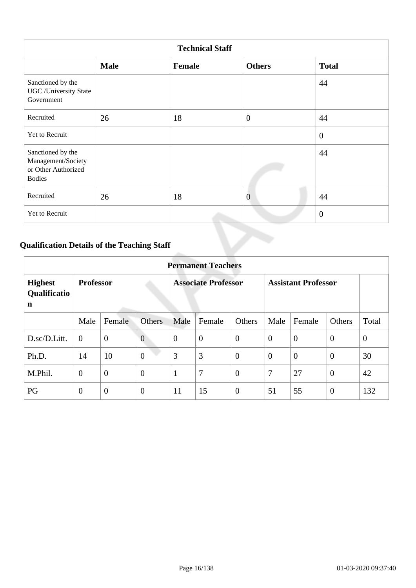| <b>Technical Staff</b>                                                          |             |        |                  |                |  |  |  |  |
|---------------------------------------------------------------------------------|-------------|--------|------------------|----------------|--|--|--|--|
|                                                                                 | <b>Male</b> | Female | <b>Others</b>    | <b>Total</b>   |  |  |  |  |
| Sanctioned by the<br><b>UGC</b> / University State<br>Government                |             |        |                  | 44             |  |  |  |  |
| Recruited                                                                       | 26          | 18     | $\boldsymbol{0}$ | 44             |  |  |  |  |
| Yet to Recruit                                                                  |             |        |                  | $\overline{0}$ |  |  |  |  |
| Sanctioned by the<br>Management/Society<br>or Other Authorized<br><b>Bodies</b> |             |        |                  | 44             |  |  |  |  |
| Recruited                                                                       | 26          | 18     | $\overline{0}$   | 44             |  |  |  |  |
| Yet to Recruit                                                                  |             |        |                  | $\overline{0}$ |  |  |  |  |

## **Qualification Details of the Teaching Staff**

|                                     | <b>Permanent Teachers</b> |                |                |                            |                |                  |                            |                |                |                |
|-------------------------------------|---------------------------|----------------|----------------|----------------------------|----------------|------------------|----------------------------|----------------|----------------|----------------|
| <b>Highest</b><br>Qualificatio<br>n | <b>Professor</b>          |                |                | <b>Associate Professor</b> |                |                  | <b>Assistant Professor</b> |                |                |                |
|                                     | Male                      | Female         | <b>Others</b>  | Male                       | Female         | Others           | Male                       | Female         | <b>Others</b>  | Total          |
| D.sc/D.Litt.                        | $\overline{0}$            | $\overline{0}$ | $\overline{0}$ | $\overline{0}$             | $\overline{0}$ | $\overline{0}$   | $\overline{0}$             | $\overline{0}$ | $\overline{0}$ | $\overline{0}$ |
| Ph.D.                               | 14                        | 10             | $\overline{0}$ | 3                          | 3              | $\overline{0}$   | $\theta$                   | $\overline{0}$ | $\overline{0}$ | 30             |
| M.Phil.                             | $\boldsymbol{0}$          | $\overline{0}$ | $\overline{0}$ | $\mathbf{1}$               | 7              | $\overline{0}$   | 7                          | 27             | $\overline{0}$ | 42             |
| PG                                  | $\overline{0}$            | $\overline{0}$ | $\overline{0}$ | 11                         | 15             | $\boldsymbol{0}$ | 51                         | 55             | $\theta$       | 132            |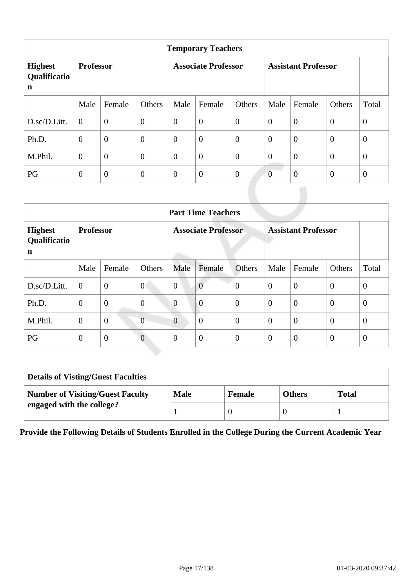| <b>Temporary Teachers</b>           |                  |                |                            |                |                  |                            |                  |                |                |                  |
|-------------------------------------|------------------|----------------|----------------------------|----------------|------------------|----------------------------|------------------|----------------|----------------|------------------|
| <b>Highest</b><br>Qualificatio<br>n | <b>Professor</b> |                | <b>Associate Professor</b> |                |                  | <b>Assistant Professor</b> |                  |                |                |                  |
|                                     | Male             | Female         | Others                     | Male           | Female           | Others                     | Male             | Female         | Others         | Total            |
| D.sc/D.Litt.                        | $\overline{0}$   | $\overline{0}$ | $\boldsymbol{0}$           | $\theta$       | $\overline{0}$   | $\mathbf{0}$               | $\boldsymbol{0}$ | $\theta$       | $\mathbf{0}$   | $\overline{0}$   |
| Ph.D.                               | $\overline{0}$   | $\overline{0}$ | $\boldsymbol{0}$           | $\overline{0}$ | $\overline{0}$   | $\theta$                   | $\theta$         | $\overline{0}$ | $\overline{0}$ | $\theta$         |
| M.Phil.                             | $\overline{0}$   | $\overline{0}$ | $\mathbf{0}$               | $\overline{0}$ | $\boldsymbol{0}$ | $\overline{0}$             | $\overline{0}$   | $\overline{0}$ | $\mathbf{0}$   | $\overline{0}$   |
| PG                                  | $\overline{0}$   | $\overline{0}$ | $\mathbf{0}$               | $\overline{0}$ | $\overline{0}$   | $\boldsymbol{0}$           | $\overline{0}$   | $\theta$       | $\mathbf{0}$   | $\boldsymbol{0}$ |

|                                     | <b>Part Time Teachers</b> |                |                            |                  |                |                            |                |                |                |              |
|-------------------------------------|---------------------------|----------------|----------------------------|------------------|----------------|----------------------------|----------------|----------------|----------------|--------------|
| <b>Highest</b><br>Qualificatio<br>n | <b>Professor</b>          |                | <b>Associate Professor</b> |                  |                | <b>Assistant Professor</b> |                |                |                |              |
|                                     | Male                      | Female         | Others                     | Male             | Female         | Others                     | Male           | Female         | Others         | Total        |
| D.sc/D.Litt.                        | $\overline{0}$            | $\overline{0}$ | $\overline{0}$             | $\boldsymbol{0}$ | $\overline{0}$ | $\overline{0}$             | $\overline{0}$ | $\overline{0}$ | $\theta$       | $\mathbf{0}$ |
| Ph.D.                               | $\boldsymbol{0}$          | $\overline{0}$ | $\boldsymbol{0}$           | $\overline{0}$   | $\overline{0}$ | $\theta$                   | $\overline{0}$ | $\overline{0}$ | $\overline{0}$ | $\theta$     |
| M.Phil.                             | $\overline{0}$            | $\overline{0}$ | $\overline{0}$             | $\overline{0}$   | $\overline{0}$ | $\overline{0}$             | $\theta$       | $\overline{0}$ | $\overline{0}$ | $\mathbf{0}$ |
| PG                                  | $\boldsymbol{0}$          | $\mathbf{0}$   | $\overline{0}$             | $\theta$         | $\overline{0}$ | $\boldsymbol{0}$           | $\overline{0}$ | $\overline{0}$ | $\overline{0}$ | $\theta$     |

| <b>Details of Visting/Guest Faculties</b> |             |               |               |              |
|-------------------------------------------|-------------|---------------|---------------|--------------|
| <b>Number of Visiting/Guest Faculty</b>   | <b>Male</b> | <b>Female</b> | <b>Others</b> | <b>Total</b> |
| engaged with the college?                 |             |               |               |              |

**Provide the Following Details of Students Enrolled in the College During the Current Academic Year**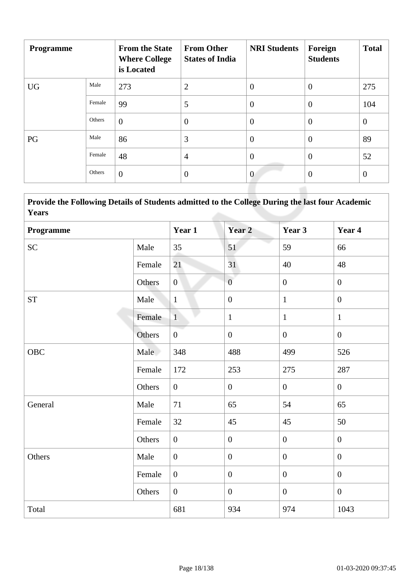| <b>Programme</b> |        | <b>From the State</b><br><b>Where College</b><br>is Located | <b>From Other</b><br><b>States of India</b> | <b>NRI Students</b> | Foreign<br><b>Students</b> | <b>Total</b>   |
|------------------|--------|-------------------------------------------------------------|---------------------------------------------|---------------------|----------------------------|----------------|
| <b>UG</b>        | Male   | 273                                                         | $\overline{2}$                              | $\overline{0}$      | $\theta$                   | 275            |
|                  | Female | 99                                                          | 5                                           | $\overline{0}$      | $\theta$                   | 104            |
|                  | Others | $\overline{0}$                                              | $\overline{0}$                              | $\overline{0}$      | $\theta$                   | $\mathbf{0}$   |
| PG               | Male   | 86                                                          | 3                                           | $\boldsymbol{0}$    | $\theta$                   | 89             |
|                  | Female | 48                                                          | $\overline{4}$                              | $\overline{0}$      | $\overline{0}$             | 52             |
|                  | Others | $\overline{0}$                                              | $\boldsymbol{0}$                            | $\theta$            | $\theta$                   | $\overline{0}$ |

 **Provide the Following Details of Students admitted to the College During the last four Academic Years**

| Programme          |        | Year 1           | Year <sub>2</sub> | Year 3         | Year 4           |
|--------------------|--------|------------------|-------------------|----------------|------------------|
| <b>SC</b>          | Male   | 35               | 51                | 59             | 66               |
|                    | Female | 21               | 31                | 40             | 48               |
|                    | Others | $\overline{0}$   | $\overline{0}$    | $\mathbf{0}$   | $\boldsymbol{0}$ |
| ${\cal S}{\cal T}$ | Male   | $\mathbf{1}$     | $\boldsymbol{0}$  | $\mathbf{1}$   | $\boldsymbol{0}$ |
|                    | Female | $\overline{1}$   | $\mathbf{1}$      | $\mathbf{1}$   | $\mathbf{1}$     |
|                    | Others | $\overline{0}$   | $\boldsymbol{0}$  | $\mathbf{0}$   | $\overline{0}$   |
| <b>OBC</b>         | Male   | 348              | 488               | 499            | 526              |
|                    | Female | 172              | 253               | 275            | 287              |
|                    | Others | $\overline{0}$   | $\boldsymbol{0}$  | $\mathbf{0}$   | $\boldsymbol{0}$ |
| General            | Male   | 71               | 65                | 54             | 65               |
|                    | Female | 32               | 45                | 45             | 50               |
|                    | Others | $\overline{0}$   | $\boldsymbol{0}$  | $\overline{0}$ | $\overline{0}$   |
| Others             | Male   | $\boldsymbol{0}$ | $\boldsymbol{0}$  | $\overline{0}$ | $\overline{0}$   |
|                    | Female | $\overline{0}$   | $\boldsymbol{0}$  | $\overline{0}$ | $\overline{0}$   |
|                    | Others | $\mathbf{0}$     | $\boldsymbol{0}$  | $\mathbf{0}$   | $\boldsymbol{0}$ |
| Total              |        | 681              | 934               | 974            | 1043             |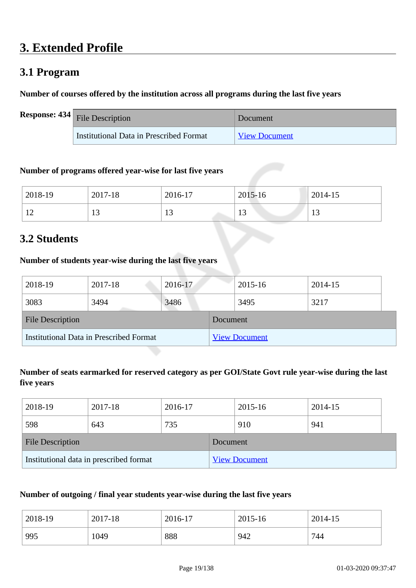## **3. Extended Profile**

## **3.1 Program**

#### **Number of courses offered by the institution across all programs during the last five years**

| <b>Response:</b> $434$ File Description | Document             |
|-----------------------------------------|----------------------|
| Institutional Data in Prescribed Format | <b>View Document</b> |

#### **Number of programs offered year-wise for last five years**

| 2018-19        | 2017-18 | 2016-17                        | 2015-16               | 2014-15 |
|----------------|---------|--------------------------------|-----------------------|---------|
| $\overline{1}$ | ⊥ັ      | $\overline{\phantom{0}}$<br>⊥ັ | 1 <sub>2</sub><br>1 J |         |

## **3.2 Students**

#### **Number of students year-wise during the last five years**

| 2018-19                                 | 2017-18 | 2016-17  |                      | 2015-16 | 2014-15 |  |
|-----------------------------------------|---------|----------|----------------------|---------|---------|--|
| 3083                                    | 3494    | 3486     |                      | 3495    | 3217    |  |
| <b>File Description</b>                 |         | Document |                      |         |         |  |
| Institutional Data in Prescribed Format |         |          | <b>View Document</b> |         |         |  |

#### **Number of seats earmarked for reserved category as per GOI/State Govt rule year-wise during the last five years**

| 2018-19                                 | 2017-18 | 2016-17  |                      | 2015-16 | 2014-15 |  |
|-----------------------------------------|---------|----------|----------------------|---------|---------|--|
| 598                                     | 643     | 735      |                      | 910     | 941     |  |
| <b>File Description</b>                 |         | Document |                      |         |         |  |
| Institutional data in prescribed format |         |          | <b>View Document</b> |         |         |  |

#### **Number of outgoing / final year students year-wise during the last five years**

| 2018-19 | 2017-18 | 2016-17 | 2015-16 | 2014-15 |
|---------|---------|---------|---------|---------|
| 995     | 1049    | 888     | 942     | 744     |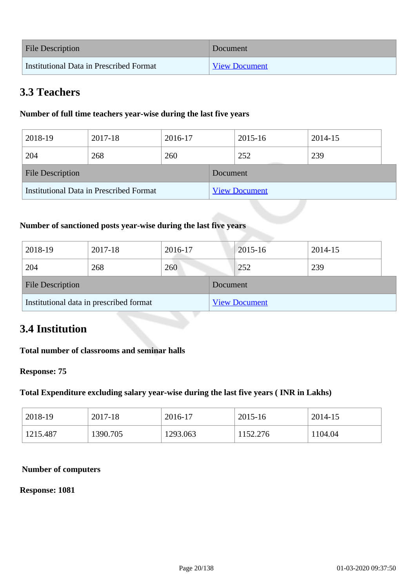| <b>File Description</b>                 | Document             |
|-----------------------------------------|----------------------|
| Institutional Data in Prescribed Format | <b>View Document</b> |

## **3.3 Teachers**

#### **Number of full time teachers year-wise during the last five years**

| 2018-19                                 | 2017-18 | 2016-17  |                      | 2015-16 | 2014-15 |  |
|-----------------------------------------|---------|----------|----------------------|---------|---------|--|
| 204                                     | 268     | 260      |                      | 252     | 239     |  |
| <b>File Description</b>                 |         | Document |                      |         |         |  |
| Institutional Data in Prescribed Format |         |          | <b>View Document</b> |         |         |  |

#### **Number of sanctioned posts year-wise during the last five years**

| 2018-19                                 | 2017-18 | 2016-17  |  | $2015 - 16$          | 2014-15 |
|-----------------------------------------|---------|----------|--|----------------------|---------|
| 204                                     | 268     | 260      |  | 252                  | 239     |
| <b>File Description</b>                 |         | Document |  |                      |         |
| Institutional data in prescribed format |         |          |  | <b>View Document</b> |         |

## **3.4 Institution**

#### **Total number of classrooms and seminar halls**

#### **Response: 75**

#### **Total Expenditure excluding salary year-wise during the last five years ( INR in Lakhs)**

| 2018-19  | 2017-18  | 2016-17  | 2015-16  | 2014-15 |
|----------|----------|----------|----------|---------|
| 1215.487 | 1390.705 | 1293.063 | 1152.276 | 104.04  |

#### **Number of computers**

#### **Response: 1081**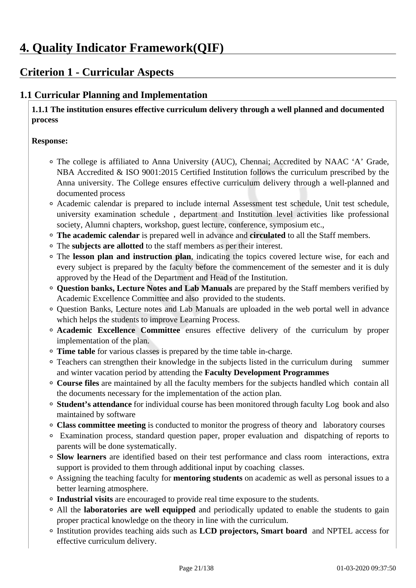## **Criterion 1 - Curricular Aspects**

### **1.1 Curricular Planning and Implementation**

 **1.1.1 The institution ensures effective curriculum delivery through a well planned and documented process** 

#### **Response:**

- The college is affiliated to Anna University (AUC), Chennai; Accredited by NAAC 'A' Grade, NBA Accredited & ISO 9001:2015 Certified Institution follows the curriculum prescribed by the Anna university. The College ensures effective curriculum delivery through a well-planned and documented process
- Academic calendar is prepared to include internal Assessment test schedule, Unit test schedule, university examination schedule , department and Institution level activities like professional society, Alumni chapters, workshop, guest lecture, conference, symposium etc.,
- **The academic calendar** is prepared well in advance and **circulated** to all the Staff members.
- The **subjects are allotted** to the staff members as per their interest.
- The **lesson plan and instruction plan**, indicating the topics covered lecture wise, for each and every subject is prepared by the faculty before the commencement of the semester and it is duly approved by the Head of the Department and Head of the Institution.
- **Question banks, Lecture Notes and Lab Manuals** are prepared by the Staff members verified by Academic Excellence Committee and also provided to the students.
- Question Banks, Lecture notes and Lab Manuals are uploaded in the web portal well in advance which helps the students to improve Learning Process.
- **Academic Excellence Committee** ensures effective delivery of the curriculum by proper implementation of the plan.
- **Time table** for various classes is prepared by the time table in-charge.
- Teachers can strengthen their knowledge in the subjects listed in the curriculum during summer and winter vacation period by attending the **Faculty Development Programmes**
- **Course files** are maintained by all the faculty members for the subjects handled which contain all the documents necessary for the implementation of the action plan.
- **Student's attendance** for individual course has been monitored through faculty Log book and also maintained by software
- **Class committee meeting** is conducted to monitor the progress of theory and laboratory courses
- Examination process, standard question paper, proper evaluation and dispatching of reports to parents will be done systematically.
- **Slow learners** are identified based on their test performance and class room interactions, extra support is provided to them through additional input by coaching classes.
- Assigning the teaching faculty for **mentoring students** on academic as well as personal issues to a better learning atmosphere.
- **Industrial visits** are encouraged to provide real time exposure to the students.
- All the **laboratories are well equipped** and periodically updated to enable the students to gain proper practical knowledge on the theory in line with the curriculum.
- Institution provides teaching aids such as **LCD projectors, Smart board** and NPTEL access for effective curriculum delivery.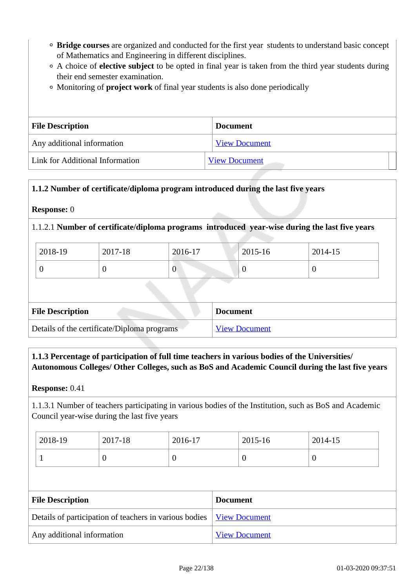- **Bridge courses** are organized and conducted for the first year students to understand basic concept of Mathematics and Engineering in different disciplines.
- A choice of **elective subject** to be opted in final year is taken from the third year students during their end semester examination.
- Monitoring of **project work** of final year students is also done periodically

| <b>File Description</b>         | <b>Document</b>      |
|---------------------------------|----------------------|
| Any additional information      | <b>View Document</b> |
| Link for Additional Information | <b>View Document</b> |

#### **1.1.2 Number of certificate/diploma program introduced during the last five years**

#### **Response:** 0

#### 1.1.2.1 **Number of certificate/diploma programs introduced year-wise during the last five years**

| 2018-19 | 2017-18 | 2016-17       | $2015 - 16$ | 2014-15 |
|---------|---------|---------------|-------------|---------|
|         |         | $\Omega$<br>v | ◡           |         |

| <b>File Description</b>                     | <b>Document</b>      |
|---------------------------------------------|----------------------|
| Details of the certificate/Diploma programs | <b>View Document</b> |

#### **1.1.3 Percentage of participation of full time teachers in various bodies of the Universities/ Autonomous Colleges/ Other Colleges, such as BoS and Academic Council during the last five years**

**Response:** 0.41

1.1.3.1 Number of teachers participating in various bodies of the Institution, such as BoS and Academic Council year-wise during the last five years

| 2018-19 | 2017-18 | 2016-17 | 2015-16 | 2014-15 |
|---------|---------|---------|---------|---------|
|         |         | ν       |         | ν       |

| <b>File Description</b>                                                       | <b>Document</b>      |
|-------------------------------------------------------------------------------|----------------------|
| Details of participation of teachers in various bodies   <u>View Document</u> |                      |
| Any additional information                                                    | <b>View Document</b> |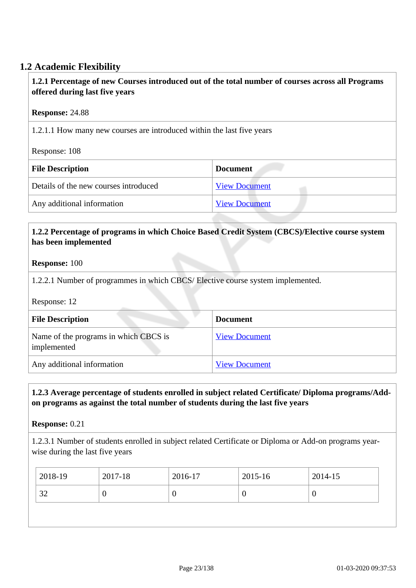## **1.2 Academic Flexibility**

#### **1.2.1 Percentage of new Courses introduced out of the total number of courses across all Programs offered during last five years**

#### **Response:** 24.88

1.2.1.1 How many new courses are introduced within the last five years

Response: 108

| <b>File Description</b>               | <b>Document</b>      |
|---------------------------------------|----------------------|
| Details of the new courses introduced | <b>View Document</b> |
| Any additional information            | <b>View Document</b> |

#### **1.2.2 Percentage of programs in which Choice Based Credit System (CBCS)/Elective course system has been implemented**

#### **Response:** 100

1.2.2.1 Number of programmes in which CBCS/ Elective course system implemented.

Response: 12

| <b>File Description</b>                              | <b>Document</b>      |
|------------------------------------------------------|----------------------|
| Name of the programs in which CBCS is<br>implemented | <b>View Document</b> |
| Any additional information                           | <b>View Document</b> |

#### **1.2.3 Average percentage of students enrolled in subject related Certificate/ Diploma programs/Addon programs as against the total number of students during the last five years**

**Response:** 0.21

1.2.3.1 Number of students enrolled in subject related Certificate or Diploma or Add-on programs yearwise during the last five years

| 32<br>ν<br>ν |  |
|--------------|--|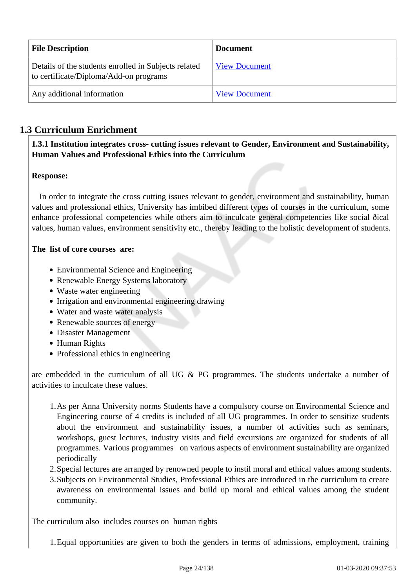| <b>File Description</b>                                                                        | <b>Document</b>      |
|------------------------------------------------------------------------------------------------|----------------------|
| Details of the students enrolled in Subjects related<br>to certificate/Diploma/Add-on programs | <b>View Document</b> |
| Any additional information                                                                     | <b>View Document</b> |

## **1.3 Curriculum Enrichment**

 **1.3.1 Institution integrates cross- cutting issues relevant to Gender, Environment and Sustainability, Human Values and Professional Ethics into the Curriculum**

#### **Response:**

 In order to integrate the cross cutting issues relevant to gender, environment and sustainability, human values and professional ethics, University has imbibed different types of courses in the curriculum, some enhance professional competencies while others aim to inculcate general competencies like social ðical values, human values, environment sensitivity etc., thereby leading to the holistic development of students.

#### **The list of core courses are:**

- Environmental Science and Engineering
- Renewable Energy Systems laboratory
- Waste water engineering
- Irrigation and environmental engineering drawing
- Water and waste water analysis
- Renewable sources of energy
- Disaster Management
- Human Rights
- Professional ethics in engineering

are embedded in the curriculum of all UG & PG programmes. The students undertake a number of activities to inculcate these values.

- 1.As per Anna University norms Students have a compulsory course on Environmental Science and Engineering course of 4 credits is included of all UG programmes. In order to sensitize students about the environment and sustainability issues, a number of activities such as seminars, workshops, guest lectures, industry visits and field excursions are organized for students of all programmes. Various programmes on various aspects of environment sustainability are organized periodically
- 2.Special lectures are arranged by renowned people to instil moral and ethical values among students.
- 3.Subjects on Environmental Studies, Professional Ethics are introduced in the curriculum to create awareness on environmental issues and build up moral and ethical values among the student community.

The curriculum also includes courses on human rights

1.Equal opportunities are given to both the genders in terms of admissions, employment, training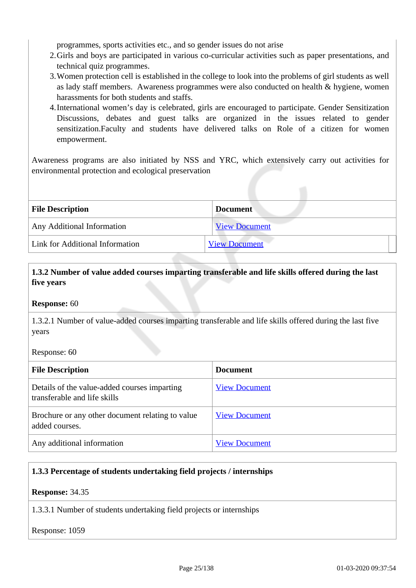programmes, sports activities etc., and so gender issues do not arise

- 2.Girls and boys are participated in various co-curricular activities such as paper presentations, and technical quiz programmes.
- 3.Women protection cell is established in the college to look into the problems of girl students as well as lady staff members. Awareness programmes were also conducted on health & hygiene, women harassments for both students and staffs.
- 4.International women's day is celebrated, girls are encouraged to participate. Gender Sensitization Discussions, debates and guest talks are organized in the issues related to gender sensitization.Faculty and students have delivered talks on Role of a citizen for women empowerment.

Awareness programs are also initiated by NSS and YRC, which extensively carry out activities for environmental protection and ecological preservation

| <b>File Description</b>         | <b>Document</b>      |  |
|---------------------------------|----------------------|--|
| Any Additional Information      | <b>View Document</b> |  |
| Link for Additional Information | <b>View Document</b> |  |

 **1.3.2 Number of value added courses imparting transferable and life skills offered during the last five years**

#### **Response:** 60

1.3.2.1 Number of value-added courses imparting transferable and life skills offered during the last five years

Response: 60

| <b>File Description</b>                                                      | <b>Document</b>      |
|------------------------------------------------------------------------------|----------------------|
| Details of the value-added courses imparting<br>transferable and life skills | <b>View Document</b> |
| Brochure or any other document relating to value<br>added courses.           | <b>View Document</b> |
| Any additional information                                                   | <b>View Document</b> |

#### **1.3.3 Percentage of students undertaking field projects / internships**

**Response:** 34.35

1.3.3.1 Number of students undertaking field projects or internships

#### Response: 1059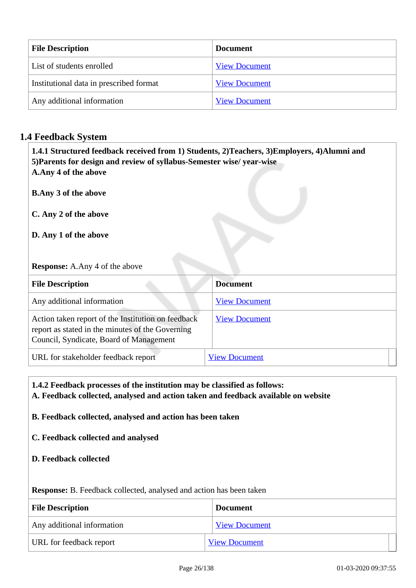| <b>File Description</b>                 | <b>Document</b>      |
|-----------------------------------------|----------------------|
| List of students enrolled               | <b>View Document</b> |
| Institutional data in prescribed format | <b>View Document</b> |
| Any additional information              | <b>View Document</b> |

### **1.4 Feedback System**

| 1.4.1 Structured feedback received from 1) Students, 2) Teachers, 3) Employers, 4) Alumni and<br>5) Parents for design and review of syllabus-Semester wise/ year-wise<br>A. Any 4 of the above<br><b>B.Any 3 of the above</b><br>C. Any 2 of the above |                      |  |
|---------------------------------------------------------------------------------------------------------------------------------------------------------------------------------------------------------------------------------------------------------|----------------------|--|
| D. Any 1 of the above                                                                                                                                                                                                                                   |                      |  |
| <b>Response:</b> A.Any 4 of the above                                                                                                                                                                                                                   |                      |  |
| <b>File Description</b>                                                                                                                                                                                                                                 | <b>Document</b>      |  |
| Any additional information                                                                                                                                                                                                                              | <b>View Document</b> |  |
| Action taken report of the Institution on feedback<br>report as stated in the minutes of the Governing<br>Council, Syndicate, Board of Management                                                                                                       | <b>View Document</b> |  |
| URL for stakeholder feedback report                                                                                                                                                                                                                     | <b>View Document</b> |  |

 **1.4.2 Feedback processes of the institution may be classified as follows: A. Feedback collected, analysed and action taken and feedback available on website**

**B. Feedback collected, analysed and action has been taken**

- **C. Feedback collected and analysed**
- **D. Feedback collected**

**Response:** B. Feedback collected, analysed and action has been taken

| <b>File Description</b>    | <b>Document</b>      |
|----------------------------|----------------------|
| Any additional information | <b>View Document</b> |
| URL for feedback report    | <b>View Document</b> |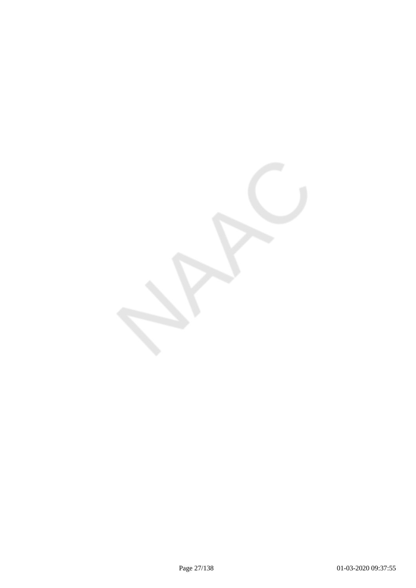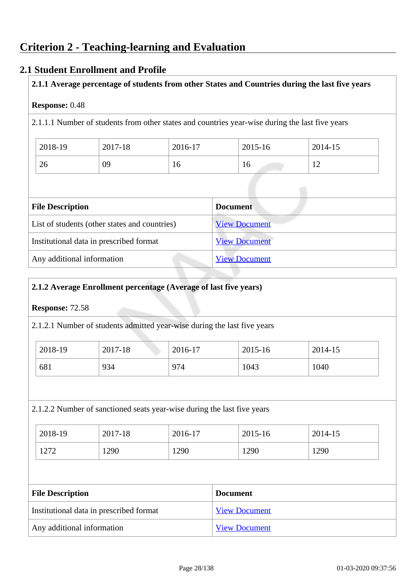#### **2.1 Student Enrollment and Profile**

#### **2.1.1 Average percentage of students from other States and Countries during the last five years**

#### **Response:** 0.48

2.1.1.1 Number of students from other states and countries year-wise during the last five years

| 2018-19 | 2017-18 | 2016-17 | 2015-16 | 2014-15                   |
|---------|---------|---------|---------|---------------------------|
| 26      | 09      | 10      | 10      | 1 <sup>2</sup><br>$\perp$ |

| <b>File Description</b>                       | <b>Document</b>      |
|-----------------------------------------------|----------------------|
| List of students (other states and countries) | <b>View Document</b> |
| Institutional data in prescribed format       | <b>View Document</b> |
| Any additional information                    | <b>View Document</b> |

#### **2.1.2 Average Enrollment percentage (Average of last five years)**

#### **Response:** 72.58

2.1.2.1 Number of students admitted year-wise during the last five years

| 2018-19 | 2017-18 | 2016-17 | 2015-16 | 2014-15 |
|---------|---------|---------|---------|---------|
| 681     | 934     | 974     | 1043    | 1040    |

#### 2.1.2.2 Number of sanctioned seats year-wise during the last five years

| 2018-19 | 2017-18 | 2016-17 | 2015-16 | 2014-15 |
|---------|---------|---------|---------|---------|
| 1272    | 1290    | 1290    | 290     | 1290    |

| <b>File Description</b>                 | <b>Document</b>      |
|-----------------------------------------|----------------------|
| Institutional data in prescribed format | <b>View Document</b> |
| Any additional information              | <b>View Document</b> |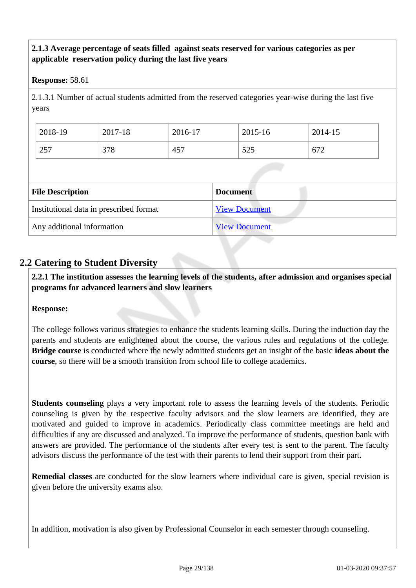#### **2.1.3 Average percentage of seats filled against seats reserved for various categories as per applicable reservation policy during the last five years**

#### **Response:** 58.61

2.1.3.1 Number of actual students admitted from the reserved categories year-wise during the last five years

| 2018-19 | 2017-18 | 2016-17 | 2015-16    | 2014-15 |
|---------|---------|---------|------------|---------|
| 257     | 378     | 457     | 505<br>ل∠ت | 672     |

| <b>File Description</b>                 | <b>Document</b>      |
|-----------------------------------------|----------------------|
| Institutional data in prescribed format | <b>View Document</b> |
| Any additional information              | <b>View Document</b> |

#### **2.2 Catering to Student Diversity**

 **2.2.1 The institution assesses the learning levels of the students, after admission and organises special programs for advanced learners and slow learners**

#### **Response:**

The college follows various strategies to enhance the students learning skills. During the induction day the parents and students are enlightened about the course, the various rules and regulations of the college. **Bridge course** is conducted where the newly admitted students get an insight of the basic **ideas about the course**, so there will be a smooth transition from school life to college academics.

**Students counseling** plays a very important role to assess the learning levels of the students. Periodic counseling is given by the respective faculty advisors and the slow learners are identified, they are motivated and guided to improve in academics. Periodically class committee meetings are held and difficulties if any are discussed and analyzed. To improve the performance of students, question bank with answers are provided. The performance of the students after every test is sent to the parent. The faculty advisors discuss the performance of the test with their parents to lend their support from their part.

**Remedial classes** are conducted for the slow learners where individual care is given, special revision is given before the university exams also.

In addition, motivation is also given by Professional Counselor in each semester through counseling.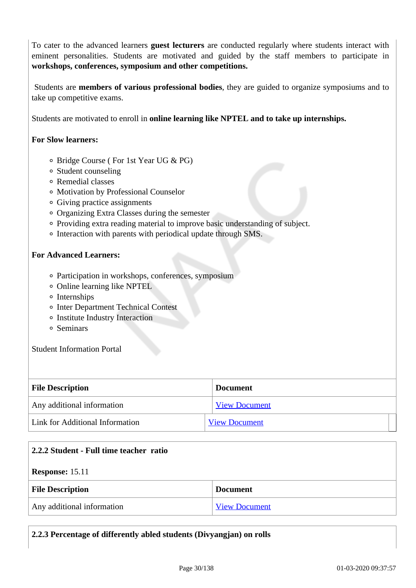To cater to the advanced learners **guest lecturers** are conducted regularly where students interact with eminent personalities. Students are motivated and guided by the staff members to participate in **workshops, conferences, symposium and other competitions.**

 Students are **members of various professional bodies**, they are guided to organize symposiums and to take up competitive exams.

Students are motivated to enroll in **online learning like NPTEL and to take up internships.**

#### **For Slow learners:**

- Bridge Course ( For 1st Year UG & PG)
- Student counseling
- Remedial classes
- Motivation by Professional Counselor
- Giving practice assignments
- Organizing Extra Classes during the semester
- Providing extra reading material to improve basic understanding of subject.
- Interaction with parents with periodical update through SMS.

#### **For Advanced Learners:**

- Participation in workshops, conferences, symposium
- Online learning like NPTEL
- Internships
- Inter Department Technical Contest
- Institute Industry Interaction
- Seminars

Student Information Portal

| <b>File Description</b>         | <b>Document</b>      |  |
|---------------------------------|----------------------|--|
| Any additional information      | <b>View Document</b> |  |
| Link for Additional Information | <b>View Document</b> |  |

| 2.2.2 Student - Full time teacher ratio |                      |
|-----------------------------------------|----------------------|
| <b>Response:</b> 15.11                  |                      |
| <b>File Description</b>                 | <b>Document</b>      |
| Any additional information              | <b>View Document</b> |

#### **2.2.3 Percentage of differently abled students (Divyangjan) on rolls**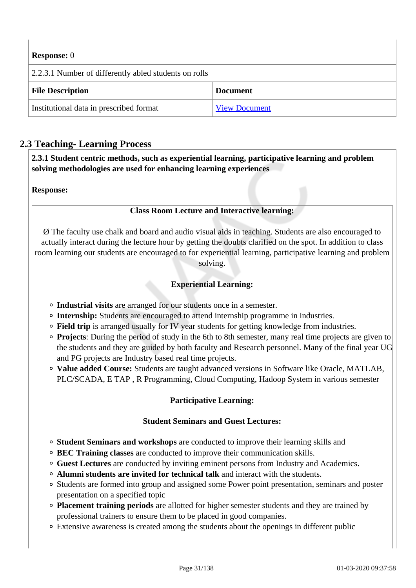**Response:** 0 2.2.3.1 Number of differently abled students on rolls **File Description Document** Institutional data in prescribed format [View Document](https://assessmentonline.naac.gov.in/storage/app/hei/SSR/104196/2.2.3_1572503437_3837.xlsx)

### **2.3 Teaching- Learning Process**

 **2.3.1 Student centric methods, such as experiential learning, participative learning and problem solving methodologies are used for enhancing learning experiences**

#### **Response:**

#### **Class Room Lecture and Interactive learning:**

Ø The faculty use chalk and board and audio visual aids in teaching. Students are also encouraged to actually interact during the lecture hour by getting the doubts clarified on the spot. In addition to class room learning our students are encouraged to for experiential learning, participative learning and problem solving.

#### **Experiential Learning:**

- **Industrial visits** are arranged for our students once in a semester.
- **Internship:** Students are encouraged to attend internship programme in industries.
- **Field trip** is arranged usually for IV year students for getting knowledge from industries.
- **Projects**: During the period of study in the 6th to 8th semester, many real time projects are given to the students and they are guided by both faculty and Research personnel. Many of the final year UG and PG projects are Industry based real time projects.
- **Value added Course:** Students are taught advanced versions in Software like Oracle, MATLAB, PLC/SCADA, E TAP , R Programming, Cloud Computing, Hadoop System in various semester

#### **Participative Learning:**

#### **Student Seminars and Guest Lectures:**

- **Student Seminars and workshops** are conducted to improve their learning skills and
- **BEC Training classes** are conducted to improve their communication skills.
- **Guest Lectures** are conducted by inviting eminent persons from Industry and Academics.
- **Alumni students are invited for technical talk** and interact with the students.
- Students are formed into group and assigned some Power point presentation, seminars and poster presentation on a specified topic
- **Placement training periods** are allotted for higher semester students and they are trained by professional trainers to ensure them to be placed in good companies.
- Extensive awareness is created among the students about the openings in different public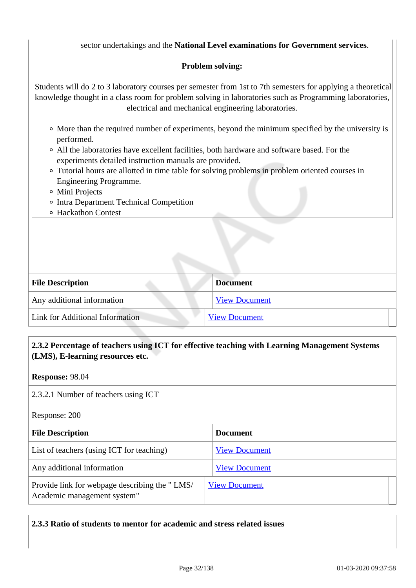sector undertakings and the **National Level examinations for Government services**.

#### **Problem solving:**

 Students will do 2 to 3 laboratory courses per semester from 1st to 7th semesters for applying a theoretical knowledge thought in a class room for problem solving in laboratories such as Programming laboratories, electrical and mechanical engineering laboratories.

- More than the required number of experiments, beyond the minimum specified by the university is performed.
- All the laboratories have excellent facilities, both hardware and software based. For the experiments detailed instruction manuals are provided.
- Tutorial hours are allotted in time table for solving problems in problem oriented courses in Engineering Programme.
- Mini Projects
- Intra Department Technical Competition
- Hackathon Contest

| <b>File Description</b>         | <b>Document</b>      |
|---------------------------------|----------------------|
| Any additional information      | <b>View Document</b> |
| Link for Additional Information | <b>View Document</b> |
|                                 |                      |

#### **2.3.2 Percentage of teachers using ICT for effective teaching with Learning Management Systems (LMS), E-learning resources etc.**

**Response:** 98.04

2.3.2.1 Number of teachers using ICT

Response: 200

| <b>File Description</b>                                                      | <b>Document</b>      |
|------------------------------------------------------------------------------|----------------------|
| List of teachers (using ICT for teaching)                                    | <b>View Document</b> |
| Any additional information                                                   | <b>View Document</b> |
| Provide link for webpage describing the "LMS/<br>Academic management system" | <b>View Document</b> |

**2.3.3 Ratio of students to mentor for academic and stress related issues**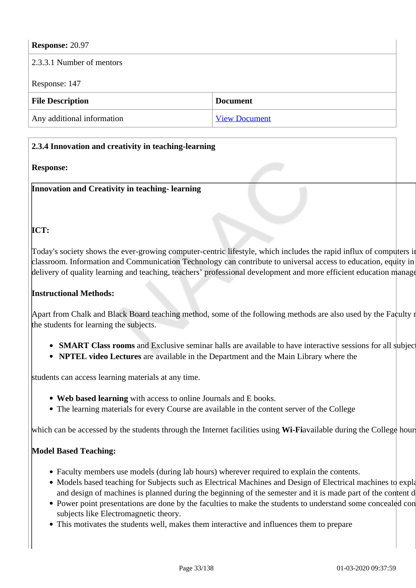#### **Response:** 20.97

| $\bf{R}$                   |                      |  |
|----------------------------|----------------------|--|
| 2.3.3.1 Number of mentors  |                      |  |
| Response: 147              |                      |  |
| <b>File Description</b>    | <b>Document</b>      |  |
| Any additional information | <b>View Document</b> |  |
|                            |                      |  |

#### **2.3.4 Innovation and creativity in teaching-learning**

#### **Response:**

#### **Innovation and Creativity in teaching- learning**

#### **ICT:**

Today's society shows the ever-growing computer-centric lifestyle, which includes the rapid influx of computers in classroom. Information and Communication Technology can contribute to universal access to education, equity in delivery of quality learning and teaching, teachers' professional development and more efficient education manage

#### **Instructional Methods:**

Apart from Chalk and Black Board teaching method, some of the following methods are also used by the Faculty i the students for learning the subjects.

- **SMART Class rooms** and Exclusive seminar halls are available to have interactive sessions for all subjecture.
- **NPTEL video Lectures** are available in the Department and the Main Library where the

students can access learning materials at any time.

- **Web based learning** with access to online Journals and E books.
- The learning materials for every Course are available in the content server of the College

which can be accessed by the students through the Internet facilities using **Wi-Fi**available during the College hour

#### **Model Based Teaching:**

- Faculty members use models (during lab hours) wherever required to explain the contents.
- Models based teaching for Subjects such as Electrical Machines and Design of Electrical machines to explain and design of machines is planned during the beginning of the semester and it is made part of the content d
- Power point presentations are done by the faculties to make the students to understand some concealed con subjects like Electromagnetic theory.
- This motivates the students well, makes them interactive and influences them to prepare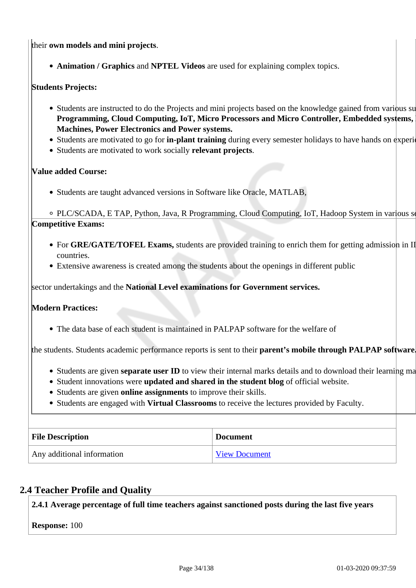their **own models and mini projects**.

**Animation / Graphics** and **NPTEL Videos** are used for explaining complex topics.

#### **Students Projects:**

- Students are instructed to do the Projects and mini projects based on the knowledge gained from various su Programming, Cloud Computing, IoT, Micro Processors and Micro Controller, Embedded systems, **Machines, Power Electronics and Power systems.**
- Students are motivated to go for **in-plant training** during every semester holidays to have hands on experience
- Students are motivated to work socially **relevant projects**.

#### **Value added Course:**

Students are taught advanced versions in Software like Oracle, MATLAB,

o PLC/SCADA, E TAP, Python, Java, R Programming, Cloud Computing, IoT, Hadoop System in various se **Competitive Exams:**

- For **GRE/GATE/TOFEL Exams,** students are provided training to enrich them for getting admission in II countries.
- Extensive awareness is created among the students about the openings in different public

sector undertakings and the **National Level examinations for Government services.**

#### **Modern Practices:**

• The data base of each student is maintained in PALPAP software for the welfare of

the students. Students academic performance reports is sent to their **parent's mobile through PALPAP software.** 

- Students are given **separate user ID** to view their internal marks details and to download their learning ma
- Student innovations were **updated and shared in the student blog** of official website.
- Students are given **online assignments** to improve their skills.
- Students are engaged with **Virtual Classrooms** to receive the lectures provided by Faculty.

| <b>File Description</b>    | <b>Document</b>      |
|----------------------------|----------------------|
| Any additional information | <b>View Document</b> |

#### **2.4 Teacher Profile and Quality**

**2.4.1 Average percentage of full time teachers against sanctioned posts during the last five years**

#### **Response:** 100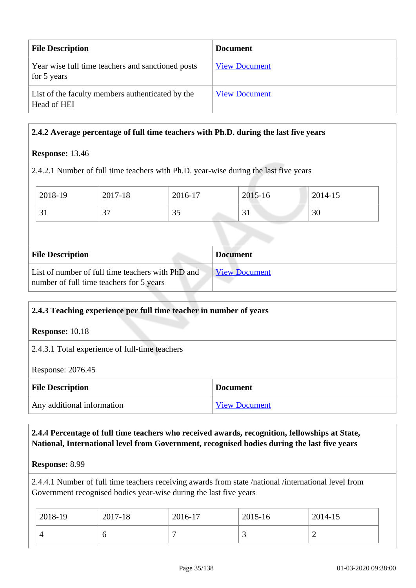| <b>File Description</b>                                          | <b>Document</b>      |
|------------------------------------------------------------------|----------------------|
| Year wise full time teachers and sanctioned posts<br>for 5 years | <b>View Document</b> |
| List of the faculty members authenticated by the<br>Head of HEI  | <b>View Document</b> |

#### **2.4.2 Average percentage of full time teachers with Ph.D. during the last five years**

#### **Response:** 13.46

2.4.2.1 Number of full time teachers with Ph.D. year-wise during the last five years

| 2018-19 | 2017-18 | 2016-17 | 2015-16      | 2014-15 |
|---------|---------|---------|--------------|---------|
| ◡       | ، ب     | ں ر     | $\sim$<br>JI | 30      |

| <b>File Description</b>                                                                       | <b>Document</b>      |
|-----------------------------------------------------------------------------------------------|----------------------|
| List of number of full time teachers with PhD and<br>number of full time teachers for 5 years | <b>View Document</b> |

# **2.4.3 Teaching experience per full time teacher in number of years**

#### **Response:** 10.18

2.4.3.1 Total experience of full-time teachers

Response: 2076.45

| <b>File Description</b>    | <b>Document</b>      |
|----------------------------|----------------------|
| Any additional information | <b>View Document</b> |

#### **2.4.4 Percentage of full time teachers who received awards, recognition, fellowships at State, National, International level from Government, recognised bodies during the last five years**

**Response:** 8.99

2.4.4.1 Number of full time teachers receiving awards from state /national /international level from Government recognised bodies year-wise during the last five years

| 2018-19 | 2017-18 | 2016-17 | 2015-16 | 2014-15 |
|---------|---------|---------|---------|---------|
|         | U       |         |         | ∼       |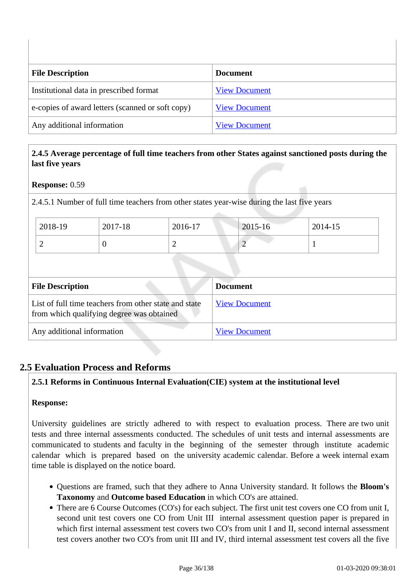| <b>File Description</b>                          | <b>Document</b>      |
|--------------------------------------------------|----------------------|
| Institutional data in prescribed format          | <b>View Document</b> |
| e-copies of award letters (scanned or soft copy) | <b>View Document</b> |
| Any additional information                       | <b>View Document</b> |

#### **2.4.5 Average percentage of full time teachers from other States against sanctioned posts during the last five years**

#### **Response:** 0.59

2.4.5.1 Number of full time teachers from other states year-wise during the last five years

| 2018-19 | 2017-18 | 2016-17 | 2015-16                  | 2014-15 |
|---------|---------|---------|--------------------------|---------|
| ∼       | ν       |         | $\overline{\phantom{0}}$ |         |

| <b>File Description</b>                                                                            | <b>Document</b>      |
|----------------------------------------------------------------------------------------------------|----------------------|
| List of full time teachers from other state and state<br>from which qualifying degree was obtained | <b>View Document</b> |
| Any additional information                                                                         | <b>View Document</b> |

#### **2.5 Evaluation Process and Reforms**

#### **2.5.1 Reforms in Continuous Internal Evaluation(CIE) system at the institutional level**

#### **Response:**

University guidelines are strictly adhered to with respect to evaluation process. There are two unit tests and three internal assessments conducted. The schedules of unit tests and internal assessments are communicated to students and faculty in the beginning of the semester through institute academic calendar which is prepared based on the university academic calendar. Before a week internal exam time table is displayed on the notice board.

- Questions are framed, such that they adhere to Anna University standard. It follows the **Bloom's Taxonomy** and **Outcome based Education** in which CO's are attained.
- There are 6 Course Outcomes (CO's) for each subject. The first unit test covers one CO from unit I, second unit test covers one CO from Unit III internal assessment question paper is prepared in which first internal assessment test covers two CO's from unit I and II, second internal assessment test covers another two CO's from unit III and IV, third internal assessment test covers all the five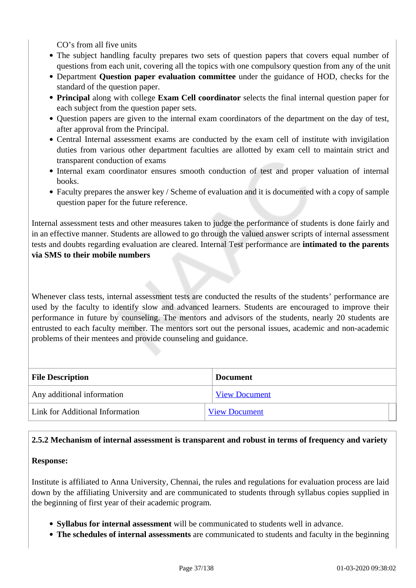CO's from all five units

- The subject handling faculty prepares two sets of question papers that covers equal number of questions from each unit, covering all the topics with one compulsory question from any of the unit
- Department **Question paper evaluation committee** under the guidance of HOD, checks for the standard of the question paper.
- **Principal** along with college **Exam Cell coordinator** selects the final internal question paper for each subject from the question paper sets.
- Question papers are given to the internal exam coordinators of the department on the day of test, after approval from the Principal.
- Central Internal assessment exams are conducted by the exam cell of institute with invigilation duties from various other department faculties are allotted by exam cell to maintain strict and transparent conduction of exams
- Internal exam coordinator ensures smooth conduction of test and proper valuation of internal books.
- Faculty prepares the answer key / Scheme of evaluation and it is documented with a copy of sample question paper for the future reference.

Internal assessment tests and other measures taken to judge the performance of students is done fairly and in an effective manner. Students are allowed to go through the valued answer scripts of internal assessment tests and doubts regarding evaluation are cleared. Internal Test performance are **intimated to the parents via SMS to their mobile numbers**

Whenever class tests, internal assessment tests are conducted the results of the students' performance are used by the faculty to identify slow and advanced learners. Students are encouraged to improve their performance in future by counseling. The mentors and advisors of the students, nearly 20 students are entrusted to each faculty member. The mentors sort out the personal issues, academic and non-academic problems of their mentees and provide counseling and guidance.

| <b>File Description</b>         | <b>Document</b>      |
|---------------------------------|----------------------|
| Any additional information      | <b>View Document</b> |
| Link for Additional Information | <b>View Document</b> |

### **2.5.2 Mechanism of internal assessment is transparent and robust in terms of frequency and variety**

### **Response:**

Institute is affiliated to Anna University, Chennai, the rules and regulations for evaluation process are laid down by the affiliating University and are communicated to students through syllabus copies supplied in the beginning of first year of their academic program.

- **Syllabus for internal assessment** will be communicated to students well in advance.
- **The schedules of internal assessments** are communicated to students and faculty in the beginning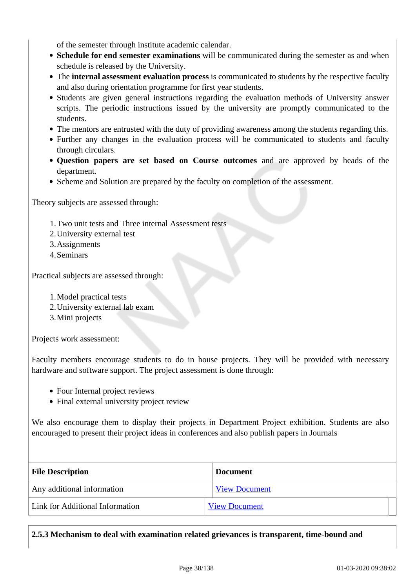of the semester through institute academic calendar.

- **Schedule for end semester examinations** will be communicated during the semester as and when schedule is released by the University.
- The **internal assessment evaluation process** is communicated to students by the respective faculty and also during orientation programme for first year students.
- Students are given general instructions regarding the evaluation methods of University answer scripts. The periodic instructions issued by the university are promptly communicated to the students.
- The mentors are entrusted with the duty of providing awareness among the students regarding this.
- Further any changes in the evaluation process will be communicated to students and faculty through circulars.
- **Question papers are set based on Course outcomes** and are approved by heads of the department.
- Scheme and Solution are prepared by the faculty on completion of the assessment.

Theory subjects are assessed through:

1.Two unit tests and Three internal Assessment tests

- 2.University external test
- 3.Assignments
- 4.Seminars

Practical subjects are assessed through:

- 1.Model practical tests
- 2.University external lab exam
- 3.Mini projects

Projects work assessment:

Faculty members encourage students to do in house projects. They will be provided with necessary hardware and software support. The project assessment is done through:

- Four Internal project reviews
- Final external university project review

We also encourage them to display their projects in Department Project exhibition. Students are also encouraged to present their project ideas in conferences and also publish papers in Journals

| <b>File Description</b>         | <b>Document</b>      |
|---------------------------------|----------------------|
| Any additional information      | <b>View Document</b> |
| Link for Additional Information | <b>View Document</b> |

# **2.5.3 Mechanism to deal with examination related grievances is transparent, time-bound and**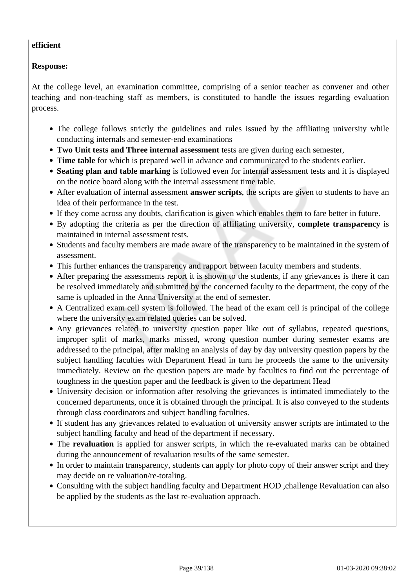# **efficient**

### **Response:**

At the college level, an examination committee, comprising of a senior teacher as convener and other teaching and non-teaching staff as members, is constituted to handle the issues regarding evaluation process.

- The college follows strictly the guidelines and rules issued by the affiliating university while conducting internals and semester-end examinations
- **Two Unit tests and Three internal assessment** tests are given during each semester,
- **Time table** for which is prepared well in advance and communicated to the students earlier.
- **Seating plan and table marking** is followed even for internal assessment tests and it is displayed on the notice board along with the internal assessment time table.
- After evaluation of internal assessment **answer scripts**, the scripts are given to students to have an idea of their performance in the test.
- If they come across any doubts, clarification is given which enables them to fare better in future.
- By adopting the criteria as per the direction of affiliating university, **complete transparency** is maintained in internal assessment tests.
- Students and faculty members are made aware of the transparency to be maintained in the system of assessment.
- This further enhances the transparency and rapport between faculty members and students.
- After preparing the assessments report it is shown to the students, if any grievances is there it can be resolved immediately and submitted by the concerned faculty to the department, the copy of the same is uploaded in the Anna University at the end of semester.
- A Centralized exam cell system is followed. The head of the exam cell is principal of the college where the university exam related queries can be solved.
- Any grievances related to university question paper like out of syllabus, repeated questions, improper split of marks, marks missed, wrong question number during semester exams are addressed to the principal, after making an analysis of day by day university question papers by the subject handling faculties with Department Head in turn he proceeds the same to the university immediately. Review on the question papers are made by faculties to find out the percentage of toughness in the question paper and the feedback is given to the department Head
- University decision or information after resolving the grievances is intimated immediately to the concerned departments, once it is obtained through the principal. It is also conveyed to the students through class coordinators and subject handling faculties.
- If student has any grievances related to evaluation of university answer scripts are intimated to the subject handling faculty and head of the department if necessary.
- The **revaluation** is applied for answer scripts, in which the re-evaluated marks can be obtained during the announcement of revaluation results of the same semester.
- In order to maintain transparency, students can apply for photo copy of their answer script and they may decide on re valuation/re-totaling.
- Consulting with the subject handling faculty and Department HOD, challenge Revaluation can also be applied by the students as the last re-evaluation approach.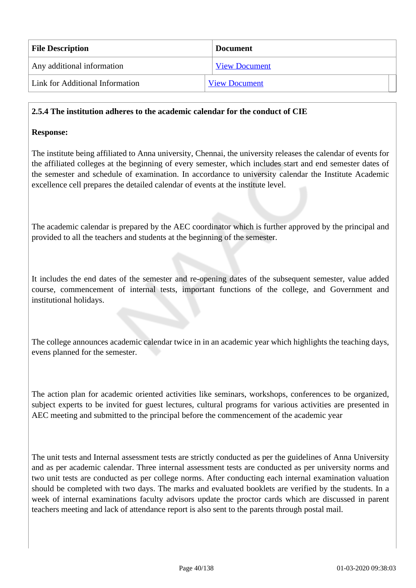| <b>File Description</b>         | <b>Document</b>      |
|---------------------------------|----------------------|
| Any additional information      | <b>View Document</b> |
| Link for Additional Information | <b>View Document</b> |

### **2.5.4 The institution adheres to the academic calendar for the conduct of CIE**

### **Response:**

The institute being affiliated to Anna university, Chennai, the university releases the calendar of events for the affiliated colleges at the beginning of every semester, which includes start and end semester dates of the semester and schedule of examination. In accordance to university calendar the Institute Academic excellence cell prepares the detailed calendar of events at the institute level.

The academic calendar is prepared by the AEC coordinator which is further approved by the principal and provided to all the teachers and students at the beginning of the semester.

It includes the end dates of the semester and re-opening dates of the subsequent semester, value added course, commencement of internal tests, important functions of the college, and Government and institutional holidays.

The college announces academic calendar twice in in an academic year which highlights the teaching days, evens planned for the semester.

The action plan for academic oriented activities like seminars, workshops, conferences to be organized, subject experts to be invited for guest lectures, cultural programs for various activities are presented in AEC meeting and submitted to the principal before the commencement of the academic year

The unit tests and Internal assessment tests are strictly conducted as per the guidelines of Anna University and as per academic calendar. Three internal assessment tests are conducted as per university norms and two unit tests are conducted as per college norms. After conducting each internal examination valuation should be completed with two days. The marks and evaluated booklets are verified by the students. In a week of internal examinations faculty advisors update the proctor cards which are discussed in parent teachers meeting and lack of attendance report is also sent to the parents through postal mail.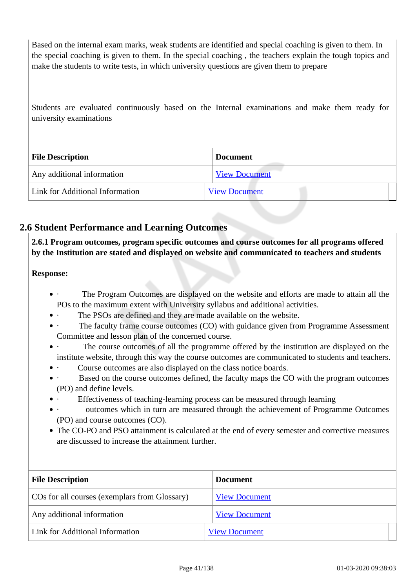Based on the internal exam marks, weak students are identified and special coaching is given to them. In the special coaching is given to them. In the special coaching , the teachers explain the tough topics and make the students to write tests, in which university questions are given them to prepare

Students are evaluated continuously based on the Internal examinations and make them ready for university examinations

| <b>File Description</b>         | <b>Document</b>      |  |
|---------------------------------|----------------------|--|
| Any additional information      | <b>View Document</b> |  |
| Link for Additional Information | <b>View Document</b> |  |

# **2.6 Student Performance and Learning Outcomes**

 **2.6.1 Program outcomes, program specific outcomes and course outcomes for all programs offered by the Institution are stated and displayed on website and communicated to teachers and students**

### **Response:**

- · The Program Outcomes are displayed on the website and efforts are made to attain all the POs to the maximum extent with University syllabus and additional activities.
- · The PSOs are defined and they are made available on the website.
- The faculty frame course outcomes (CO) with guidance given from Programme Assessment Committee and lesson plan of the concerned course.
- · The course outcomes of all the programme offered by the institution are displayed on the institute website, through this way the course outcomes are communicated to students and teachers.
- Course outcomes are also displayed on the class notice boards.
- · Based on the course outcomes defined, the faculty maps the CO with the program outcomes (PO) and define levels.
- Effectiveness of teaching-learning process can be measured through learning
- · outcomes which in turn are measured through the achievement of Programme Outcomes (PO) and course outcomes (CO).
- The CO-PO and PSO attainment is calculated at the end of every semester and corrective measures are discussed to increase the attainment further.

| <b>File Description</b>                       | <b>Document</b>      |
|-----------------------------------------------|----------------------|
| COs for all courses (exemplars from Glossary) | <b>View Document</b> |
| Any additional information                    | <b>View Document</b> |
| Link for Additional Information               | <b>View Document</b> |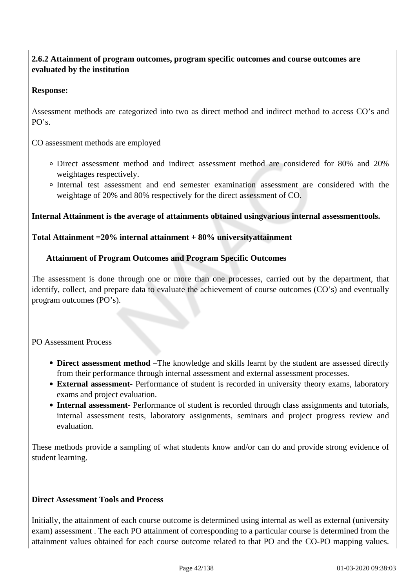# **2.6.2 Attainment of program outcomes, program specific outcomes and course outcomes are evaluated by the institution**

### **Response:**

Assessment methods are categorized into two as direct method and indirect method to access CO's and  $PO's$ .

CO assessment methods are employed

- Direct assessment method and indirect assessment method are considered for 80% and 20% weightages respectively.
- Internal test assessment and end semester examination assessment are considered with the weightage of 20% and 80% respectively for the direct assessment of CO.

**Internal Attainment is the average of attainments obtained usingvarious internal assessmenttools.**

### **Total Attainment =20% internal attainment + 80% universityattainment**

### **Attainment of Program Outcomes and Program Specific Outcomes**

The assessment is done through one or more than one processes, carried out by the department, that identify, collect, and prepare data to evaluate the achievement of course outcomes (CO's) and eventually program outcomes (PO's).

### PO Assessment Process

- **Direct assessment method –**The knowledge and skills learnt by the student are assessed directly from their performance through internal assessment and external assessment processes.
- **External assessment-** Performance of student is recorded in university theory exams, laboratory exams and project evaluation.
- **Internal assessment-** Performance of student is recorded through class assignments and tutorials, internal assessment tests, laboratory assignments, seminars and project progress review and evaluation.

These methods provide a sampling of what students know and/or can do and provide strong evidence of student learning.

### **Direct Assessment Tools and Process**

Initially, the attainment of each course outcome is determined using internal as well as external (university exam) assessment . The each PO attainment of corresponding to a particular course is determined from the attainment values obtained for each course outcome related to that PO and the CO-PO mapping values.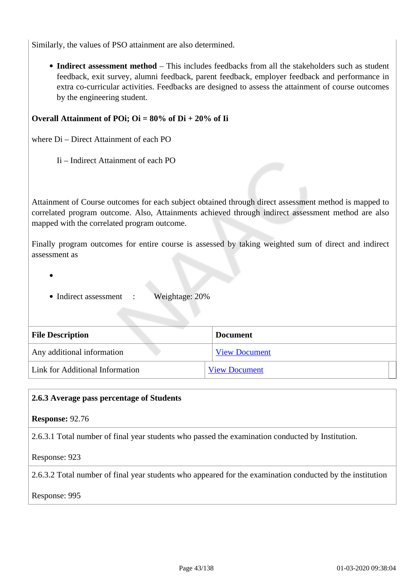Similarly, the values of PSO attainment are also determined.

• Indirect assessment method – This includes feedbacks from all the stakeholders such as student feedback, exit survey, alumni feedback, parent feedback, employer feedback and performance in extra co-curricular activities. Feedbacks are designed to assess the attainment of course outcomes by the engineering student.

# **Overall Attainment of POi; Oi = 80% of Di + 20% of Ii**

where Di – Direct Attainment of each PO

Ii – Indirect Attainment of each PO

Attainment of Course outcomes for each subject obtained through direct assessment method is mapped to correlated program outcome. Also, Attainments achieved through indirect assessment method are also mapped with the correlated program outcome.

Finally program outcomes for entire course is assessed by taking weighted sum of direct and indirect assessment as

- 
- Indirect assessment : Weightage: 20%

| <b>File Description</b>         | <b>Document</b>      |
|---------------------------------|----------------------|
| Any additional information      | <b>View Document</b> |
| Link for Additional Information | <b>View Document</b> |

### **2.6.3 Average pass percentage of Students**

**Response:** 92.76

2.6.3.1 Total number of final year students who passed the examination conducted by Institution.

Response: 923

2.6.3.2 Total number of final year students who appeared for the examination conducted by the institution

Response: 995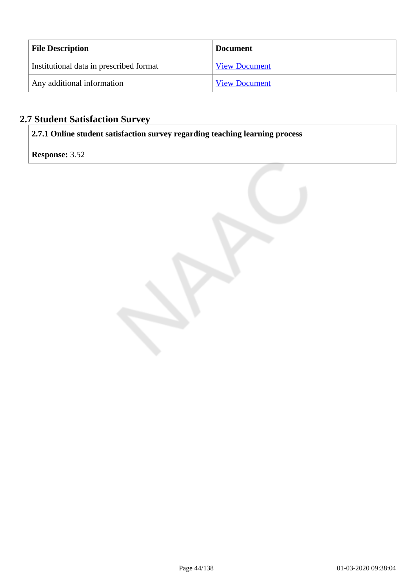| <b>File Description</b>                 | <b>Document</b>      |
|-----------------------------------------|----------------------|
| Institutional data in prescribed format | <b>View Document</b> |
| Any additional information              | <b>View Document</b> |

# **2.7 Student Satisfaction Survey**

**2.7.1 Online student satisfaction survey regarding teaching learning process**

**Response:** 3.52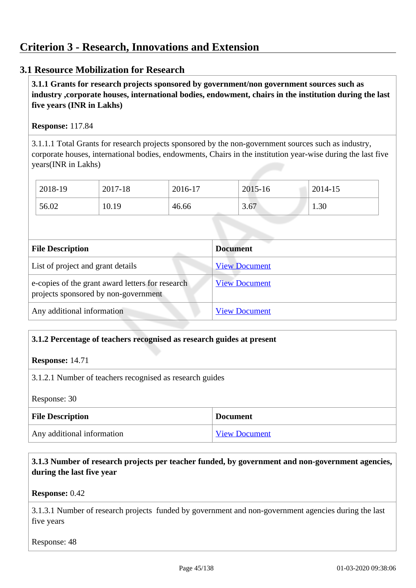# **3.1 Resource Mobilization for Research**

 **3.1.1 Grants for research projects sponsored by government/non government sources such as industry ,corporate houses, international bodies, endowment, chairs in the institution during the last five years (INR in Lakhs)** 

### **Response:** 117.84

3.1.1.1 Total Grants for research projects sponsored by the non-government sources such as industry, corporate houses, international bodies, endowments, Chairs in the institution year-wise during the last five years(INR in Lakhs)

| 2018-19 | 2017-18 | 2016-17 | 2015-16 | 2014-15 |
|---------|---------|---------|---------|---------|
| 56.02   | 10.19   | 46.66   | 3.67    | 1.30    |

| <b>File Description</b>                                                                  | <b>Document</b>      |
|------------------------------------------------------------------------------------------|----------------------|
| List of project and grant details                                                        | <b>View Document</b> |
| e-copies of the grant award letters for research<br>projects sponsored by non-government | <b>View Document</b> |
| Any additional information                                                               | <b>View Document</b> |

# **3.1.2 Percentage of teachers recognised as research guides at present**

**Response:** 14.71

3.1.2.1 Number of teachers recognised as research guides

Response: 30

| <b>File Description</b>    | <b>Document</b>      |
|----------------------------|----------------------|
| Any additional information | <b>View Document</b> |

# **3.1.3 Number of research projects per teacher funded, by government and non-government agencies, during the last five year**

### **Response:** 0.42

3.1.3.1 Number of research projects funded by government and non-government agencies during the last five years

Response: 48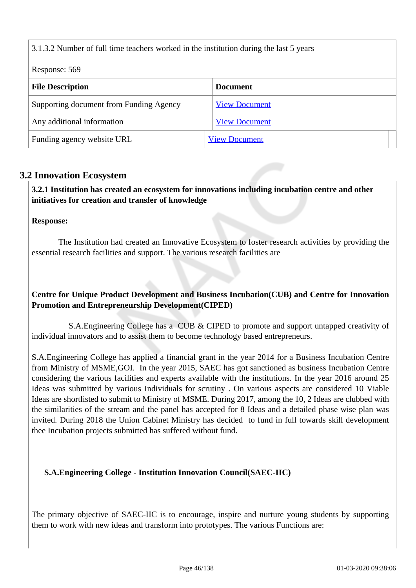3.1.3.2 Number of full time teachers worked in the institution during the last 5 years

Response: 569

| <b>File Description</b>                 | <b>Document</b>      |
|-----------------------------------------|----------------------|
| Supporting document from Funding Agency | <b>View Document</b> |
| Any additional information              | <b>View Document</b> |
| Funding agency website URL              | <b>View Document</b> |

# **3.2 Innovation Ecosystem**

 **3.2.1 Institution has created an ecosystem for innovations including incubation centre and other initiatives for creation and transfer of knowledge**

### **Response:**

 The Institution had created an Innovative Ecosystem to foster research activities by providing the essential research facilities and support. The various research facilities are

# **Centre for Unique Product Development and Business Incubation(CUB) and Centre for Innovation Promotion and Entrepreneurship Development(CIPED)**

 S.A.Engineering College has a CUB & CIPED to promote and support untapped creativity of individual innovators and to assist them to become technology based entrepreneurs.

S.A.Engineering College has applied a financial grant in the year 2014 for a Business Incubation Centre from Ministry of MSME,GOI. In the year 2015, SAEC has got sanctioned as business Incubation Centre considering the various facilities and experts available with the institutions. In the year 2016 around 25 Ideas was submitted by various Individuals for scrutiny . On various aspects are considered 10 Viable Ideas are shortlisted to submit to Ministry of MSME. During 2017, among the 10, 2 Ideas are clubbed with the similarities of the stream and the panel has accepted for 8 Ideas and a detailed phase wise plan was invited. During 2018 the Union Cabinet Ministry has decided to fund in full towards skill development thee Incubation projects submitted has suffered without fund.

# **S.A.Engineering College - Institution Innovation Council(SAEC-IIC)**

The primary objective of SAEC-IIC is to encourage, inspire and nurture young students by supporting them to work with new ideas and transform into prototypes. The various Functions are: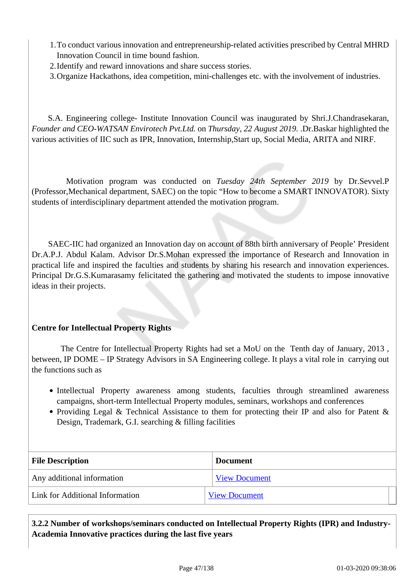- 1.To conduct various innovation and entrepreneurship-related activities prescribed by Central MHRD Innovation Council in time bound fashion.
- 2.Identify and reward innovations and share success stories.
- 3.Organize Hackathons, idea competition, mini-challenges etc. with the involvement of industries.

 S.A. Engineering college- Institute Innovation Council was inaugurated by Shri.J.Chandrasekaran, *Founder and CEO-WATSAN Envirotech Pvt.Ltd.* on *Thursday, 22 August 2019.* .Dr.Baskar highlighted the various activities of IIC such as IPR, Innovation, Internship,Start up, Social Media, ARITA and NIRF.

 Motivation program was conducted on *Tuesday 24th September 2019* by Dr.Sevvel.P (Professor,Mechanical department, SAEC) on the topic "How to become a SMART INNOVATOR). Sixty students of interdisciplinary department attended the motivation program.

 SAEC-IIC had organized an Innovation day on account of 88th birth anniversary of People' President Dr.A.P.J. Abdul Kalam. Advisor Dr.S.Mohan expressed the importance of Research and Innovation in practical life and inspired the faculties and students by sharing his research and innovation experiences. Principal Dr.G.S.Kumarasamy felicitated the gathering and motivated the students to impose innovative ideas in their projects.

### **Centre for Intellectual Property Rights**

 The Centre for Intellectual Property Rights had set a MoU on the Tenth day of January, 2013 , between, IP DOME – IP Strategy Advisors in SA Engineering college. It plays a vital role in carrying out the functions such as

- Intellectual Property awareness among students, faculties through streamlined awareness campaigns, short-term Intellectual Property modules, seminars, workshops and conferences
- Providing Legal & Technical Assistance to them for protecting their IP and also for Patent & Design, Trademark, G.I. searching & filling facilities

| <b>File Description</b>         | <b>Document</b>      |
|---------------------------------|----------------------|
| Any additional information      | <b>View Document</b> |
| Link for Additional Information | <b>View Document</b> |

 **3.2.2 Number of workshops/seminars conducted on Intellectual Property Rights (IPR) and Industry-Academia Innovative practices during the last five years**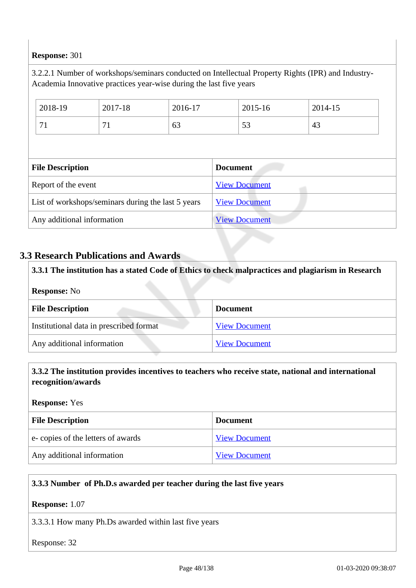# **Response:** 301

3.2.2.1 Number of workshops/seminars conducted on Intellectual Property Rights (IPR) and Industry-Academia Innovative practices year-wise during the last five years

| 2018-19                                            | 2017-18                    | 2016-17 | 2015-16              | 2014-15 |  |
|----------------------------------------------------|----------------------------|---------|----------------------|---------|--|
| 71                                                 | 71                         | 63      | 53                   | 43      |  |
|                                                    |                            |         |                      |         |  |
| <b>File Description</b>                            |                            |         | <b>Document</b>      |         |  |
| Report of the event                                |                            |         | <b>View Document</b> |         |  |
| List of workshops/seminars during the last 5 years |                            |         | <b>View Document</b> |         |  |
|                                                    | Any additional information |         |                      |         |  |

# **3.3 Research Publications and Awards**

| 3.3.1 The institution has a stated Code of Ethics to check malpractices and plagiarism in Research |                      |  |  |
|----------------------------------------------------------------------------------------------------|----------------------|--|--|
| <b>Response:</b> No                                                                                |                      |  |  |
| <b>File Description</b><br><b>Document</b>                                                         |                      |  |  |
| Institutional data in prescribed format                                                            | <b>View Document</b> |  |  |
| Any additional information                                                                         | <b>View Document</b> |  |  |

# **3.3.2 The institution provides incentives to teachers who receive state, national and international recognition/awards**

**Response:** Yes

| <b>File Description</b>           | <b>Document</b>      |
|-----------------------------------|----------------------|
| e-copies of the letters of awards | <b>View Document</b> |
| Any additional information        | <b>View Document</b> |

### **3.3.3 Number of Ph.D.s awarded per teacher during the last five years**

**Response:** 1.07

3.3.3.1 How many Ph.Ds awarded within last five years

### Response: 32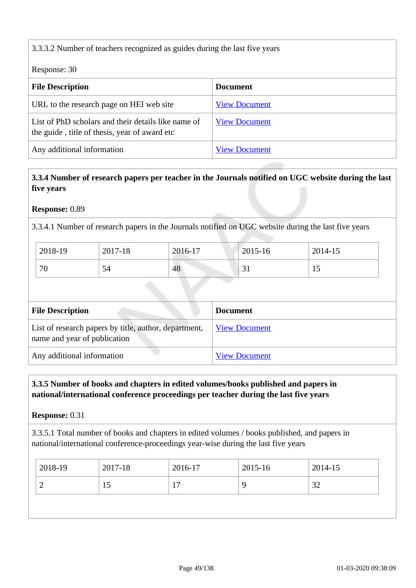3.3.3.2 Number of teachers recognized as guides during the last five years

Response: 30

| <b>File Description</b>                                                                              | <b>Document</b>      |
|------------------------------------------------------------------------------------------------------|----------------------|
| URL to the research page on HEI web site                                                             | <b>View Document</b> |
| List of PhD scholars and their details like name of<br>the guide, title of thesis, year of award etc | <b>View Document</b> |
| Any additional information                                                                           | <b>View Document</b> |

# **3.3.4 Number of research papers per teacher in the Journals notified on UGC website during the last five years**

### **Response:** 0.89

3.3.4.1 Number of research papers in the Journals notified on UGC website during the last five years

| 2018-19 | 2017-18 | 2016-17 | 2015-16 | 2014-15 |
|---------|---------|---------|---------|---------|
| 70      | -94     | 48      | ◡▴      | ⊥ັ      |

| <b>File Description</b>                                                               | <b>Document</b>      |
|---------------------------------------------------------------------------------------|----------------------|
| List of research papers by title, author, department,<br>name and year of publication | <b>View Document</b> |
| Any additional information                                                            | <b>View Document</b> |

# **3.3.5 Number of books and chapters in edited volumes/books published and papers in national/international conference proceedings per teacher during the last five years**

**Response:** 0.31

3.3.5.1 Total number of books and chapters in edited volumes / books published, and papers in national/international conference-proceedings year-wise during the last five years

| 2018-19 | 2017-18 | 2016-17 | 2015-16 | 2014-15 |
|---------|---------|---------|---------|---------|
| -       | 15      | 17      |         | 32      |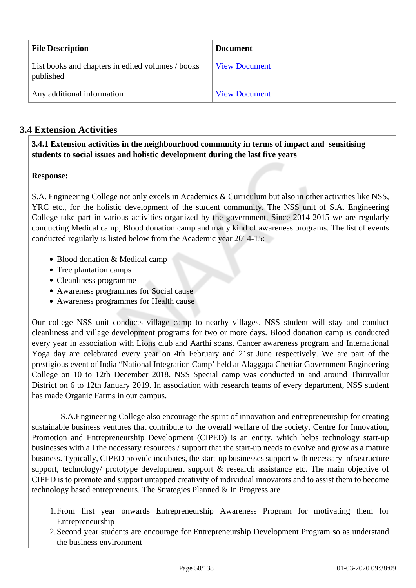| <b>File Description</b>                                        | <b>Document</b>      |
|----------------------------------------------------------------|----------------------|
| List books and chapters in edited volumes / books<br>published | <b>View Document</b> |
| Any additional information                                     | <b>View Document</b> |

# **3.4 Extension Activities**

 **3.4.1 Extension activities in the neighbourhood community in terms of impact and sensitising students to social issues and holistic development during the last five years**

# **Response:**

S.A. Engineering College not only excels in Academics & Curriculum but also in other activities like NSS, YRC etc., for the holistic development of the student community. The NSS unit of S.A. Engineering College take part in various activities organized by the government. Since 2014-2015 we are regularly conducting Medical camp, Blood donation camp and many kind of awareness programs. The list of events conducted regularly is listed below from the Academic year 2014-15:

- Blood donation & Medical camp
- Tree plantation camps
- Cleanliness programme
- Awareness programmes for Social cause
- Awareness programmes for Health cause

Our college NSS unit conducts village camp to nearby villages. NSS student will stay and conduct cleanliness and village development programs for two or more days. Blood donation camp is conducted every year in association with Lions club and Aarthi scans. Cancer awareness program and International Yoga day are celebrated every year on 4th February and 21st June respectively. We are part of the prestigious event of India "National Integration Camp' held at Alaggapa Chettiar Government Engineering College on 10 to 12th December 2018. NSS Special camp was conducted in and around Thiruvallur District on 6 to 12th January 2019. In association with research teams of every department, NSS student has made Organic Farms in our campus.

 S.A.Engineering College also encourage the spirit of innovation and entrepreneurship for creating sustainable business ventures that contribute to the overall welfare of the society. Centre for Innovation, Promotion and Entrepreneurship Development (CIPED) is an entity, which helps technology start-up businesses with all the necessary resources / support that the start-up needs to evolve and grow as a mature business. Typically, CIPED provide incubates, the start-up businesses support with necessary infrastructure support, technology/ prototype development support & research assistance etc. The main objective of CIPED is to promote and support untapped creativity of individual innovators and to assist them to become technology based entrepreneurs. The Strategies Planned & In Progress are

- 1.From first year onwards Entrepreneurship Awareness Program for motivating them for Entrepreneurship
- 2.Second year students are encourage for Entrepreneurship Development Program so as understand the business environment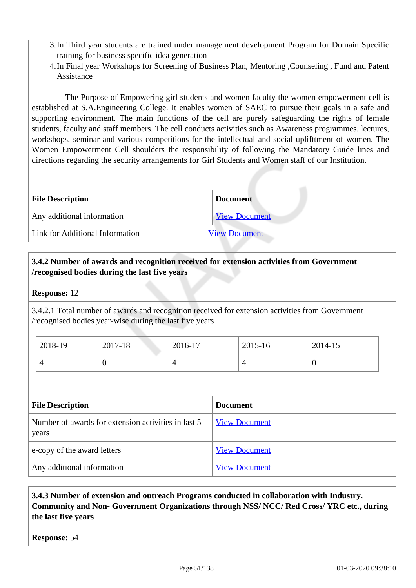- 3.In Third year students are trained under management development Program for Domain Specific training for business specific idea generation
- 4.In Final year Workshops for Screening of Business Plan, Mentoring ,Counseling , Fund and Patent Assistance

 The Purpose of Empowering girl students and women faculty the women empowerment cell is established at S.A.Engineering College. It enables women of SAEC to pursue their goals in a safe and supporting environment. The main functions of the cell are purely safeguarding the rights of female students, faculty and staff members. The cell conducts activities such as Awareness programmes, lectures, workshops, seminar and various competitions for the intellectual and social uplifttment of women. The Women Empowerment Cell shoulders the responsibility of following the Mandatory Guide lines and directions regarding the security arrangements for Girl Students and Women staff of our Institution.

| <b>File Description</b>         | <b>Document</b>      |  |
|---------------------------------|----------------------|--|
| Any additional information      | <b>View Document</b> |  |
| Link for Additional Information | <b>View Document</b> |  |

# **3.4.2 Number of awards and recognition received for extension activities from Government /recognised bodies during the last five years**

### **Response:** 12

3.4.2.1 Total number of awards and recognition received for extension activities from Government /recognised bodies year-wise during the last five years

| 2018-19 | 2017-18 | 2016-17 | 2015-16 | 2014-15 |
|---------|---------|---------|---------|---------|
|         |         |         | 4       |         |

| <b>File Description</b>                                      | Document             |
|--------------------------------------------------------------|----------------------|
| Number of awards for extension activities in last 5<br>years | <b>View Document</b> |
| e-copy of the award letters                                  | <b>View Document</b> |
| Any additional information                                   | <b>View Document</b> |

# **3.4.3 Number of extension and outreach Programs conducted in collaboration with Industry, Community and Non- Government Organizations through NSS/ NCC/ Red Cross/ YRC etc., during the last five years**

**Response:** 54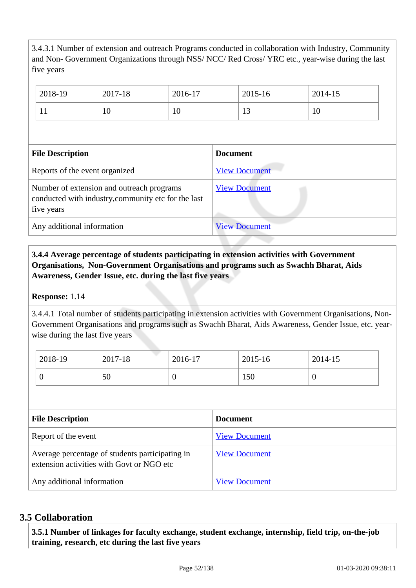3.4.3.1 Number of extension and outreach Programs conducted in collaboration with Industry, Community and Non- Government Organizations through NSS/ NCC/ Red Cross/ YRC etc., year-wise during the last five years

|                                                                                                                | 2018-19 | 2017-18 | 2016-17              |                      | $2015 - 16$ | 2014-15 |
|----------------------------------------------------------------------------------------------------------------|---------|---------|----------------------|----------------------|-------------|---------|
|                                                                                                                | 11      | 10      | 10                   |                      | 13          | 10      |
|                                                                                                                |         |         |                      |                      |             |         |
| <b>File Description</b>                                                                                        |         |         |                      | <b>Document</b>      |             |         |
| Reports of the event organized                                                                                 |         |         | <b>View Document</b> |                      |             |         |
| Number of extension and outreach programs<br>conducted with industry, community etc for the last<br>five years |         |         | <b>View Document</b> |                      |             |         |
| Any additional information                                                                                     |         |         |                      | <b>View Document</b> |             |         |

# **3.4.4 Average percentage of students participating in extension activities with Government Organisations, Non-Government Organisations and programs such as Swachh Bharat, Aids Awareness, Gender Issue, etc. during the last five years**

# **Response:** 1.14

3.4.4.1 Total number of students participating in extension activities with Government Organisations, Non-Government Organisations and programs such as Swachh Bharat, Aids Awareness, Gender Issue, etc. yearwise during the last five years

| 2018-19 | 2017-18 | 2016-17 | 2015-16 | 2014-15 |
|---------|---------|---------|---------|---------|
|         | ЭU      |         | 150     | ν       |

| <b>File Description</b>                                                                      | <b>Document</b>      |
|----------------------------------------------------------------------------------------------|----------------------|
| Report of the event                                                                          | <b>View Document</b> |
| Average percentage of students participating in<br>extension activities with Govt or NGO etc | <b>View Document</b> |
| Any additional information                                                                   | <b>View Document</b> |

# **3.5 Collaboration**

 **3.5.1 Number of linkages for faculty exchange, student exchange, internship, field trip, on-the-job training, research, etc during the last five years**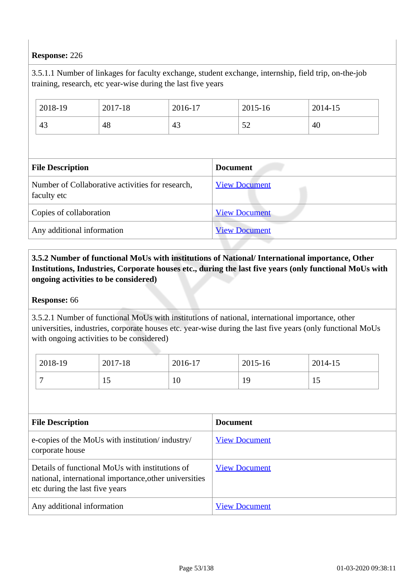# **Response:** 226

3.5.1.1 Number of linkages for faculty exchange, student exchange, internship, field trip, on-the-job training, research, etc year-wise during the last five years

| 2018-19                                                         | 2017-18 | 2016-17              |                      | 2015-16 | 2014-15 |
|-----------------------------------------------------------------|---------|----------------------|----------------------|---------|---------|
| 43                                                              | 48      | 43                   |                      | 52      | 40      |
|                                                                 |         |                      |                      |         |         |
| <b>File Description</b>                                         |         |                      | <b>Document</b>      |         |         |
| Number of Collaborative activities for research,<br>faculty etc |         |                      | <b>View Document</b> |         |         |
| Copies of collaboration                                         |         | <b>View Document</b> |                      |         |         |
| Any additional information                                      |         | <b>View Document</b> |                      |         |         |

# **3.5.2 Number of functional MoUs with institutions of National/ International importance, Other Institutions, Industries, Corporate houses etc., during the last five years (only functional MoUs with ongoing activities to be considered)**

### **Response:** 66

3.5.2.1 Number of functional MoUs with institutions of national, international importance, other universities, industries, corporate houses etc. year-wise during the last five years (only functional MoUs with ongoing activities to be considered)

| 2018-19 | 2017-18 | 2016-17          | 2015-16 | 2014-15       |
|---------|---------|------------------|---------|---------------|
|         | ⊥ື      | $\epsilon$<br>10 | 19      | $\sim$<br>⊥ J |

| <b>File Description</b>                                                                                                                     | <b>Document</b>      |
|---------------------------------------------------------------------------------------------------------------------------------------------|----------------------|
| e-copies of the MoUs with institution/industry/<br>corporate house                                                                          | <b>View Document</b> |
| Details of functional MoUs with institutions of<br>national, international importance, other universities<br>etc during the last five years | <b>View Document</b> |
| Any additional information                                                                                                                  | <b>View Document</b> |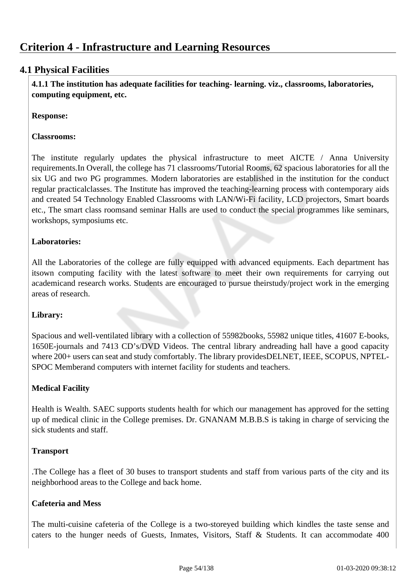# **4.1 Physical Facilities**

 **4.1.1 The institution has adequate facilities for teaching- learning. viz., classrooms, laboratories, computing equipment, etc.**

**Response:** 

# **Classrooms:**

The institute regularly updates the physical infrastructure to meet AICTE / Anna University requirements.In Overall, the college has 71 classrooms/Tutorial Rooms, 62 spacious laboratories for all the six UG and two PG programmes. Modern laboratories are established in the institution for the conduct regular practicalclasses. The Institute has improved the teaching-learning process with contemporary aids and created 54 Technology Enabled Classrooms with LAN/Wi-Fi facility, LCD projectors, Smart boards etc., The smart class roomsand seminar Halls are used to conduct the special programmes like seminars, workshops, symposiums etc.

# **Laboratories:**

All the Laboratories of the college are fully equipped with advanced equipments. Each department has itsown computing facility with the latest software to meet their own requirements for carrying out academicand research works. Students are encouraged to pursue theirstudy/project work in the emerging areas of research.

# **Library:**

Spacious and well-ventilated library with a collection of 55982books, 55982 unique titles, 41607 E-books, 1650E-journals and 7413 CD's/DVD Videos. The central library andreading hall have a good capacity where 200+ users can seat and study comfortably. The library providesDELNET, IEEE, SCOPUS, NPTEL-SPOC Memberand computers with internet facility for students and teachers.

# **Medical Facility**

Health is Wealth. SAEC supports students health for which our management has approved for the setting up of medical clinic in the College premises. Dr. GNANAM M.B.B.S is taking in charge of servicing the sick students and staff.

### **Transport**

.The College has a fleet of 30 buses to transport students and staff from various parts of the city and its neighborhood areas to the College and back home.

### **Cafeteria and Mess**

The multi-cuisine cafeteria of the College is a two-storeyed building which kindles the taste sense and caters to the hunger needs of Guests, Inmates, Visitors, Staff & Students. It can accommodate 400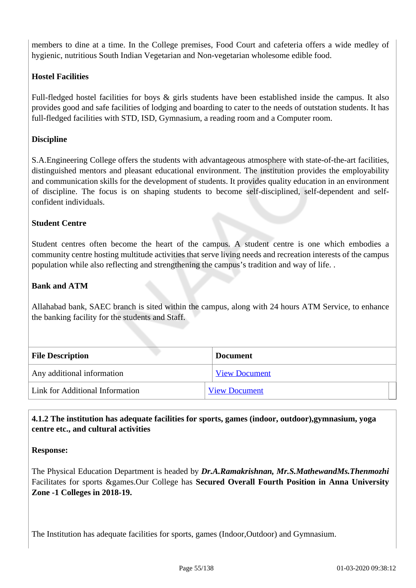members to dine at a time. In the College premises, Food Court and cafeteria offers a wide medley of hygienic, nutritious South Indian Vegetarian and Non-vegetarian wholesome edible food.

# **Hostel Facilities**

Full-fledged hostel facilities for boys & girls students have been established inside the campus. It also provides good and safe facilities of lodging and boarding to cater to the needs of outstation students. It has full-fledged facilities with STD, ISD, Gymnasium, a reading room and a Computer room.

### **Discipline**

S.A.Engineering College offers the students with advantageous atmosphere with state-of-the-art facilities, distinguished mentors and pleasant educational environment. The institution provides the employability and communication skills for the development of students. It provides quality education in an environment of discipline. The focus is on shaping students to become self-disciplined, self-dependent and selfconfident individuals.

### **Student Centre**

Student centres often become the heart of the campus. A student centre is one which embodies a community centre hosting multitude activities that serve living needs and recreation interests of the campus population while also reflecting and strengthening the campus's tradition and way of life. .

### **Bank and ATM**

Allahabad bank, SAEC branch is sited within the campus, along with 24 hours ATM Service, to enhance the banking facility for the students and Staff.

| <b>File Description</b>         | <b>Document</b>      |
|---------------------------------|----------------------|
| Any additional information      | <b>View Document</b> |
| Link for Additional Information | <b>View Document</b> |

# **4.1.2 The institution has adequate facilities for sports, games (indoor, outdoor),gymnasium, yoga centre etc., and cultural activities**

### **Response:**

The Physical Education Department is headed by *Dr.A.Ramakrishnan, Mr.S.MathewandMs.Thenmozhi* Facilitates for sports &games.Our College has **Secured Overall Fourth Position in Anna University Zone -1 Colleges in 2018-19.**

The Institution has adequate facilities for sports, games (Indoor,Outdoor) and Gymnasium.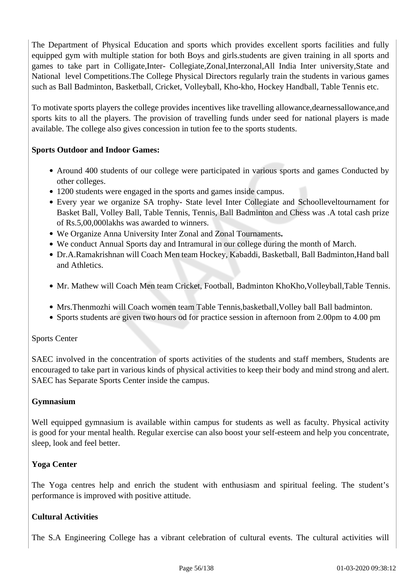The Department of Physical Education and sports which provides excellent sports facilities and fully equipped gym with multiple station for both Boys and girls.students are given training in all sports and games to take part in Colligate,Inter- Collegiate,Zonal,Interzonal,All India Inter university,State and National level Competitions.The College Physical Directors regularly train the students in various games such as Ball Badminton, Basketball, Cricket, Volleyball, Kho-kho, Hockey Handball, Table Tennis etc.

To motivate sports players the college provides incentives like travelling allowance,dearnessallowance,and sports kits to all the players. The provision of travelling funds under seed for national players is made available. The college also gives concession in tution fee to the sports students.

# **Sports Outdoor and Indoor Games:**

- Around 400 students of our college were participated in various sports and games Conducted by other colleges.
- 1200 students were engaged in the sports and games inside campus.
- Every year we organize SA trophy- State level Inter Collegiate and Schoolleveltournament for Basket Ball, Volley Ball, Table Tennis, Tennis, Ball Badminton and Chess was .A total cash prize of Rs.5,00,000lakhs was awarded to winners.
- We Organize Anna University Inter Zonal and Zonal Tournaments**.**
- We conduct Annual Sports day and Intramural in our college during the month of March.
- Dr.A.Ramakrishnan will Coach Men team Hockey, Kabaddi, Basketball, Ball Badminton,Hand ball and Athletics.
- Mr. Mathew will Coach Men team Cricket, Football, Badminton KhoKho, Volleyball, Table Tennis.
- Mrs. Thenmozhi will Coach women team Table Tennis, basketball, Volley ball Ball badminton.
- Sports students are given two hours od for practice session in afternoon from 2.00pm to 4.00 pm

### Sports Center

SAEC involved in the concentration of sports activities of the students and staff members, Students are encouraged to take part in various kinds of physical activities to keep their body and mind strong and alert. SAEC has Separate Sports Center inside the campus.

### **Gymnasium**

Well equipped gymnasium is available within campus for students as well as faculty. Physical activity is good for your mental health. Regular exercise can also boost your self-esteem and help you concentrate, sleep, look and feel better.

# **Yoga Center**

The Yoga centres help and enrich the student with enthusiasm and spiritual feeling. The student's performance is improved with positive attitude.

### **Cultural Activities**

The S.A Engineering College has a vibrant celebration of cultural events. The cultural activities will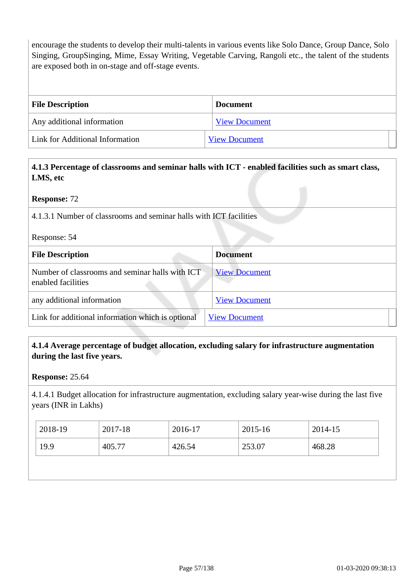encourage the students to develop their multi-talents in various events like Solo Dance, Group Dance, Solo Singing, GroupSinging, Mime, Essay Writing, Vegetable Carving, Rangoli etc., the talent of the students are exposed both in on-stage and off-stage events.

| <b>File Description</b>         | <b>Document</b>      |
|---------------------------------|----------------------|
| Any additional information      | <b>View Document</b> |
| Link for Additional Information | <b>View Document</b> |

# **4.1.3 Percentage of classrooms and seminar halls with ICT - enabled facilities such as smart class, LMS, etc**

### **Response:** 72

4.1.3.1 Number of classrooms and seminar halls with ICT facilities

Response: 54

| <b>File Description</b>                                               | <b>Document</b>      |
|-----------------------------------------------------------------------|----------------------|
| Number of classrooms and seminar halls with ICT<br>enabled facilities | <b>View Document</b> |
| any additional information                                            | <b>View Document</b> |
| Link for additional information which is optional                     | <b>View Document</b> |

# **4.1.4 Average percentage of budget allocation, excluding salary for infrastructure augmentation during the last five years.**

**Response:** 25.64

4.1.4.1 Budget allocation for infrastructure augmentation, excluding salary year-wise during the last five years (INR in Lakhs)

| $12018-19$<br>2017-18<br>2016-17 | 2015-16 | 2014-15 |
|----------------------------------|---------|---------|
| 19.9<br>426.54<br>405.77         | 253.07  | 468.28  |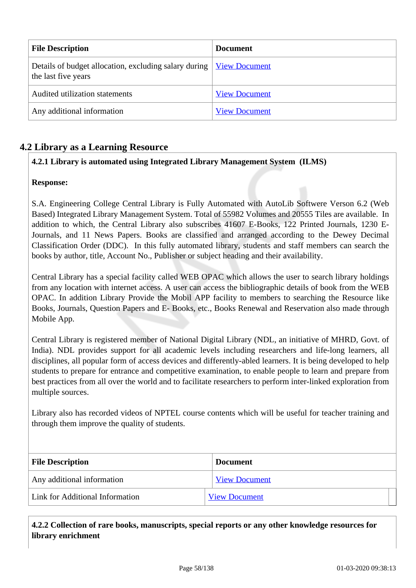| <b>File Description</b>                                                                             | <b>Document</b>      |
|-----------------------------------------------------------------------------------------------------|----------------------|
| Details of budget allocation, excluding salary during   <u>View Document</u><br>the last five years |                      |
| Audited utilization statements                                                                      | <b>View Document</b> |
| Any additional information                                                                          | <b>View Document</b> |

# **4.2 Library as a Learning Resource**

# **4.2.1 Library is automated using Integrated Library Management System (ILMS)**

# **Response:**

S.A. Engineering College Central Library is Fully Automated with AutoLib Softwere Verson 6.2 (Web Based) Integrated Library Management System. Total of 55982 Volumes and 20555 Tiles are available. In addition to which, the Central Library also subscribes 41607 E-Books, 122 Printed Journals, 1230 E-Journals, and 11 News Papers. Books are classified and arranged according to the Dewey Decimal Classification Order (DDC). In this fully automated library, students and staff members can search the books by author, title, Account No., Publisher or subject heading and their availability.

Central Library has a special facility called WEB OPAC which allows the user to search library holdings from any location with internet access. A user can access the bibliographic details of book from the WEB OPAC. In addition Library Provide the Mobil APP facility to members to searching the Resource like Books, Journals, Question Papers and E- Books, etc., Books Renewal and Reservation also made through Mobile App.

Central Library is registered member of National Digital Library (NDL, an initiative of MHRD, Govt. of India). NDL provides support for all academic levels including researchers and life-long learners, all disciplines, all popular form of access devices and differently-abled learners. It is being developed to help students to prepare for entrance and competitive examination, to enable people to learn and prepare from best practices from all over the world and to facilitate researchers to perform inter-linked exploration from multiple sources.

Library also has recorded videos of NPTEL course contents which will be useful for teacher training and through them improve the quality of students.

| <b>File Description</b>         | <b>Document</b>      |
|---------------------------------|----------------------|
| Any additional information      | <b>View Document</b> |
| Link for Additional Information | <b>View Document</b> |

 **4.2.2 Collection of rare books, manuscripts, special reports or any other knowledge resources for library enrichment**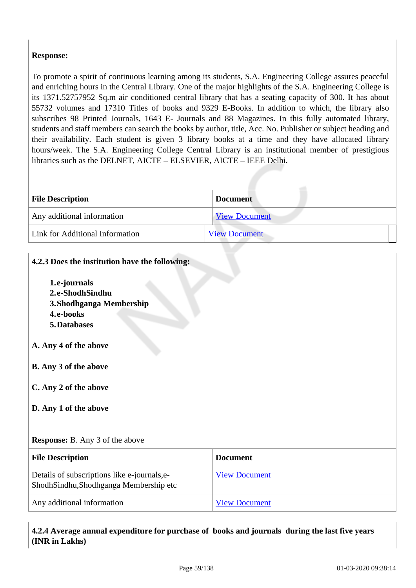# **Response:**

To promote a spirit of continuous learning among its students, S.A. Engineering College assures peaceful and enriching hours in the Central Library. One of the major highlights of the S.A. Engineering College is its 1371.52757952 Sq.m air conditioned central library that has a seating capacity of 300. It has about 55732 volumes and 17310 Titles of books and 9329 E-Books. In addition to which, the library also subscribes 98 Printed Journals, 1643 E- Journals and 88 Magazines. In this fully automated library, students and staff members can search the books by author, title, Acc. No. Publisher or subject heading and their availability. Each student is given 3 library books at a time and they have allocated library hours/week. The S.A. Engineering College Central Library is an institutional member of prestigious libraries such as the DELNET, AICTE – ELSEVIER, AICTE – IEEE Delhi.

| <b>File Description</b>         | <b>Document</b>      |
|---------------------------------|----------------------|
| Any additional information      | <b>View Document</b> |
| Link for Additional Information | <b>View Document</b> |

| 4.2.3 Does the institution have the following: |                      |
|------------------------------------------------|----------------------|
| 1.e-journals                                   |                      |
| 2.e-ShodhSindhu                                |                      |
| 3. Shodhganga Membership                       |                      |
| 4.e-books                                      |                      |
| 5. Databases                                   |                      |
| A. Any 4 of the above                          |                      |
| <b>B.</b> Any 3 of the above                   |                      |
| C. Any 2 of the above                          |                      |
| D. Any 1 of the above                          |                      |
| <b>Response:</b> B. Any 3 of the above         |                      |
| <b>File Description</b>                        | <b>Document</b>      |
| Details of subscriptions like e-journals, e-   | <b>View Document</b> |
| ShodhSindhu,Shodhganga Membership etc          |                      |
| Any additional information                     | <b>View Document</b> |

 **4.2.4 Average annual expenditure for purchase of books and journals during the last five years (INR in Lakhs)**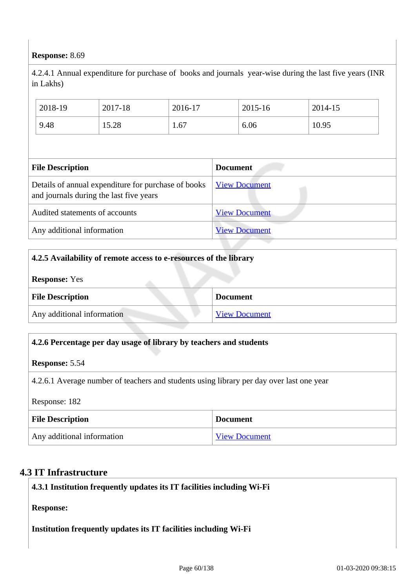# **Response:** 8.69

4.2.4.1 Annual expenditure for purchase of books and journals year-wise during the last five years (INR in Lakhs)

|                                                                                                | 2018-19 | 2017-18 | 2016-17              |  | 2015-16 | 2014-15 |
|------------------------------------------------------------------------------------------------|---------|---------|----------------------|--|---------|---------|
|                                                                                                | 9.48    | 15.28   | 1.67                 |  | 6.06    | 10.95   |
|                                                                                                |         |         |                      |  |         |         |
| <b>File Description</b>                                                                        |         |         | <b>Document</b>      |  |         |         |
| Details of annual expenditure for purchase of books<br>and journals during the last five years |         |         | <b>View Document</b> |  |         |         |
| Audited statements of accounts                                                                 |         |         | <b>View Document</b> |  |         |         |
| Any additional information                                                                     |         |         | <b>View Document</b> |  |         |         |

| 4.2.5 Availability of remote access to e-resources of the library |                      |  |
|-------------------------------------------------------------------|----------------------|--|
| <b>Response:</b> Yes                                              |                      |  |
| <b>File Description</b>                                           | <b>Document</b>      |  |
| Any additional information                                        | <b>View Document</b> |  |

| 4.2.6 Percentage per day usage of library by teachers and students<br><b>Response: 5.54</b><br>4.2.6.1 Average number of teachers and students using library per day over last one year |                      |                                            |  |
|-----------------------------------------------------------------------------------------------------------------------------------------------------------------------------------------|----------------------|--------------------------------------------|--|
|                                                                                                                                                                                         |                      | Response: 182                              |  |
|                                                                                                                                                                                         |                      | <b>File Description</b><br><b>Document</b> |  |
| Any additional information                                                                                                                                                              | <b>View Document</b> |                                            |  |

# **4.3 IT Infrastructure**

**4.3.1 Institution frequently updates its IT facilities including Wi-Fi**

**Response:** 

**Institution frequently updates its IT facilities including Wi-Fi**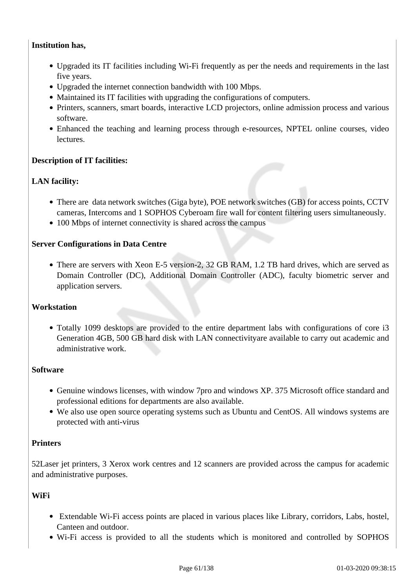### **Institution has,**

- Upgraded its IT facilities including Wi-Fi frequently as per the needs and requirements in the last five years.
- Upgraded the internet connection bandwidth with 100 Mbps.
- Maintained its IT facilities with upgrading the configurations of computers.
- Printers, scanners, smart boards, interactive LCD projectors, online admission process and various software.
- Enhanced the teaching and learning process through e-resources, NPTEL online courses, video lectures.

# **Description of IT facilities:**

# **LAN facility:**

- There are data network switches (Giga byte), POE network switches (GB) for access points, CCTV cameras, Intercoms and 1 SOPHOS Cyberoam fire wall for content filtering users simultaneously.
- 100 Mbps of internet connectivity is shared across the campus

### **Server Configurations in Data Centre**

• There are servers with Xeon E-5 version-2, 32 GB RAM, 1.2 TB hard drives, which are served as Domain Controller (DC), Additional Domain Controller (ADC), faculty biometric server and application servers.

### **Workstation**

Totally 1099 desktops are provided to the entire department labs with configurations of core i3 Generation 4GB, 500 GB hard disk with LAN connectivityare available to carry out academic and administrative work.

### **Software**

- Genuine windows licenses, with window 7pro and windows XP. 375 Microsoft office standard and professional editions for departments are also available.
- We also use open source operating systems such as Ubuntu and CentOS. All windows systems are protected with anti-virus

### **Printers**

52Laser jet printers, 3 Xerox work centres and 12 scanners are provided across the campus for academic and administrative purposes.

### **WiFi**

- Extendable Wi-Fi access points are placed in various places like Library, corridors, Labs, hostel, Canteen and outdoor.
- Wi-Fi access is provided to all the students which is monitored and controlled by SOPHOS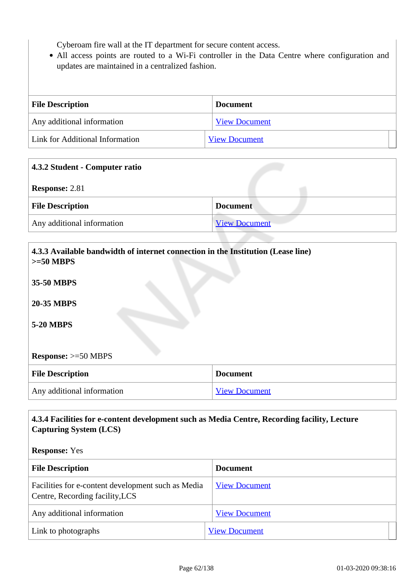Cyberoam fire wall at the IT department for secure content access.

All access points are routed to a Wi-Fi controller in the Data Centre where configuration and updates are maintained in a centralized fashion.

| <b>File Description</b>         | <b>Document</b>      |  |
|---------------------------------|----------------------|--|
| Any additional information      | <b>View Document</b> |  |
| Link for Additional Information | <b>View Document</b> |  |

| 4.3.2 Student - Computer ratio |                      |  |
|--------------------------------|----------------------|--|
| <b>Response: 2.81</b>          |                      |  |
| <b>File Description</b>        | <b>Document</b>      |  |
| Any additional information     | <b>View Document</b> |  |

| 4.3.3 Available bandwidth of internet connection in the Institution (Lease line)<br>$>=50$ MBPS |                      |  |
|-------------------------------------------------------------------------------------------------|----------------------|--|
| 35-50 MBPS                                                                                      |                      |  |
| <b>20-35 MBPS</b>                                                                               |                      |  |
| <b>5-20 MBPS</b>                                                                                |                      |  |
| <b>Response:</b> $>=50$ MBPS                                                                    |                      |  |
| <b>File Description</b>                                                                         | <b>Document</b>      |  |
| Any additional information                                                                      | <b>View Document</b> |  |

### **4.3.4 Facilities for e-content development such as Media Centre, Recording facility, Lecture Capturing System (LCS)**

**Response:** Yes **File Description Document** Facilities for e-content development such as Media Centre, Recording facility,LCS [View Document](https://assessmentonline.naac.gov.in/storage/app/hei/SSR/104196/4.3.4_1571976902_3837.xlsx) Any additional information  $\boxed{\text{View Document}}$  $\boxed{\text{View Document}}$  $\boxed{\text{View Document}}$ Link to photographs [View Document](https://saec.ac.in/pdf/Media%20Centre%20Facilities%20(E-Content).pdf)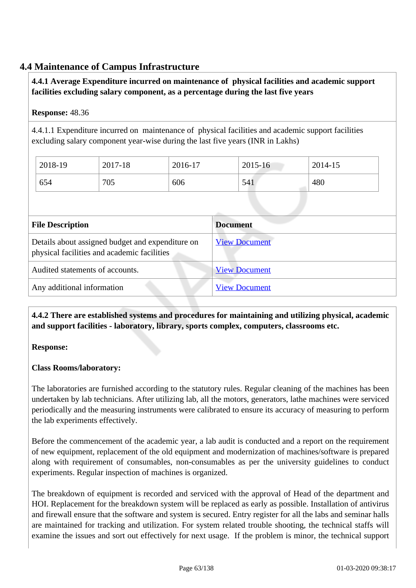# **4.4 Maintenance of Campus Infrastructure**

 **4.4.1 Average Expenditure incurred on maintenance of physical facilities and academic support facilities excluding salary component, as a percentage during the last five years**

# **Response:** 48.36

4.4.1.1 Expenditure incurred on maintenance of physical facilities and academic support facilities excluding salary component year-wise during the last five years (INR in Lakhs)

| 2018-19 | 2017-18 | 2016-17 | 2015-16 | 2014-15 |
|---------|---------|---------|---------|---------|
| 654     | 705     | 606     | 541     | 480     |

| <b>File Description</b>                                                                         | <b>Document</b>      |
|-------------------------------------------------------------------------------------------------|----------------------|
| Details about assigned budget and expenditure on<br>physical facilities and academic facilities | <b>View Document</b> |
| Audited statements of accounts.                                                                 | <b>View Document</b> |
| Any additional information                                                                      | <b>View Document</b> |

 **4.4.2 There are established systems and procedures for maintaining and utilizing physical, academic and support facilities - laboratory, library, sports complex, computers, classrooms etc.**

### **Response:**

### **Class Rooms/laboratory:**

The laboratories are furnished according to the statutory rules. Regular cleaning of the machines has been undertaken by lab technicians. After utilizing lab, all the motors, generators, lathe machines were serviced periodically and the measuring instruments were calibrated to ensure its accuracy of measuring to perform the lab experiments effectively.

Before the commencement of the academic year, a lab audit is conducted and a report on the requirement of new equipment, replacement of the old equipment and modernization of machines/software is prepared along with requirement of consumables, non-consumables as per the university guidelines to conduct experiments. Regular inspection of machines is organized.

The breakdown of equipment is recorded and serviced with the approval of Head of the department and HOI. Replacement for the breakdown system will be replaced as early as possible. Installation of antivirus and firewall ensure that the software and system is secured. Entry register for all the labs and seminar halls are maintained for tracking and utilization. For system related trouble shooting, the technical staffs will examine the issues and sort out effectively for next usage. If the problem is minor, the technical support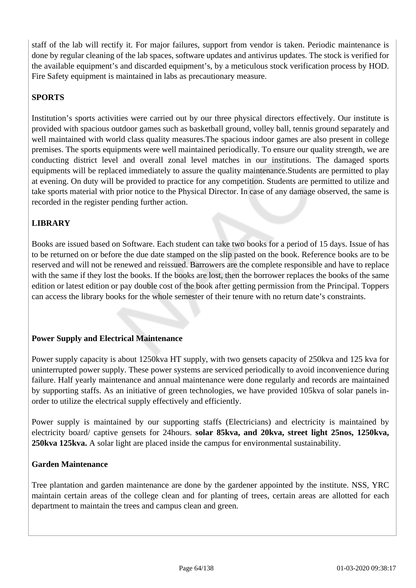staff of the lab will rectify it. For major failures, support from vendor is taken. Periodic maintenance is done by regular cleaning of the lab spaces, software updates and antivirus updates. The stock is verified for the available equipment's and discarded equipment's, by a meticulous stock verification process by HOD. Fire Safety equipment is maintained in labs as precautionary measure.

# **SPORTS**

Institution's sports activities were carried out by our three physical directors effectively. Our institute is provided with spacious outdoor games such as basketball ground, volley ball, tennis ground separately and well maintained with world class quality measures.The spacious indoor games are also present in college premises. The sports equipments were well maintained periodically. To ensure our quality strength, we are conducting district level and overall zonal level matches in our institutions. The damaged sports equipments will be replaced immediately to assure the quality maintenance.Students are permitted to play at evening. On duty will be provided to practice for any competition. Students are permitted to utilize and take sports material with prior notice to the Physical Director. In case of any damage observed, the same is recorded in the register pending further action.

# **LIBRARY**

Books are issued based on Software. Each student can take two books for a period of 15 days. Issue of has to be returned on or before the due date stamped on the slip pasted on the book. Reference books are to be reserved and will not be renewed and reissued. Barrowers are the complete responsible and have to replace with the same if they lost the books. If the books are lost, then the borrower replaces the books of the same edition or latest edition or pay double cost of the book after getting permission from the Principal. Toppers can access the library books for the whole semester of their tenure with no return date's constraints.

# **Power Supply and Electrical Maintenance**

Power supply capacity is about 1250kva HT supply, with two gensets capacity of 250kva and 125 kva for uninterrupted power supply. These power systems are serviced periodically to avoid inconvenience during failure. Half yearly maintenance and annual maintenance were done regularly and records are maintained by supporting staffs. As an initiative of green technologies, we have provided 105kva of solar panels inorder to utilize the electrical supply effectively and efficiently.

Power supply is maintained by our supporting staffs (Electricians) and electricity is maintained by electricity board/ captive gensets for 24hours. **solar 85kva, and 20kva, street light 25nos, 1250kva, 250kva 125kva.** A solar light are placed inside the campus for environmental sustainability.

# **Garden Maintenance**

Tree plantation and garden maintenance are done by the gardener appointed by the institute. NSS, YRC maintain certain areas of the college clean and for planting of trees, certain areas are allotted for each department to maintain the trees and campus clean and green.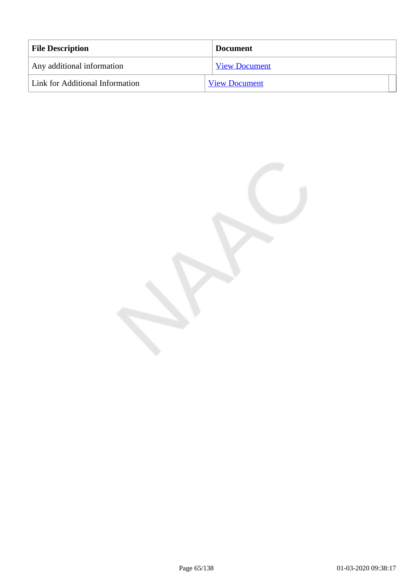| <b>File Description</b>         | <b>Document</b>      |  |
|---------------------------------|----------------------|--|
| Any additional information      | <b>View Document</b> |  |
| Link for Additional Information | <b>View Document</b> |  |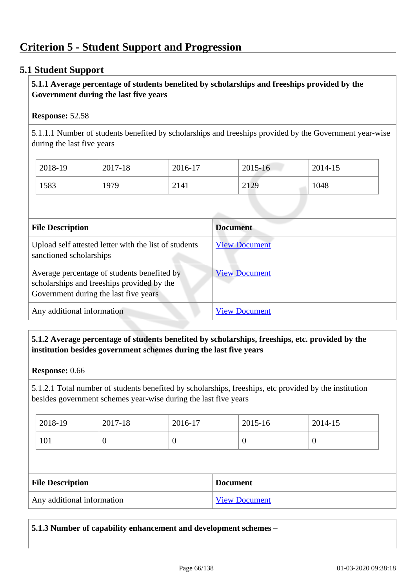# **5.1 Student Support**

# **5.1.1 Average percentage of students benefited by scholarships and freeships provided by the Government during the last five years**

### **Response:** 52.58

5.1.1.1 Number of students benefited by scholarships and freeships provided by the Government year-wise during the last five years

| 2018-19 | 2017-18 | 2016-17 | 2015-16 | 2014-15 |
|---------|---------|---------|---------|---------|
| 1583    | 1979    | 2141    | 2129    | 1048    |

| <b>File Description</b>                                                                                                            | <b>Document</b>      |
|------------------------------------------------------------------------------------------------------------------------------------|----------------------|
| Upload self attested letter with the list of students<br>sanctioned scholarships                                                   | <b>View Document</b> |
| Average percentage of students benefited by<br>scholarships and freeships provided by the<br>Government during the last five years | <b>View Document</b> |
| Any additional information                                                                                                         | <b>View Document</b> |

# **5.1.2 Average percentage of students benefited by scholarships, freeships, etc. provided by the institution besides government schemes during the last five years**

### **Response:** 0.66

5.1.2.1 Total number of students benefited by scholarships, freeships, etc provided by the institution besides government schemes year-wise during the last five years

| 2018-19 | 2017-18 | 2016-17 | 2015-16 | 2014-15 |
|---------|---------|---------|---------|---------|
| 101     | ν       |         | v       |         |

| <b>File Description</b>    | <b>Document</b>      |
|----------------------------|----------------------|
| Any additional information | <b>View Document</b> |

**5.1.3 Number of capability enhancement and development schemes –**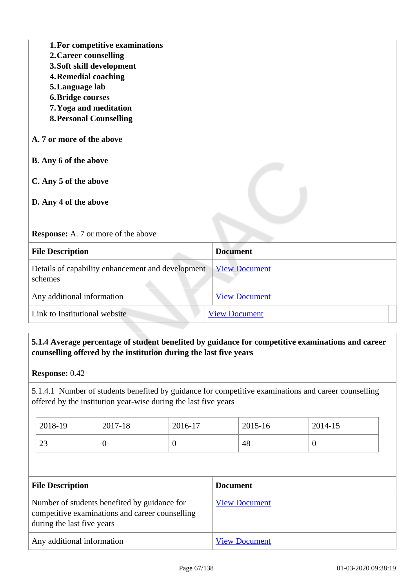| 1. For competitive examinations<br>2. Career counselling<br>3. Soft skill development<br><b>4. Remedial coaching</b><br>5. Language lab<br><b>6. Bridge courses</b><br>7. Yoga and meditation<br><b>8. Personal Counselling</b><br>A. 7 or more of the above<br>B. Any 6 of the above<br>C. Any 5 of the above<br>D. Any 4 of the above<br><b>Response:</b> A. 7 or more of the above |                      |
|---------------------------------------------------------------------------------------------------------------------------------------------------------------------------------------------------------------------------------------------------------------------------------------------------------------------------------------------------------------------------------------|----------------------|
| <b>File Description</b>                                                                                                                                                                                                                                                                                                                                                               | <b>Document</b>      |
| Details of capability enhancement and development<br>schemes                                                                                                                                                                                                                                                                                                                          | <b>View Document</b> |
| Any additional information                                                                                                                                                                                                                                                                                                                                                            | <b>View Document</b> |
| Link to Institutional website                                                                                                                                                                                                                                                                                                                                                         | <b>View Document</b> |

# **5.1.4 Average percentage of student benefited by guidance for competitive examinations and career counselling offered by the institution during the last five years**

5.1.4.1 Number of students benefited by guidance for competitive examinations and career counselling offered by the institution year-wise during the last five years

| 2018-19      | 2017-18 | 2016-17 | 2015-16 | 2014-15          |
|--------------|---------|---------|---------|------------------|
| $\cap$<br>23 |         | ν       | 48      | $\boldsymbol{0}$ |

| <b>File Description</b>                                                                                                       | <b>Document</b>      |
|-------------------------------------------------------------------------------------------------------------------------------|----------------------|
| Number of students benefited by guidance for<br>competitive examinations and career counselling<br>during the last five years | <b>View Document</b> |
| Any additional information                                                                                                    | <b>View Document</b> |

**Response:** 0.42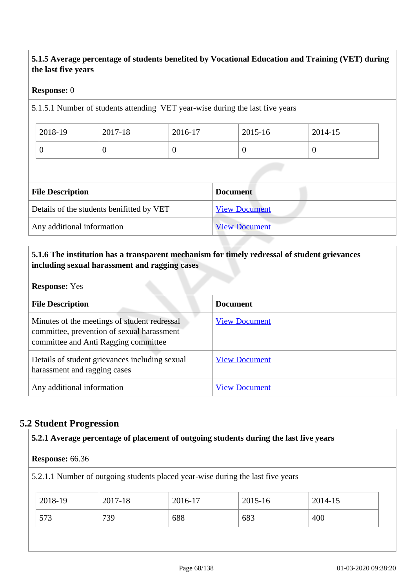# **5.1.5 Average percentage of students benefited by Vocational Education and Training (VET) during the last five years**

### **Response:** 0

5.1.5.1 Number of students attending VET year-wise during the last five years

| 2018-19 | 2017-18 | 2016-17 | 2015-16 | 2014-15 |
|---------|---------|---------|---------|---------|
|         | ν       |         | ν       | ◡       |

| <b>File Description</b>                   | <b>Document</b>      |
|-------------------------------------------|----------------------|
| Details of the students benifitted by VET | <b>View Document</b> |
| Any additional information                | <b>View Document</b> |

# **5.1.6 The institution has a transparent mechanism for timely redressal of student grievances including sexual harassment and ragging cases**

### **Response:** Yes

| <b>File Description</b>                                                                                                            | <b>Document</b>      |
|------------------------------------------------------------------------------------------------------------------------------------|----------------------|
| Minutes of the meetings of student redressal<br>committee, prevention of sexual harassment<br>committee and Anti Ragging committee | <b>View Document</b> |
| Details of student grievances including sexual<br>harassment and ragging cases                                                     | <b>View Document</b> |
| Any additional information                                                                                                         | <b>View Document</b> |

# **5.2 Student Progression**

| <b>Response:</b> 66.36 |         |                                                                                 |             |         |
|------------------------|---------|---------------------------------------------------------------------------------|-------------|---------|
|                        |         | 5.2.1.1 Number of outgoing students placed year-wise during the last five years |             |         |
| 2018-19                |         |                                                                                 |             |         |
|                        | 2017-18 | 2016-17                                                                         | $2015 - 16$ | 2014-15 |
|                        |         |                                                                                 |             |         |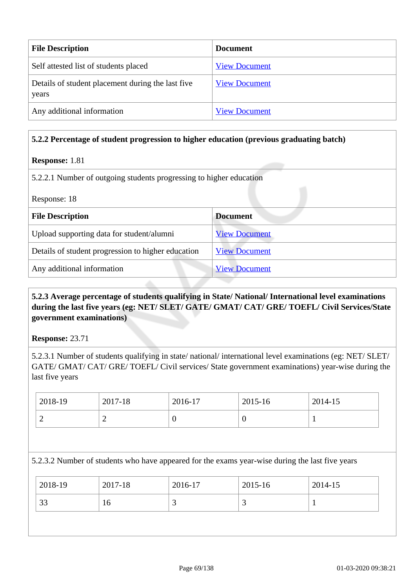| <b>File Description</b>                                    | <b>Document</b>      |
|------------------------------------------------------------|----------------------|
| Self attested list of students placed                      | <b>View Document</b> |
| Details of student placement during the last five<br>years | <b>View Document</b> |
| Any additional information                                 | <b>View Document</b> |

### **5.2.2 Percentage of student progression to higher education (previous graduating batch)**

### **Response:** 1.81

5.2.2.1 Number of outgoing students progressing to higher education

| Response: 18                                       |                      |  |  |
|----------------------------------------------------|----------------------|--|--|
| <b>File Description</b>                            | <b>Document</b>      |  |  |
| Upload supporting data for student/alumni          | <b>View Document</b> |  |  |
| Details of student progression to higher education | <b>View Document</b> |  |  |
| Any additional information                         | <b>View Document</b> |  |  |

# **5.2.3 Average percentage of students qualifying in State/ National/ International level examinations during the last five years (eg: NET/ SLET/ GATE/ GMAT/ CAT/ GRE/ TOEFL/ Civil Services/State government examinations)**

**Response:** 23.71

5.2.3.1 Number of students qualifying in state/ national/ international level examinations (eg: NET/ SLET/ GATE/ GMAT/ CAT/ GRE/ TOEFL/ Civil services/ State government examinations) year-wise during the last five years

| 2018-19 | 2017-18 | 2016-17 | 2015-16 | 2014-15 |
|---------|---------|---------|---------|---------|
| ∽       | -       | U       | ν       |         |

### 5.2.3.2 Number of students who have appeared for the exams year-wise during the last five years

| 33<br>16.<br>~ | $ 2018-19\rangle$ | 2017-18 | 2016-17 | 2015-16 | 2014-15 |
|----------------|-------------------|---------|---------|---------|---------|
|                |                   |         |         |         |         |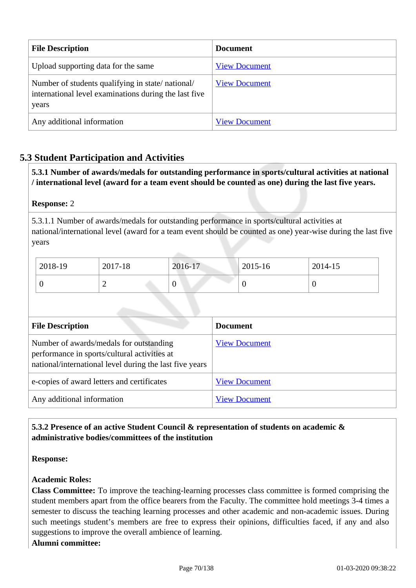| <b>File Description</b>                                                                                            | <b>Document</b>      |
|--------------------------------------------------------------------------------------------------------------------|----------------------|
| Upload supporting data for the same                                                                                | <b>View Document</b> |
| Number of students qualifying in state/national/<br>international level examinations during the last five<br>years | <b>View Document</b> |
| Any additional information                                                                                         | <b>View Document</b> |

# **5.3 Student Participation and Activities**

 **5.3.1 Number of awards/medals for outstanding performance in sports/cultural activities at national / international level (award for a team event should be counted as one) during the last five years.**

### **Response:** 2

5.3.1.1 Number of awards/medals for outstanding performance in sports/cultural activities at national/international level (award for a team event should be counted as one) year-wise during the last five years

| 2018-19 | 2017-18 | 2016-17 | 2015-16 | 2014-15 |
|---------|---------|---------|---------|---------|
|         | ∼       | 0       | ິ       | ັ       |

| <b>File Description</b>                                                                                                                            | <b>Document</b>      |
|----------------------------------------------------------------------------------------------------------------------------------------------------|----------------------|
| Number of awards/medals for outstanding<br>performance in sports/cultural activities at<br>national/international level during the last five years | <b>View Document</b> |
| e-copies of award letters and certificates                                                                                                         | <b>View Document</b> |
| Any additional information                                                                                                                         | <b>View Document</b> |

# **5.3.2 Presence of an active Student Council & representation of students on academic & administrative bodies/committees of the institution**

### **Response:**

### **Academic Roles:**

**Class Committee:** To improve the teaching-learning processes class committee is formed comprising the student members apart from the office bearers from the Faculty. The committee hold meetings 3-4 times a semester to discuss the teaching learning processes and other academic and non-academic issues. During such meetings student's members are free to express their opinions, difficulties faced, if any and also suggestions to improve the overall ambience of learning. **Alumni committee:**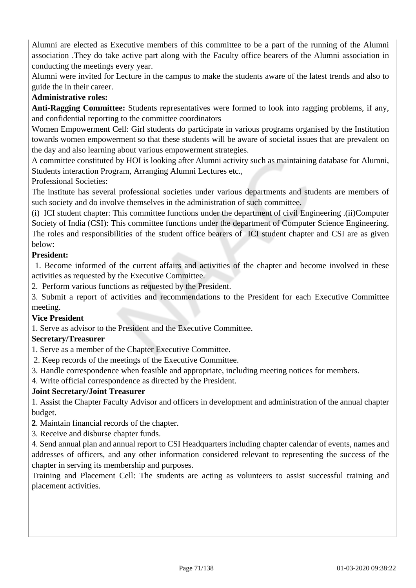Alumni are elected as Executive members of this committee to be a part of the running of the Alumni association .They do take active part along with the Faculty office bearers of the Alumni association in conducting the meetings every year.

Alumni were invited for Lecture in the campus to make the students aware of the latest trends and also to guide the in their career.

# **Administrative roles:**

**Anti-Ragging Committee:** Students representatives were formed to look into ragging problems, if any, and confidential reporting to the committee coordinators

Women Empowerment Cell: Girl students do participate in various programs organised by the Institution towards women empowerment so that these students will be aware of societal issues that are prevalent on the day and also learning about various empowerment strategies.

A committee constituted by HOI is looking after Alumni activity such as maintaining database for Alumni, Students interaction Program, Arranging Alumni Lectures etc.,

Professional Societies:

The institute has several professional societies under various departments and students are members of such society and do involve themselves in the administration of such committee.

(i) ICI student chapter: This committee functions under the department of civil Engineering .(ii)Computer Society of India (CSI): This committee functions under the department of Computer Science Engineering. The roles and responsibilities of the student office bearers of ICI student chapter and CSI are as given below:

### **President:**

 1. Become informed of the current affairs and activities of the chapter and become involved in these activities as requested by the Executive Committee.

2. Perform various functions as requested by the President.

3. Submit a report of activities and recommendations to the President for each Executive Committee meeting.

### **Vice President**

1. Serve as advisor to the President and the Executive Committee.

### **Secretary/Treasurer**

1. Serve as a member of the Chapter Executive Committee.

2. Keep records of the meetings of the Executive Committee.

3. Handle correspondence when feasible and appropriate, including meeting notices for members.

4. Write official correspondence as directed by the President.

### **Joint Secretary/Joint Treasurer**

1. Assist the Chapter Faculty Advisor and officers in development and administration of the annual chapter budget.

**2**. Maintain financial records of the chapter.

3. Receive and disburse chapter funds.

4. Send annual plan and annual report to CSI Headquarters including chapter calendar of events, names and addresses of officers, and any other information considered relevant to representing the success of the chapter in serving its membership and purposes.

Training and Placement Cell: The students are acting as volunteers to assist successful training and placement activities.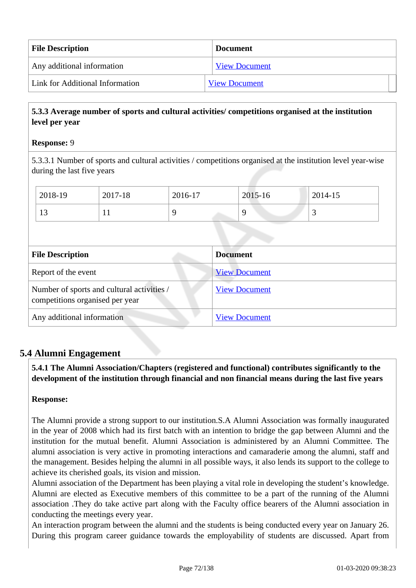| <b>File Description</b>         | <b>Document</b>      |
|---------------------------------|----------------------|
| Any additional information      | <b>View Document</b> |
| Link for Additional Information | <b>View Document</b> |

# **5.3.3 Average number of sports and cultural activities/ competitions organised at the institution level per year**

### **Response:** 9

5.3.3.1 Number of sports and cultural activities / competitions organised at the institution level year-wise during the last five years

| 2018-19        | 2017-18 | 2016-17 | 2015-16 | 2014-15 |
|----------------|---------|---------|---------|---------|
| 1 <sub>2</sub> | . .     |         | U       |         |

| <b>File Description</b>                                                       | <b>Document</b>      |
|-------------------------------------------------------------------------------|----------------------|
| Report of the event                                                           | <b>View Document</b> |
| Number of sports and cultural activities /<br>competitions organised per year | <b>View Document</b> |
| Any additional information                                                    | <b>View Document</b> |

# **5.4 Alumni Engagement**

 **5.4.1 The Alumni Association/Chapters (registered and functional) contributes significantly to the development of the institution through financial and non financial means during the last five years**

### **Response:**

The Alumni provide a strong support to our institution.S.A Alumni Association was formally inaugurated in the year of 2008 which had its first batch with an intention to bridge the gap between Alumni and the institution for the mutual benefit. Alumni Association is administered by an Alumni Committee. The alumni association is very active in promoting interactions and camaraderie among the alumni, staff and the management. Besides helping the alumni in all possible ways, it also lends its support to the college to achieve its cherished goals, its vision and mission.

Alumni association of the Department has been playing a vital role in developing the student's knowledge. Alumni are elected as Executive members of this committee to be a part of the running of the Alumni association .They do take active part along with the Faculty office bearers of the Alumni association in conducting the meetings every year.

An interaction program between the alumni and the students is being conducted every year on January 26. During this program career guidance towards the employability of students are discussed. Apart from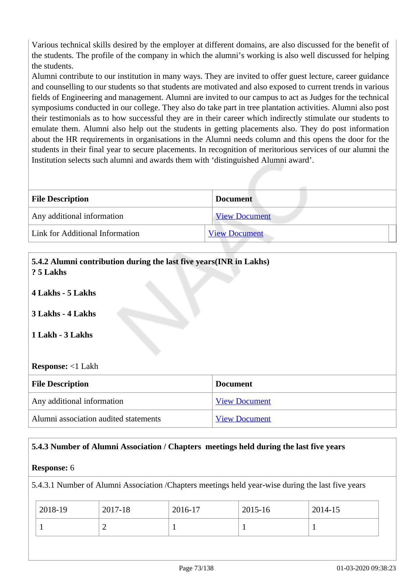Various technical skills desired by the employer at different domains, are also discussed for the benefit of the students. The profile of the company in which the alumni's working is also well discussed for helping the students.

Alumni contribute to our institution in many ways. They are invited to offer guest lecture, career guidance and counselling to our students so that students are motivated and also exposed to current trends in various fields of Engineering and management. Alumni are invited to our campus to act as Judges for the technical symposiums conducted in our college. They also do take part in tree plantation activities. Alumni also post their testimonials as to how successful they are in their career which indirectly stimulate our students to emulate them. Alumni also help out the students in getting placements also. They do post information about the HR requirements in organisations in the Alumni needs column and this opens the door for the students in their final year to secure placements. In recognition of meritorious services of our alumni the Institution selects such alumni and awards them with 'distinguished Alumni award'.

| <b>File Description</b>         | <b>Document</b>      |  |
|---------------------------------|----------------------|--|
| Any additional information      | <b>View Document</b> |  |
| Link for Additional Information | <b>View Document</b> |  |

| 5.4.2 Alumni contribution during the last five years (INR in Lakhs)<br>? 5 Lakhs |                      |  |
|----------------------------------------------------------------------------------|----------------------|--|
| 4 Lakhs - 5 Lakhs                                                                |                      |  |
| 3 Lakhs - 4 Lakhs                                                                |                      |  |
| 1 Lakh - 3 Lakhs                                                                 |                      |  |
| <b>Response:</b> <1 Lakh                                                         |                      |  |
| <b>File Description</b>                                                          | <b>Document</b>      |  |
| Any additional information                                                       | <b>View Document</b> |  |
| Alumni association audited statements                                            | <b>View Document</b> |  |

### **5.4.3 Number of Alumni Association / Chapters meetings held during the last five years**

#### **Response:** 6

5.4.3.1 Number of Alumni Association /Chapters meetings held year-wise during the last five years

| $12018-19$ | 2017-18 | 2016-17 | $2015 - 16$ | 2014-15 |
|------------|---------|---------|-------------|---------|
|            | -       |         |             |         |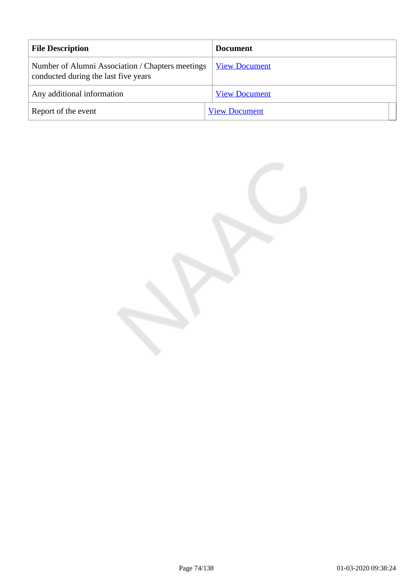| <b>File Description</b>                                                                  | <b>Document</b>      |
|------------------------------------------------------------------------------------------|----------------------|
| Number of Alumni Association / Chapters meetings<br>conducted during the last five years | <b>View Document</b> |
| Any additional information                                                               | <b>View Document</b> |
| Report of the event                                                                      | <b>View Document</b> |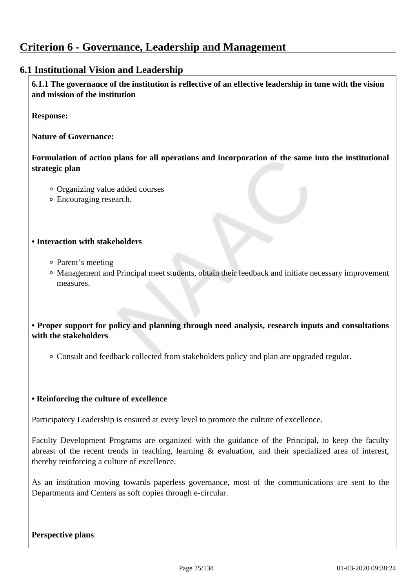# **Criterion 6 - Governance, Leadership and Management**

# **6.1 Institutional Vision and Leadership**

 **6.1.1 The governance of the institution is reflective of an effective leadership in tune with the vision and mission of the institution**

**Response:** 

**Nature of Governance:**

**Formulation of action plans for all operations and incorporation of the same into the institutional strategic plan** 

- Organizing value added courses
- Encouraging research.

#### **• Interaction with stakeholders**

- Parent's meeting
- Management and Principal meet students, obtain their feedback and initiate necessary improvement measures.

**• Proper support for policy and planning through need analysis, research inputs and consultations with the stakeholders** 

Consult and feedback collected from stakeholders policy and plan are upgraded regular.

### **• Reinforcing the culture of excellence**

Participatory Leadership is ensured at every level to promote the culture of excellence.

Faculty Development Programs are organized with the guidance of the Principal, to keep the faculty abreast of the recent trends in teaching, learning & evaluation, and their specialized area of interest, thereby reinforcing a culture of excellence.

As an institution moving towards paperless governance, most of the communications are sent to the Departments and Centers as soft copies through e-circular.

#### **Perspective plans**: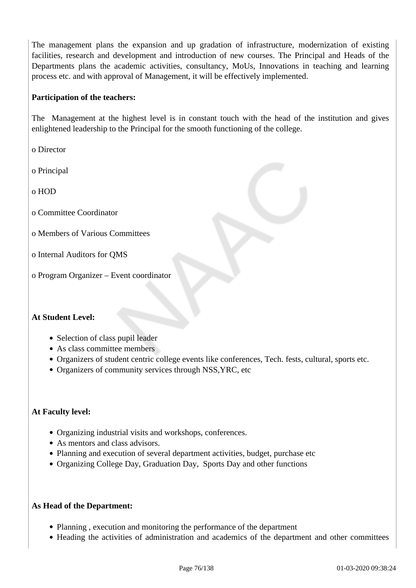The management plans the expansion and up gradation of infrastructure, modernization of existing facilities, research and development and introduction of new courses. The Principal and Heads of the Departments plans the academic activities, consultancy, MoUs, Innovations in teaching and learning process etc. and with approval of Management, it will be effectively implemented.

### **Participation of the teachers:**

The Management at the highest level is in constant touch with the head of the institution and gives enlightened leadership to the Principal for the smooth functioning of the college.

o Director

o Principal

o HOD

o Committee Coordinator

o Members of Various Committees

o Internal Auditors for QMS

o Program Organizer – Event coordinator

### **At Student Level:**

- Selection of class pupil leader
- As class committee members
- Organizers of student centric college events like conferences, Tech. fests, cultural, sports etc.
- Organizers of community services through NSS,YRC, etc

### **At Faculty level:**

- Organizing industrial visits and workshops, conferences.
- As mentors and class advisors.
- Planning and execution of several department activities, budget, purchase etc
- Organizing College Day, Graduation Day, Sports Day and other functions

### **As Head of the Department:**

- Planning , execution and monitoring the performance of the department
- Heading the activities of administration and academics of the department and other committees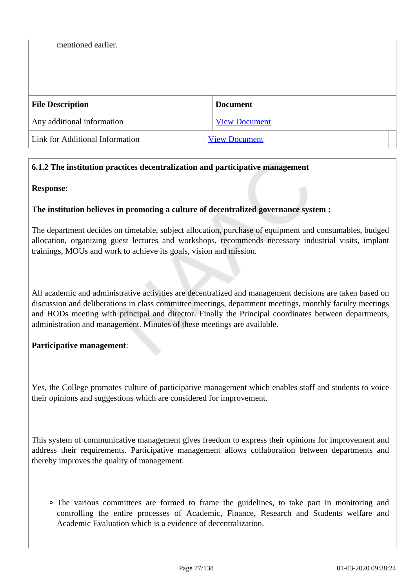mentioned earlier.

| <b>File Description</b>         | <b>Document</b>      |
|---------------------------------|----------------------|
| Any additional information      | <b>View Document</b> |
| Link for Additional Information | <b>View Document</b> |

### **6.1.2 The institution practices decentralization and participative management**

**Response:** 

#### **The institution believes in promoting a culture of decentralized governance system :**

The department decides on timetable, subject allocation, purchase of equipment and consumables, budged allocation, organizing guest lectures and workshops, recommends necessary industrial visits, implant trainings, MOUs and work to achieve its goals, vision and mission.

All academic and administrative activities are decentralized and management decisions are taken based on discussion and deliberations in class committee meetings, department meetings, monthly faculty meetings and HODs meeting with principal and director. Finally the Principal coordinates between departments, administration and management. Minutes of these meetings are available.

### **Participative management**:

Yes, the College promotes culture of participative management which enables staff and students to voice their opinions and suggestions which are considered for improvement.

This system of communicative management gives freedom to express their opinions for improvement and address their requirements. Participative management allows collaboration between departments and thereby improves the quality of management.

The various committees are formed to frame the guidelines, to take part in monitoring and controlling the entire processes of Academic, Finance, Research and Students welfare and Academic Evaluation which is a evidence of decentralization.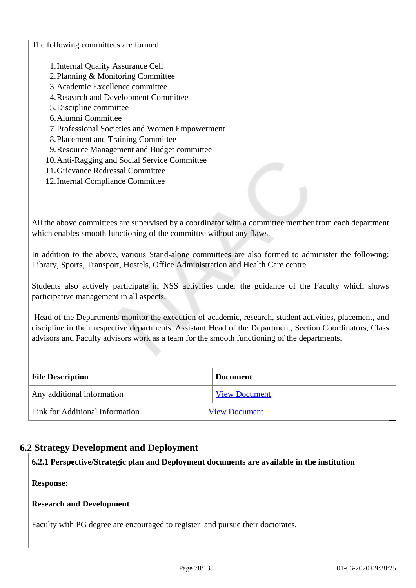| The following committees are formed:                                                                                                                                                                                                                                                                                                                                                                                                                                        |                                                                                                                                                                                                                                                                                                                                                                                                                                                                                                                                              |
|-----------------------------------------------------------------------------------------------------------------------------------------------------------------------------------------------------------------------------------------------------------------------------------------------------------------------------------------------------------------------------------------------------------------------------------------------------------------------------|----------------------------------------------------------------------------------------------------------------------------------------------------------------------------------------------------------------------------------------------------------------------------------------------------------------------------------------------------------------------------------------------------------------------------------------------------------------------------------------------------------------------------------------------|
| 1. Internal Quality Assurance Cell<br>2. Planning & Monitoring Committee<br>3. Academic Excellence committee<br>4. Research and Development Committee<br>5. Discipline committee<br>6. Alumni Committee<br>7. Professional Societies and Women Empowerment<br>8. Placement and Training Committee<br>9. Resource Management and Budget committee<br>10. Anti-Ragging and Social Service Committee<br>11. Grievance Redressal Committee<br>12. Internal Compliance Committee |                                                                                                                                                                                                                                                                                                                                                                                                                                                                                                                                              |
|                                                                                                                                                                                                                                                                                                                                                                                                                                                                             |                                                                                                                                                                                                                                                                                                                                                                                                                                                                                                                                              |
| which enables smooth functioning of the committee without any flaws.<br>Library, Sports, Transport, Hostels, Office Administration and Health Care centre.<br>participative management in all aspects.                                                                                                                                                                                                                                                                      | All the above committees are supervised by a coordinator with a committee member from each department<br>In addition to the above, various Stand-alone committees are also formed to administer the following:<br>Students also actively participate in NSS activities under the guidance of the Faculty which shows<br>Head of the Departments monitor the execution of academic, research, student activities, placement, and<br>discipline in their respective departments. Assistant Head of the Department, Section Coordinators, Class |
|                                                                                                                                                                                                                                                                                                                                                                                                                                                                             | advisors and Faculty advisors work as a team for the smooth functioning of the departments.                                                                                                                                                                                                                                                                                                                                                                                                                                                  |
|                                                                                                                                                                                                                                                                                                                                                                                                                                                                             | <b>Document</b>                                                                                                                                                                                                                                                                                                                                                                                                                                                                                                                              |
| <b>File Description</b><br>Any additional information<br>Link for Additional Information                                                                                                                                                                                                                                                                                                                                                                                    | <b>View Document</b><br><b>View Document</b>                                                                                                                                                                                                                                                                                                                                                                                                                                                                                                 |

# **6.2 Strategy Development and Deployment**

**6.2.1 Perspective/Strategic plan and Deployment documents are available in the institution**

### **Response:**

# **Research and Development**

Faculty with PG degree are encouraged to register and pursue their doctorates.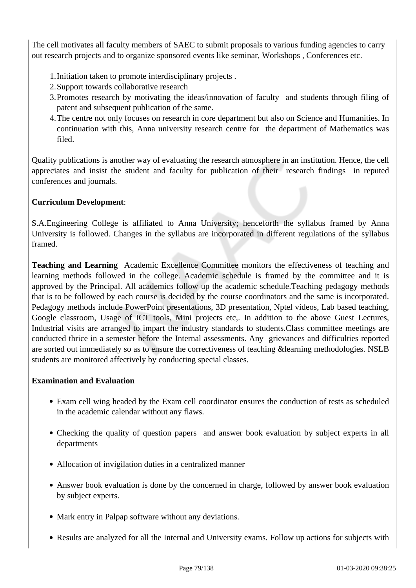The cell motivates all faculty members of SAEC to submit proposals to various funding agencies to carry out research projects and to organize sponsored events like seminar, Workshops , Conferences etc.

- 1.Initiation taken to promote interdisciplinary projects .
- 2.Support towards collaborative research
- 3.Promotes research by motivating the ideas/innovation of faculty and students through filing of patent and subsequent publication of the same.
- 4.The centre not only focuses on research in core department but also on Science and Humanities. In continuation with this, Anna university research centre for the department of Mathematics was filed.

Quality publications is another way of evaluating the research atmosphere in an institution. Hence, the cell appreciates and insist the student and faculty for publication of their research findings in reputed conferences and journals.

# **Curriculum Development**:

S.A.Engineering College is affiliated to Anna University; henceforth the syllabus framed by Anna University is followed. Changes in the syllabus are incorporated in different regulations of the syllabus framed.

**Teaching and Learning** Academic Excellence Committee monitors the effectiveness of teaching and learning methods followed in the college. Academic schedule is framed by the committee and it is approved by the Principal. All academics follow up the academic schedule.Teaching pedagogy methods that is to be followed by each course is decided by the course coordinators and the same is incorporated. Pedagogy methods include PowerPoint presentations, 3D presentation, Nptel videos, Lab based teaching, Google classroom, Usage of ICT tools, Mini projects etc,. In addition to the above Guest Lectures, Industrial visits are arranged to impart the industry standards to students.Class committee meetings are conducted thrice in a semester before the Internal assessments. Any grievances and difficulties reported are sorted out immediately so as to ensure the correctiveness of teaching &learning methodologies. NSLB students are monitored affectively by conducting special classes.

### **Examination and Evaluation**

- Exam cell wing headed by the Exam cell coordinator ensures the conduction of tests as scheduled in the academic calendar without any flaws.
- Checking the quality of question papers and answer book evaluation by subject experts in all departments
- Allocation of invigilation duties in a centralized manner
- Answer book evaluation is done by the concerned in charge, followed by answer book evaluation by subject experts.
- Mark entry in Palpap software without any deviations.
- Results are analyzed for all the Internal and University exams. Follow up actions for subjects with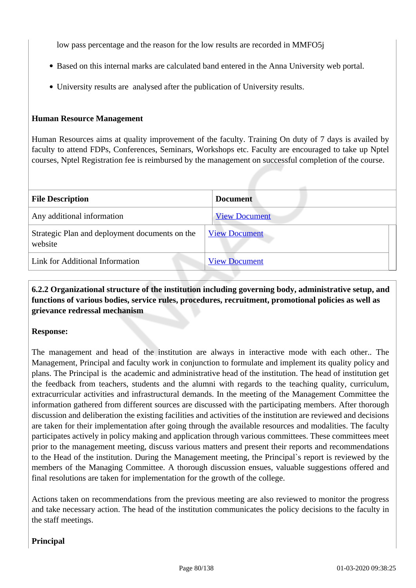low pass percentage and the reason for the low results are recorded in MMFO5j

- Based on this internal marks are calculated band entered in the Anna University web portal.
- University results are analysed after the publication of University results.

#### **Human Resource Management**

Human Resources aims at quality improvement of the faculty. Training On duty of 7 days is availed by faculty to attend FDPs, Conferences, Seminars, Workshops etc. Faculty are encouraged to take up Nptel courses, Nptel Registration fee is reimbursed by the management on successful completion of the course.

| <b>File Description</b>                                   | <b>Document</b>      |
|-----------------------------------------------------------|----------------------|
| Any additional information                                | <b>View Document</b> |
| Strategic Plan and deployment documents on the<br>website | <b>View Document</b> |
| Link for Additional Information                           | <b>View Document</b> |

# **6.2.2 Organizational structure of the institution including governing body, administrative setup, and functions of various bodies, service rules, procedures, recruitment, promotional policies as well as grievance redressal mechanism**

### **Response:**

The management and head of the institution are always in interactive mode with each other.. The Management, Principal and faculty work in conjunction to formulate and implement its quality policy and plans. The Principal is the academic and administrative head of the institution. The head of institution get the feedback from teachers, students and the alumni with regards to the teaching quality, curriculum, extracurricular activities and infrastructural demands. In the meeting of the Management Committee the information gathered from different sources are discussed with the participating members. After thorough discussion and deliberation the existing facilities and activities of the institution are reviewed and decisions are taken for their implementation after going through the available resources and modalities. The faculty participates actively in policy making and application through various committees. These committees meet prior to the management meeting, discuss various matters and present their reports and recommendations to the Head of the institution. During the Management meeting, the Principal`s report is reviewed by the members of the Managing Committee. A thorough discussion ensues, valuable suggestions offered and final resolutions are taken for implementation for the growth of the college.

Actions taken on recommendations from the previous meeting are also reviewed to monitor the progress and take necessary action. The head of the institution communicates the policy decisions to the faculty in the staff meetings.

# **Principal**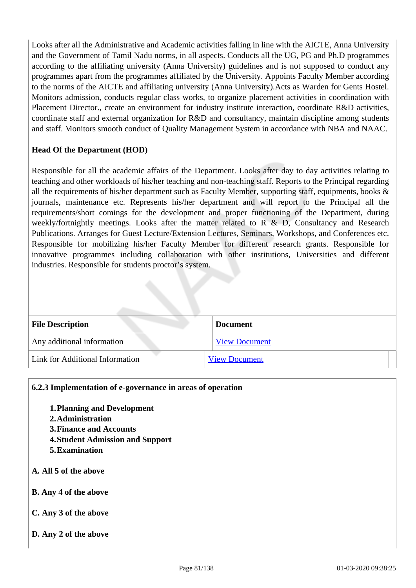Looks after all the Administrative and Academic activities falling in line with the AICTE, Anna University and the Government of Tamil Nadu norms, in all aspects. Conducts all the UG, PG and Ph.D programmes according to the affiliating university (Anna University) guidelines and is not supposed to conduct any programmes apart from the programmes affiliated by the University. Appoints Faculty Member according to the norms of the AICTE and affiliating university (Anna University).Acts as Warden for Gents Hostel. Monitors admission, conducts regular class works, to organize placement activities in coordination with Placement Director., create an environment for industry institute interaction, coordinate R&D activities, coordinate staff and external organization for R&D and consultancy, maintain discipline among students and staff. Monitors smooth conduct of Quality Management System in accordance with NBA and NAAC.

### **Head Of the Department (HOD)**

Responsible for all the academic affairs of the Department. Looks after day to day activities relating to teaching and other workloads of his/her teaching and non-teaching staff. Reports to the Principal regarding all the requirements of his/her department such as Faculty Member, supporting staff, equipments, books & journals, maintenance etc. Represents his/her department and will report to the Principal all the requirements/short comings for the development and proper functioning of the Department, during weekly/fortnightly meetings. Looks after the matter related to R  $\&$  D, Consultancy and Research Publications. Arranges for Guest Lecture/Extension Lectures, Seminars, Workshops, and Conferences etc. Responsible for mobilizing his/her Faculty Member for different research grants. Responsible for innovative programmes including collaboration with other institutions, Universities and different industries. Responsible for students proctor's system.

| <b>File Description</b>         | <b>Document</b>      |  |
|---------------------------------|----------------------|--|
| Any additional information      | <b>View Document</b> |  |
| Link for Additional Information | <b>View Document</b> |  |

### **6.2.3 Implementation of e-governance in areas of operation**

- **1.Planning and Development**
- **2.Administration**
- **3.Finance and Accounts**
- **4.Student Admission and Support**
- **5.Examination**
- **A. All 5 of the above**
- **B. Any 4 of the above**
- **C. Any 3 of the above**
- **D. Any 2 of the above**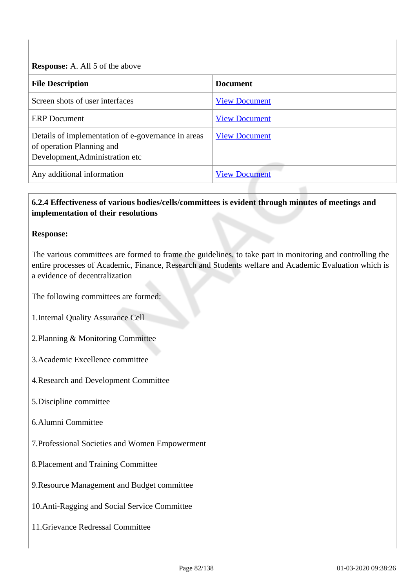### **Response:** A. All 5 of the above

| <b>File Description</b>                                                                                            | <b>Document</b>      |
|--------------------------------------------------------------------------------------------------------------------|----------------------|
| Screen shots of user interfaces                                                                                    | <b>View Document</b> |
| <b>ERP</b> Document                                                                                                | <b>View Document</b> |
| Details of implementation of e-governance in areas<br>of operation Planning and<br>Development, Administration etc | <b>View Document</b> |
| Any additional information                                                                                         | <b>View Document</b> |

# **6.2.4 Effectiveness of various bodies/cells/committees is evident through minutes of meetings and implementation of their resolutions**

#### **Response:**

The various committees are formed to frame the guidelines, to take part in monitoring and controlling the entire processes of Academic, Finance, Research and Students welfare and Academic Evaluation which is a evidence of decentralization

The following committees are formed:

- 1.Internal Quality Assurance Cell
- 2.Planning & Monitoring Committee
- 3.Academic Excellence committee
- 4.Research and Development Committee
- 5.Discipline committee
- 6.Alumni Committee
- 7.Professional Societies and Women Empowerment
- 8.Placement and Training Committee
- 9.Resource Management and Budget committee
- 10.Anti-Ragging and Social Service Committee
- 11.Grievance Redressal Committee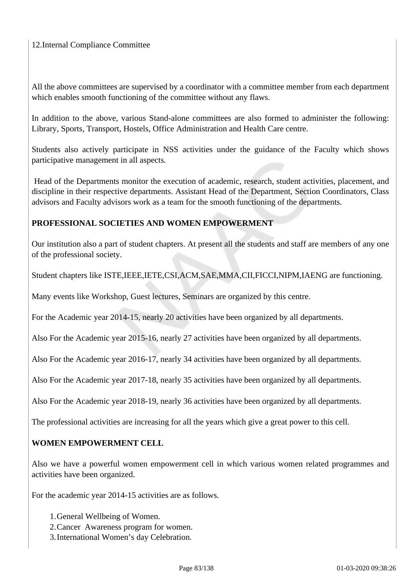### 12.Internal Compliance Committee

All the above committees are supervised by a coordinator with a committee member from each department which enables smooth functioning of the committee without any flaws.

In addition to the above, various Stand-alone committees are also formed to administer the following: Library, Sports, Transport, Hostels, Office Administration and Health Care centre.

Students also actively participate in NSS activities under the guidance of the Faculty which shows participative management in all aspects.

 Head of the Departments monitor the execution of academic, research, student activities, placement, and discipline in their respective departments. Assistant Head of the Department, Section Coordinators, Class advisors and Faculty advisors work as a team for the smooth functioning of the departments.

# **PROFESSIONAL SOCIETIES AND WOMEN EMPOWERMENT**

Our institution also a part of student chapters. At present all the students and staff are members of any one of the professional society.

Student chapters like ISTE,IEEE,IETE,CSI,ACM,SAE,MMA,CII,FICCI,NIPM,IAENG are functioning.

Many events like Workshop, Guest lectures, Seminars are organized by this centre.

For the Academic year 2014-15, nearly 20 activities have been organized by all departments.

Also For the Academic year 2015-16, nearly 27 activities have been organized by all departments.

Also For the Academic year 2016-17, nearly 34 activities have been organized by all departments.

Also For the Academic year 2017-18, nearly 35 activities have been organized by all departments.

Also For the Academic year 2018-19, nearly 36 activities have been organized by all departments.

The professional activities are increasing for all the years which give a great power to this cell.

### **WOMEN EMPOWERMENT CELL**

Also we have a powerful women empowerment cell in which various women related programmes and activities have been organized.

For the academic year 2014-15 activities are as follows.

- 1.General Wellbeing of Women.
- 2.Cancer Awareness program for women.
- 3.International Women's day Celebration.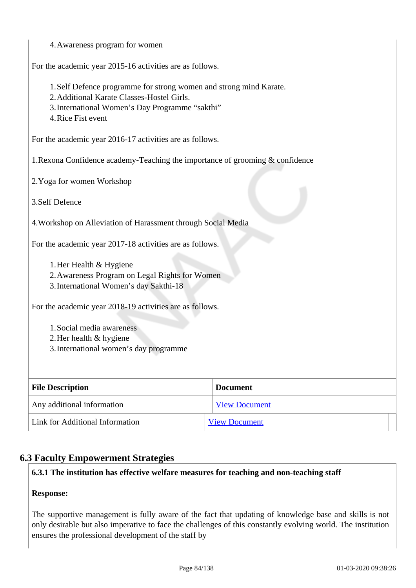| 4. Awareness program for women |  |  |
|--------------------------------|--|--|
|--------------------------------|--|--|

For the academic year 2015-16 activities are as follows.

1.Self Defence programme for strong women and strong mind Karate.

2.Additional Karate Classes-Hostel Girls.

3.International Women's Day Programme "sakthi"

4.Rice Fist event

For the academic year 2016-17 activities are as follows.

1.Rexona Confidence academy-Teaching the importance of grooming & confidence

2.Yoga for women Workshop

3.Self Defence

4.Workshop on Alleviation of Harassment through Social Media

For the academic year 2017-18 activities are as follows.

- 1.Her Health & Hygiene
- 2.Awareness Program on Legal Rights for Women
- 3.International Women's day Sakthi-18

For the academic year 2018-19 activities are as follows.

- 1.Social media awareness
- 2.Her health & hygiene
- 3.International women's day programme

| <b>File Description</b>         | <b>Document</b>      |
|---------------------------------|----------------------|
| Any additional information      | <b>View Document</b> |
| Link for Additional Information | <b>View Document</b> |

# **6.3 Faculty Empowerment Strategies**

#### **6.3.1 The institution has effective welfare measures for teaching and non-teaching staff**

# **Response:**

The supportive management is fully aware of the fact that updating of knowledge base and skills is not only desirable but also imperative to face the challenges of this constantly evolving world. The institution ensures the professional development of the staff by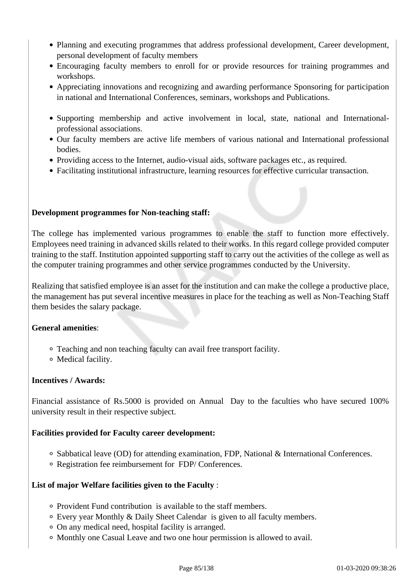- Planning and executing programmes that address professional development, Career development, personal development of faculty members
- Encouraging faculty members to enroll for or provide resources for training programmes and workshops.
- Appreciating innovations and recognizing and awarding performance Sponsoring for participation in national and International Conferences, seminars, workshops and Publications.
- Supporting membership and active involvement in local, state, national and Internationalprofessional associations.
- Our faculty members are active life members of various national and International professional bodies.
- Providing access to the Internet, audio-visual aids, software packages etc., as required.
- Facilitating institutional infrastructure, learning resources for effective curricular transaction.

#### **Development programmes for Non-teaching staff:**

The college has implemented various programmes to enable the staff to function more effectively. Employees need training in advanced skills related to their works. In this regard college provided computer training to the staff. Institution appointed supporting staff to carry out the activities of the college as well as the computer training programmes and other service programmes conducted by the University.

Realizing that satisfied employee is an asset for the institution and can make the college a productive place, the management has put several incentive measures in place for the teaching as well as Non-Teaching Staff them besides the salary package.

#### **General amenities**:

- Teaching and non teaching faculty can avail free transport facility.
- Medical facility.

### **Incentives / Awards:**

Financial assistance of Rs.5000 is provided on Annual Day to the faculties who have secured 100% university result in their respective subject.

### **Facilities provided for Faculty career development:**

- Sabbatical leave (OD) for attending examination, FDP, National & International Conferences.
- Registration fee reimbursement for FDP/ Conferences.

### **List of major Welfare facilities given to the Faculty** :

- Provident Fund contribution is available to the staff members.
- Every year Monthly & Daily Sheet Calendar is given to all faculty members.
- On any medical need, hospital facility is arranged.
- Monthly one Casual Leave and two one hour permission is allowed to avail.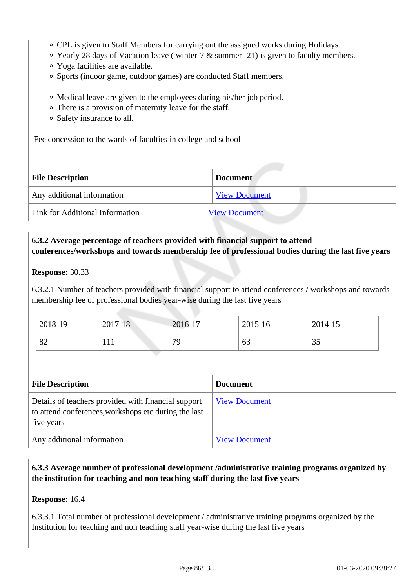- CPL is given to Staff Members for carrying out the assigned works during Holidays
- Yearly 28 days of Vacation leave ( winter-7 & summer -21) is given to faculty members.
- Yoga facilities are available.
- Sports (indoor game, outdoor games) are conducted Staff members.
- Medical leave are given to the employees during his/her job period.
- There is a provision of maternity leave for the staff.
- Safety insurance to all.

Fee concession to the wards of faculties in college and school

| <b>File Description</b>         | <b>Document</b>      |  |
|---------------------------------|----------------------|--|
| Any additional information      | <b>View Document</b> |  |
| Link for Additional Information | <b>View Document</b> |  |

# **6.3.2 Average percentage of teachers provided with financial support to attend conferences/workshops and towards membership fee of professional bodies during the last five years**

#### **Response:** 30.33

6.3.2.1 Number of teachers provided with financial support to attend conferences / workshops and towards membership fee of professional bodies year-wise during the last five years

| 2018-19 | 2017-18 | 2016-17 | 2015-16 | 2014-15 |
|---------|---------|---------|---------|---------|
| 82      | 111     | 79      | 63      | JJ      |

| <b>File Description</b>                                                                                                   | <b>Document</b>      |  |
|---------------------------------------------------------------------------------------------------------------------------|----------------------|--|
| Details of teachers provided with financial support<br>to attend conferences, workshops etc during the last<br>five years | <b>View Document</b> |  |
| Any additional information                                                                                                | <b>View Document</b> |  |

 **6.3.3 Average number of professional development /administrative training programs organized by the institution for teaching and non teaching staff during the last five years**

**Response:** 16.4

6.3.3.1 Total number of professional development / administrative training programs organized by the Institution for teaching and non teaching staff year-wise during the last five years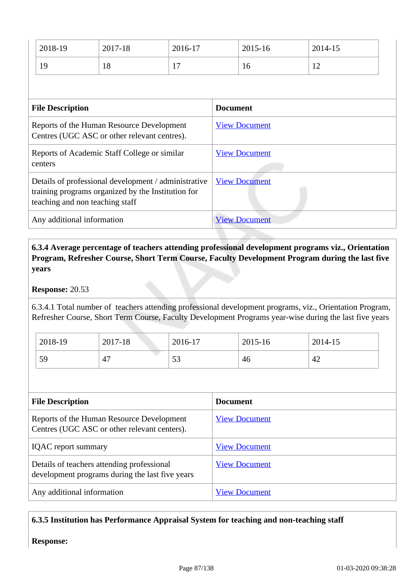| 2018-19 | 2017-18 | 2016-17                    | 2015-16 | 2014-15      |
|---------|---------|----------------------------|---------|--------------|
| 19      | 18      | $\overline{ }$<br><b>1</b> | 10      | $1^{\wedge}$ |

| <b>File Description</b>                                                                                                                       | <b>Document</b>      |
|-----------------------------------------------------------------------------------------------------------------------------------------------|----------------------|
| Reports of the Human Resource Development<br>Centres (UGC ASC or other relevant centres).                                                     | <b>View Document</b> |
| Reports of Academic Staff College or similar<br>centers                                                                                       | <b>View Document</b> |
| Details of professional development / administrative<br>training programs organized by the Institution for<br>teaching and non teaching staff | <b>View Document</b> |
| Any additional information                                                                                                                    | <b>View Document</b> |

# **6.3.4 Average percentage of teachers attending professional development programs viz., Orientation Program, Refresher Course, Short Term Course, Faculty Development Program during the last five years**

### **Response:** 20.53

6.3.4.1 Total number of teachers attending professional development programs, viz., Orientation Program, Refresher Course, Short Term Course, Faculty Development Programs year-wise during the last five years

| 2018-19 | 2017-18 | 2016-17  | 2015-16 | 2014-15 |
|---------|---------|----------|---------|---------|
| 59      | 47      | ⊏ລ<br>JJ | 46      | 42      |

| <b>File Description</b>                                                                       | <b>Document</b>      |
|-----------------------------------------------------------------------------------------------|----------------------|
| Reports of the Human Resource Development<br>Centres (UGC ASC or other relevant centers).     | <b>View Document</b> |
| <b>IQAC</b> report summary                                                                    | <b>View Document</b> |
| Details of teachers attending professional<br>development programs during the last five years | <b>View Document</b> |
| Any additional information                                                                    | <b>View Document</b> |

# **6.3.5 Institution has Performance Appraisal System for teaching and non-teaching staff**

**Response:**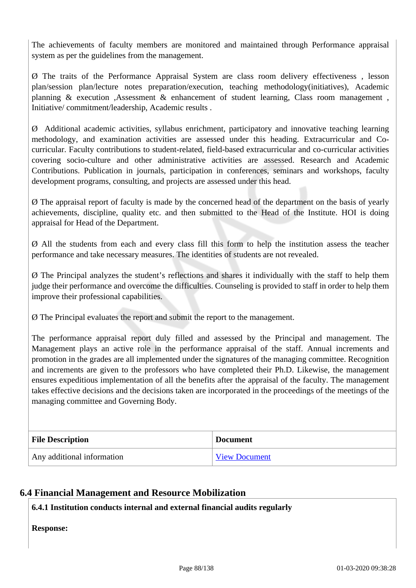The achievements of faculty members are monitored and maintained through Performance appraisal system as per the guidelines from the management.

Ø The traits of the Performance Appraisal System are class room delivery effectiveness , lesson plan/session plan/lecture notes preparation/execution, teaching methodology(initiatives), Academic planning & execution ,Assessment & enhancement of student learning, Class room management , Initiative/ commitment/leadership, Academic results .

Ø Additional academic activities, syllabus enrichment, participatory and innovative teaching learning methodology, and examination activities are assessed under this heading. Extracurricular and Cocurricular. Faculty contributions to student-related, field-based extracurricular and co-curricular activities covering socio-culture and other administrative activities are assessed. Research and Academic Contributions. Publication in journals, participation in conferences, seminars and workshops, faculty development programs, consulting, and projects are assessed under this head.

Ø The appraisal report of faculty is made by the concerned head of the department on the basis of yearly achievements, discipline, quality etc. and then submitted to the Head of the Institute. HOI is doing appraisal for Head of the Department.

Ø All the students from each and every class fill this form to help the institution assess the teacher performance and take necessary measures. The identities of students are not revealed.

Ø The Principal analyzes the student's reflections and shares it individually with the staff to help them judge their performance and overcome the difficulties. Counseling is provided to staff in order to help them improve their professional capabilities.

Ø The Principal evaluates the report and submit the report to the management.

The performance appraisal report duly filled and assessed by the Principal and management. The Management plays an active role in the performance appraisal of the staff. Annual increments and promotion in the grades are all implemented under the signatures of the managing committee. Recognition and increments are given to the professors who have completed their Ph.D. Likewise, the management ensures expeditious implementation of all the benefits after the appraisal of the faculty. The management takes effective decisions and the decisions taken are incorporated in the proceedings of the meetings of the managing committee and Governing Body.

| <b>File Description</b>    | <b>Document</b>      |  |
|----------------------------|----------------------|--|
| Any additional information | <b>View Document</b> |  |

# **6.4 Financial Management and Resource Mobilization**

### **6.4.1 Institution conducts internal and external financial audits regularly**

**Response:**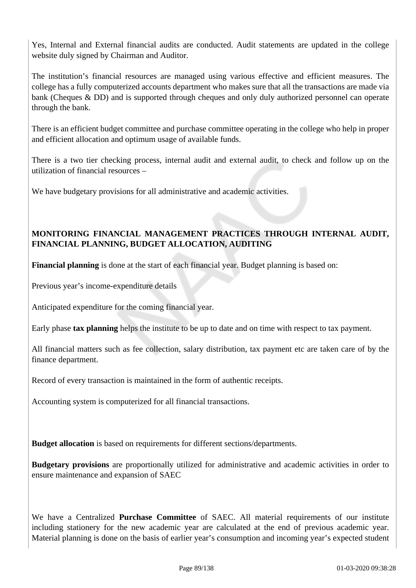Yes, Internal and External financial audits are conducted. Audit statements are updated in the college website duly signed by Chairman and Auditor.

The institution's financial resources are managed using various effective and efficient measures. The college has a fully computerized accounts department who makes sure that all the transactions are made via bank (Cheques & DD) and is supported through cheques and only duly authorized personnel can operate through the bank.

There is an efficient budget committee and purchase committee operating in the college who help in proper and efficient allocation and optimum usage of available funds.

There is a two tier checking process, internal audit and external audit, to check and follow up on the utilization of financial resources –

We have budgetary provisions for all administrative and academic activities.

# **MONITORING FINANCIAL MANAGEMENT PRACTICES THROUGH INTERNAL AUDIT, FINANCIAL PLANNING, BUDGET ALLOCATION, AUDITING**

**Financial planning** is done at the start of each financial year. Budget planning is based on:

Previous year's income-expenditure details

Anticipated expenditure for the coming financial year.

Early phase **tax planning** helps the institute to be up to date and on time with respect to tax payment.

All financial matters such as fee collection, salary distribution, tax payment etc are taken care of by the finance department.

Record of every transaction is maintained in the form of authentic receipts.

Accounting system is computerized for all financial transactions.

**Budget allocation** is based on requirements for different sections/departments.

**Budgetary provisions** are proportionally utilized for administrative and academic activities in order to ensure maintenance and expansion of SAEC

We have a Centralized **Purchase Committee** of SAEC. All material requirements of our institute including stationery for the new academic year are calculated at the end of previous academic year. Material planning is done on the basis of earlier year's consumption and incoming year's expected student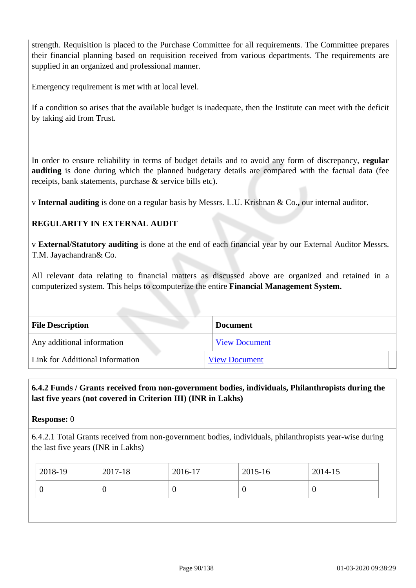strength. Requisition is placed to the Purchase Committee for all requirements. The Committee prepares their financial planning based on requisition received from various departments. The requirements are supplied in an organized and professional manner.

Emergency requirement is met with at local level.

If a condition so arises that the available budget is inadequate, then the Institute can meet with the deficit by taking aid from Trust.

In order to ensure reliability in terms of budget details and to avoid any form of discrepancy, **regular auditing** is done during which the planned budgetary details are compared with the factual data (fee receipts, bank statements, purchase & service bills etc).

v **Internal auditing** is done on a regular basis by Messrs. L.U. Krishnan & Co.**,** our internal auditor.

# **REGULARITY IN EXTERNAL AUDIT**

v **External/Statutory auditing** is done at the end of each financial year by our External Auditor Messrs. T.M. Jayachandran& Co.

All relevant data relating to financial matters as discussed above are organized and retained in a computerized system. This helps to computerize the entire **Financial Management System.**

| <b>File Description</b>         | <b>Document</b>      |
|---------------------------------|----------------------|
| Any additional information      | <b>View Document</b> |
| Link for Additional Information | <b>View Document</b> |

# **6.4.2 Funds / Grants received from non-government bodies, individuals, Philanthropists during the last five years (not covered in Criterion III) (INR in Lakhs)**

#### **Response:** 0

6.4.2.1 Total Grants received from non-government bodies, individuals, philanthropists year-wise during the last five years (INR in Lakhs)

| 2018-19 | 2017-18 | 2016-17 | $2015 - 16$ | 2014-15 |
|---------|---------|---------|-------------|---------|
| ν       |         |         |             |         |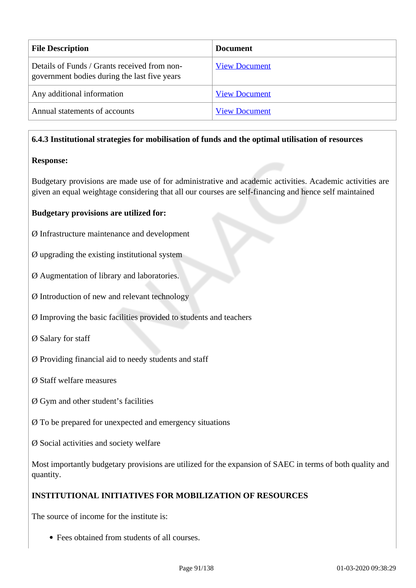| <b>File Description</b>                                                                      | <b>Document</b>      |
|----------------------------------------------------------------------------------------------|----------------------|
| Details of Funds / Grants received from non-<br>government bodies during the last five years | <b>View Document</b> |
| Any additional information                                                                   | <b>View Document</b> |
| Annual statements of accounts                                                                | <b>View Document</b> |

### **6.4.3 Institutional strategies for mobilisation of funds and the optimal utilisation of resources**

### **Response:**

Budgetary provisions are made use of for administrative and academic activities. Academic activities are given an equal weightage considering that all our courses are self-financing and hence self maintained

### **Budgetary provisions are utilized for:**

- Ø Infrastructure maintenance and development
- Ø upgrading the existing institutional system
- Ø Augmentation of library and laboratories.
- Ø Introduction of new and relevant technology
- Ø Improving the basic facilities provided to students and teachers
- Ø Salary for staff
- Ø Providing financial aid to needy students and staff
- Ø Staff welfare measures
- Ø Gym and other student's facilities
- Ø To be prepared for unexpected and emergency situations
- Ø Social activities and society welfare

Most importantly budgetary provisions are utilized for the expansion of SAEC in terms of both quality and quantity.

### **INSTITUTIONAL INITIATIVES FOR MOBILIZATION OF RESOURCES**

The source of income for the institute is:

Fees obtained from students of all courses.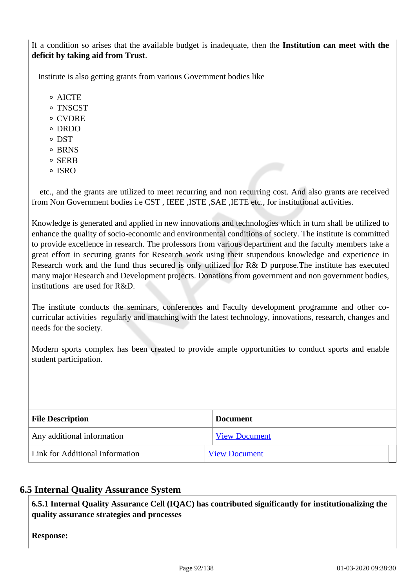If a condition so arises that the available budget is inadequate, then the **Institution can meet with the deficit by taking aid from Trust**.

Institute is also getting grants from various Government bodies like

- AICTE
- o TNSCST
- CVDRE
- DRDO
- o DST
- **o** BRNS
- o SERB
- **o** ISRO

 etc., and the grants are utilized to meet recurring and non recurring cost. And also grants are received from Non Government bodies i.e CST , IEEE ,ISTE ,SAE ,IETE etc., for institutional activities.

Knowledge is generated and applied in new innovations and technologies which in turn shall be utilized to enhance the quality of socio-economic and environmental conditions of society. The institute is committed to provide excellence in research. The professors from various department and the faculty members take a great effort in securing grants for Research work using their stupendous knowledge and experience in Research work and the fund thus secured is only utilized for R& D purpose.The institute has executed many major Research and Development projects. Donations from government and non government bodies, institutions are used for R&D.

The institute conducts the seminars, conferences and Faculty development programme and other cocurricular activities regularly and matching with the latest technology, innovations, research, changes and needs for the society.

Modern sports complex has been created to provide ample opportunities to conduct sports and enable student participation.

| <b>File Description</b>         | <b>Document</b>      |
|---------------------------------|----------------------|
| Any additional information      | <b>View Document</b> |
| Link for Additional Information | <b>View Document</b> |

# **6.5 Internal Quality Assurance System**

 **6.5.1 Internal Quality Assurance Cell (IQAC) has contributed significantly for institutionalizing the quality assurance strategies and processes**

**Response:**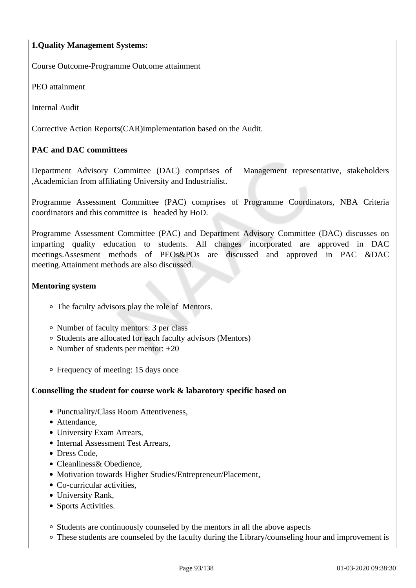# **1.Quality Management Systems:**

Course Outcome-Programme Outcome attainment

PEO attainment

Internal Audit

Corrective Action Reports(CAR)implementation based on the Audit.

# **PAC and DAC committees**

Department Advisory Committee (DAC) comprises of Management representative, stakeholders ,Academician from affiliating University and Industrialist.

Programme Assessment Committee (PAC) comprises of Programme Coordinators, NBA Criteria coordinators and this committee is headed by HoD.

Programme Assessment Committee (PAC) and Department Advisory Committee (DAC) discusses on imparting quality education to students. All changes incorporated are approved in DAC meetings.Assesment methods of PEOs&POs are discussed and approved in PAC &DAC meeting.Attainment methods are also discussed.

# **Mentoring system**

- The faculty advisors play the role of Mentors.
- Number of faculty mentors: 3 per class
- Students are allocated for each faculty advisors (Mentors)
- Number of students per mentor:  $\pm 20$
- Frequency of meeting: 15 days once

### **Counselling the student for course work & labarotory specific based on**

- Punctuality/Class Room Attentiveness,
- Attendance,
- University Exam Arrears,
- Internal Assessment Test Arrears,
- Dress Code
- Cleanliness& Obedience.
- Motivation towards Higher Studies/Entrepreneur/Placement,
- Co-curricular activities.
- University Rank.
- Sports Activities.
- Students are continuously counseled by the mentors in all the above aspects
- These students are counseled by the faculty during the Library/counseling hour and improvement is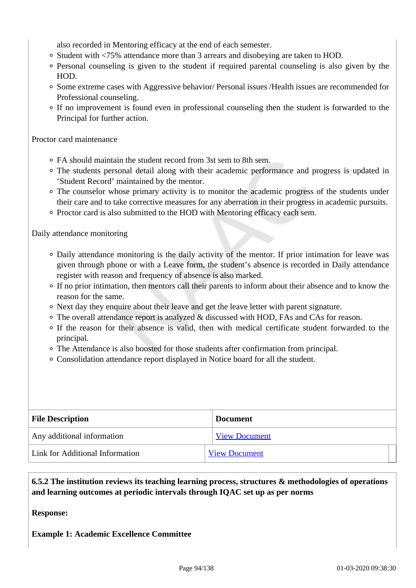also recorded in Mentoring efficacy at the end of each semester.

- Student with <75% attendance more than 3 arrears and disobeying are taken to HOD.
- Personal counseling is given to the student if required parental counseling is also given by the HOD.
- Some extreme cases with Aggressive behavior/ Personal issues /Health issues are recommended for Professional counseling.
- If no improvement is found even in professional counseling then the student is forwarded to the Principal for further action.

Proctor card maintenance

- FA should maintain the student record from 3st sem to 8th sem.
- The students personal detail along with their academic performance and progress is updated in 'Student Record' maintained by the mentor.
- The counselor whose primary activity is to monitor the academic progress of the students under their care and to take corrective measures for any aberration in their progress in academic pursuits.
- Proctor card is also submitted to the HOD with Mentoring efficacy each sem.

Daily attendance monitoring

- Daily attendance monitoring is the daily activity of the mentor. If prior intimation for leave was given through phone or with a Leave form, the student's absence is recorded in Daily attendance register with reason and frequency of absence is also marked.
- If no prior intimation, then mentors call their parents to inform about their absence and to know the reason for the same.
- Next day they enquire about their leave and get the leave letter with parent signature.
- $\circ$  The overall attendance report is analyzed & discussed with HOD, FAs and CAs for reason.
- If the reason for their absence is valid, then with medical certificate student forwarded to the principal.
- The Attendance is also boosted for those students after confirmation from principal.
- Consolidation attendance report displayed in Notice board for all the student.

| <b>File Description</b>         | <b>Document</b>      |  |
|---------------------------------|----------------------|--|
| Any additional information      | <b>View Document</b> |  |
| Link for Additional Information | <b>View Document</b> |  |

### **6.5.2 The institution reviews its teaching learning process, structures & methodologies of operations and learning outcomes at periodic intervals through IQAC set up as per norms**

**Response:** 

**Example 1: Academic Excellence Committee**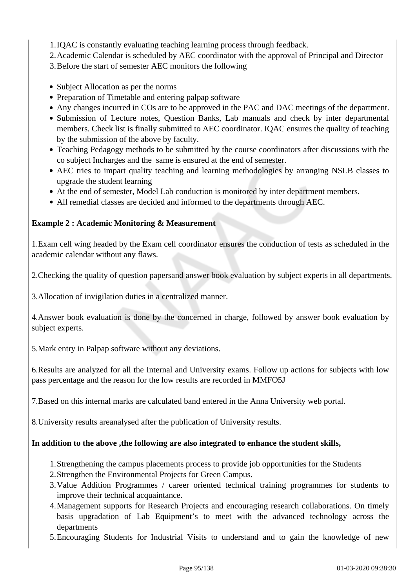1.IQAC is constantly evaluating teaching learning process through feedback.

2.Academic Calendar is scheduled by AEC coordinator with the approval of Principal and Director

3.Before the start of semester AEC monitors the following

- Subject Allocation as per the norms
- Preparation of Timetable and entering palpap software
- Any changes incurred in COs are to be approved in the PAC and DAC meetings of the department.
- Submission of Lecture notes, Question Banks, Lab manuals and check by inter departmental members. Check list is finally submitted to AEC coordinator. IQAC ensures the quality of teaching by the submission of the above by faculty.
- Teaching Pedagogy methods to be submitted by the course coordinators after discussions with the co subject Incharges and the same is ensured at the end of semester.
- AEC tries to impart quality teaching and learning methodologies by arranging NSLB classes to upgrade the student learning
- At the end of semester, Model Lab conduction is monitored by inter department members.
- All remedial classes are decided and informed to the departments through AEC.

#### **Example 2 : Academic Monitoring & Measurement**

1.Exam cell wing headed by the Exam cell coordinator ensures the conduction of tests as scheduled in the academic calendar without any flaws.

2.Checking the quality of question papersand answer book evaluation by subject experts in all departments.

3.Allocation of invigilation duties in a centralized manner.

4.Answer book evaluation is done by the concerned in charge, followed by answer book evaluation by subject experts.

5.Mark entry in Palpap software without any deviations.

6.Results are analyzed for all the Internal and University exams. Follow up actions for subjects with low pass percentage and the reason for the low results are recorded in MMFO5J

7.Based on this internal marks are calculated band entered in the Anna University web portal.

8.University results areanalysed after the publication of University results.

### **In addition to the above ,the following are also integrated to enhance the student skills,**

- 1.Strengthening the campus placements process to provide job opportunities for the Students
- 2.Strengthen the Environmental Projects for Green Campus.
- 3.Value Addition Programmes / career oriented technical training programmes for students to improve their technical acquaintance.
- 4.Management supports for Research Projects and encouraging research collaborations. On timely basis upgradation of Lab Equipment's to meet with the advanced technology across the departments
- 5.Encouraging Students for Industrial Visits to understand and to gain the knowledge of new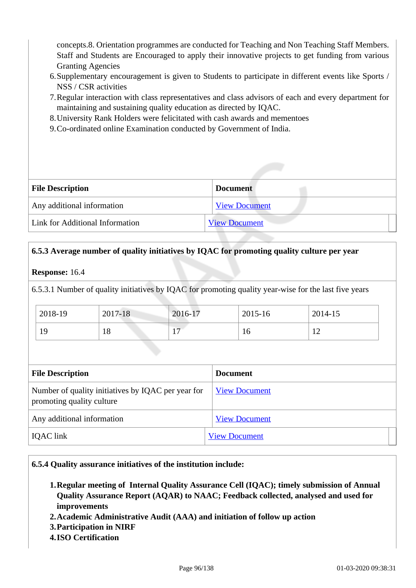concepts.8. Orientation programmes are conducted for Teaching and Non Teaching Staff Members. Staff and Students are Encouraged to apply their innovative projects to get funding from various Granting Agencies

- 6.Supplementary encouragement is given to Students to participate in different events like Sports / NSS / CSR activities
- 7.Regular interaction with class representatives and class advisors of each and every department for maintaining and sustaining quality education as directed by IQAC.
- 8.University Rank Holders were felicitated with cash awards and mementoes
- 9.Co-ordinated online Examination conducted by Government of India.

| <b>File Description</b>         | <b>Document</b>      |
|---------------------------------|----------------------|
| Any additional information      | <b>View Document</b> |
| Link for Additional Information | <b>View Document</b> |

### **6.5.3 Average number of quality initiatives by IQAC for promoting quality culture per year**

#### **Response:** 16.4

6.5.3.1 Number of quality initiatives by IQAC for promoting quality year-wise for the last five years

| 2018-19 | 2017-18 | 2016-17               | 2015-16 | 2014-15              |
|---------|---------|-----------------------|---------|----------------------|
| 19      | 18      | $\overline{ }$<br>. . | ΙV      | $1^\circ$<br>$\perp$ |

| <b>File Description</b>                                                         | <b>Document</b>      |
|---------------------------------------------------------------------------------|----------------------|
| Number of quality initiatives by IQAC per year for<br>promoting quality culture | <b>View Document</b> |
| Any additional information                                                      | <b>View Document</b> |
| <b>IQAC</b> link                                                                | <b>View Document</b> |

#### **6.5.4 Quality assurance initiatives of the institution include:**

- **1.Regular meeting of Internal Quality Assurance Cell (IQAC); timely submission of Annual Quality Assurance Report (AQAR) to NAAC; Feedback collected, analysed and used for improvements**
- **2.Academic Administrative Audit (AAA) and initiation of follow up action**
- **3.Participation in NIRF**
- **4.ISO Certification**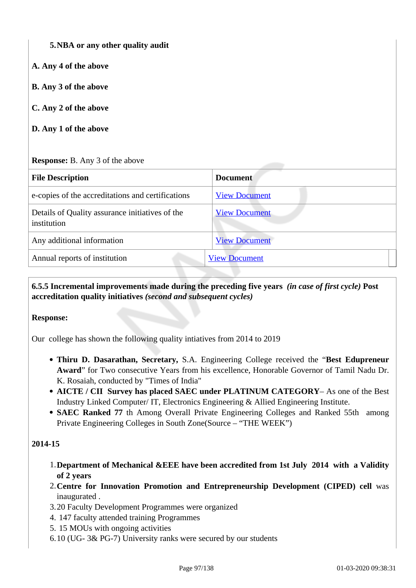### **5.NBA or any other quality audit**

# **A. Any 4 of the above**

- **B. Any 3 of the above**
- **C. Any 2 of the above**
- **D. Any 1 of the above**

### **Response:** B. Any 3 of the above

| <b>File Description</b>                                        | <b>Document</b>      |
|----------------------------------------------------------------|----------------------|
| e-copies of the accreditations and certifications              | <b>View Document</b> |
| Details of Quality assurance initiatives of the<br>institution | <b>View Document</b> |
| Any additional information                                     | <b>View Document</b> |
| Annual reports of institution                                  | <b>View Document</b> |

# **6.5.5 Incremental improvements made during the preceding five years** *(in case of first cycle)* **Post accreditation quality initiatives** *(second and subsequent cycles)*

### **Response:**

Our college has shown the following quality intiatives from 2014 to 2019

- **Thiru D. Dasarathan, Secretary,** S.A. Engineering College received the "**Best Edupreneur Award**" for Two consecutive Years from his excellence, Honorable Governor of Tamil Nadu Dr. K. Rosaiah, conducted by "Times of India"
- **AICTE / CII Survey has placed SAEC under PLATINUM CATEGORY** As one of the Best Industry Linked Computer/ IT, Electronics Engineering & Allied Engineering Institute.
- **SAEC Ranked 77** th Among Overall Private Engineering Colleges and Ranked 55th among Private Engineering Colleges in South Zone(Source – "THE WEEK")

### **2014-15**

- 1.**Department of Mechanical &EEE have been accredited from 1st July 2014 with a Validity of 2 years**
- 2.**Centre for Innovation Promotion and Entrepreneurship Development (CIPED) cell** was inaugurated .
- 3.20 Faculty Development Programmes were organized
- 4. 147 faculty attended training Programmes
- 5. 15 MOUs with ongoing activities
- 6.10 (UG- 3& PG-7) University ranks were secured by our students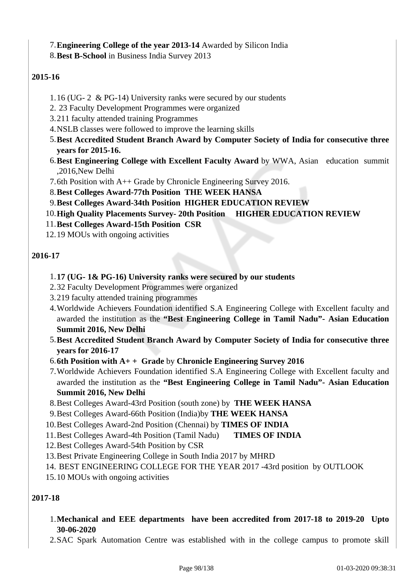### 7.**Engineering College of the year 2013-14** Awarded by Silicon India

8.**Best B-School** in Business India Survey 2013

### **2015-16**

- 1.16 (UG- 2 & PG-14) University ranks were secured by our students
- 2. 23 Faculty Development Programmes were organized
- 3.211 faculty attended training Programmes
- 4.NSLB classes were followed to improve the learning skills
- 5.**Best Accredited Student Branch Award by Computer Society of India for consecutive three years for 2015-16.**
- 6.**Best Engineering College with Excellent Faculty Award** by WWA, Asian education summit ,2016,New Delhi
- 7.6th Position with A++ Grade by Chronicle Engineering Survey 2016.
- 8.**Best Colleges Award-77th Position THE WEEK HANSA**
- 9.**Best Colleges Award-34th Position HIGHER EDUCATION REVIEW**
- 10.**High Quality Placements Survey- 20th Position HIGHER EDUCATION REVIEW**
- 11.**Best Colleges Award-15th Position CSR**
- 12.19 MOUs with ongoing activities

# **2016-17**

- 1.**17 (UG- 1& PG-16) University ranks were secured by our students**
- 2.32 Faculty Development Programmes were organized
- 3.219 faculty attended training programmes
- 4.Worldwide Achievers Foundation identified S.A Engineering College with Excellent faculty and awarded the institution as the **"Best Engineering College in Tamil Nadu"- Asian Education Summit 2016, New Delhi**
- 5.**Best Accredited Student Branch Award by Computer Society of India for consecutive three years for 2016-17**
- 6.**6th Position with A+ + Grade** by **Chronicle Engineering Survey 2016**
- 7.Worldwide Achievers Foundation identified S.A Engineering College with Excellent faculty and awarded the institution as the **"Best Engineering College in Tamil Nadu"- Asian Education Summit 2016, New Delhi**
- 8.Best Colleges Award-43rd Position (south zone) by **THE WEEK HANSA**
- 9.Best Colleges Award-66th Position (India)by **THE WEEK HANSA**
- 10.Best Colleges Award-2nd Position (Chennai) by **TIMES OF INDIA**
- 11.Best Colleges Award-4th Position (Tamil Nadu) **TIMES OF INDIA**
- 12.Best Colleges Award-54th Position by CSR
- 13.Best Private Engineering College in South India 2017 by MHRD
- 14. BEST ENGINEERING COLLEGE FOR THE YEAR 2017 -43rd position by OUTLOOK
- 15.10 MOUs with ongoing activities

# **2017-18**

- 1.**Mechanical and EEE departments have been accredited from 2017-18 to 2019-20 Upto 30-06-2020**
- 2.SAC Spark Automation Centre was established with in the college campus to promote skill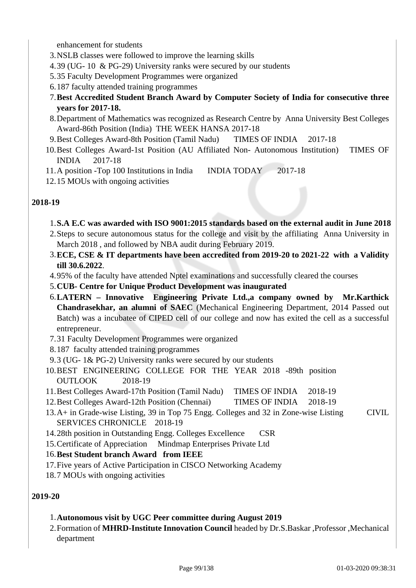enhancement for students

- 3.NSLB classes were followed to improve the learning skills
- 4.39 (UG- 10 & PG-29) University ranks were secured by our students
- 5.35 Faculty Development Programmes were organized
- 6.187 faculty attended training programmes
- 7.**Best Accredited Student Branch Award by Computer Society of India for consecutive three years for 2017-18.**
- 8.Department of Mathematics was recognized as Research Centre by Anna University Best Colleges Award-86th Position (India) THE WEEK HANSA 2017-18
- 9.Best Colleges Award-8th Position (Tamil Nadu) TIMES OF INDIA 2017-18
- 10.Best Colleges Award-1st Position (AU Affiliated Non- Autonomous Institution) TIMES OF INDIA 2017-18
- 11. A position -Top 100 Institutions in India INDIA TODAY -2017-18
- 12.15 MOUs with ongoing activities

#### **2018-19**

1.**S.A E.C was awarded with ISO 9001:2015 standards based on the external audit in June 2018**

- 2.Steps to secure autonomous status for the college and visit by the affiliating Anna University in March 2018 , and followed by NBA audit during February 2019.
- 3.**ECE, CSE & IT departments have been accredited from 2019-20 to 2021-22 with a Validity till 30.6.2022**.
- 4.95% of the faculty have attended Nptel examinations and successfully cleared the courses
- 5.**CUB- Centre for Unique Product Development was inaugurated**
- 6.**LATERN Innovative Engineering Private Ltd.,a company owned by Mr.Karthick Chandrasekhar, an alumni of SAEC** (Mechanical Engineering Department, 2014 Passed out Batch) was a incubatee of CIPED cell of our college and now has exited the cell as a successful entrepreneur.
- 7.31 Faculty Development Programmes were organized
- 8.187 faculty attended training programmes
- 9.3 (UG- 1& PG-2) University ranks were secured by our students
- 10.BEST ENGINEERING COLLEGE FOR THE YEAR 2018 -89th position OUTLOOK 2018-19
- 11.Best Colleges Award-17th Position (Tamil Nadu) TIMES OF INDIA 2018-19
- 12.Best Colleges Award-12th Position (Chennai) TIMES OF INDIA 2018-19
- 13.A+ in Grade-wise Listing, 39 in Top 75 Engg. Colleges and 32 in Zone-wise Listing CIVIL SERVICES CHRONICLE 2018-19
- 14.28th position in Outstanding Engg. Colleges Excellence CSR
- 15.Certificate of Appreciation Mindmap Enterprises Private Ltd

### 16.**Best Student branch Award from IEEE**

17.Five years of Active Participation in CISCO Networking Academy

18.7 MOUs with ongoing activities

### **2019-20**

### 1.**Autonomous visit by UGC Peer committee during August 2019**

2.Formation of **MHRD-Institute Innovation Council** headed by Dr.S.Baskar ,Professor ,Mechanical department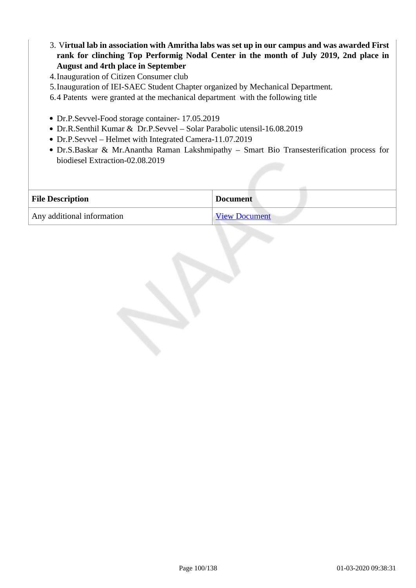- 3. V**irtual lab in association with Amritha labs was set up in our campus and was awarded First rank for clinching Top Performig Nodal Center in the month of July 2019, 2nd place in August and 4rth place in September**
- 4.Inauguration of Citizen Consumer club
- 5.Inauguration of IEI-SAEC Student Chapter organized by Mechanical Department.
- 6.4 Patents were granted at the mechanical department with the following title
- Dr.P.Sevvel-Food storage container- 17.05.2019
- Dr.R.Senthil Kumar & Dr.P.Sevvel Solar Parabolic utensil-16.08.2019
- Dr.P.Sevvel Helmet with Integrated Camera-11.07.2019
- Dr.S.Baskar & Mr.Anantha Raman Lakshmipathy Smart Bio Transesterification process for biodiesel Extraction-02.08.2019

| <b>File Description</b>    | <b>Document</b>      |
|----------------------------|----------------------|
| Any additional information | <b>View Document</b> |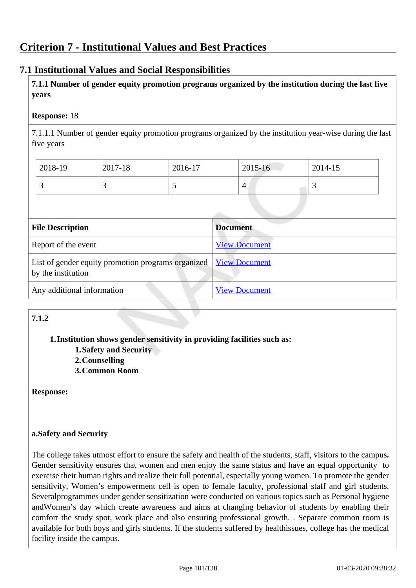# **7.1 Institutional Values and Social Responsibilities**

 **7.1.1 Number of gender equity promotion programs organized by the institution during the last five years** 

### **Response:** 18

7.1.1.1 Number of gender equity promotion programs organized by the institution year-wise during the last five years

| 2018-19 | 2017-18 | 2016-17 | 2015-16 | 2014-15 |
|---------|---------|---------|---------|---------|
|         | ت       |         |         |         |

| <b>File Description</b>                                                  | <b>Document</b>      |
|--------------------------------------------------------------------------|----------------------|
| Report of the event                                                      | <b>View Document</b> |
| List of gender equity promotion programs organized<br>by the institution | <b>View Document</b> |
| Any additional information                                               | <b>View Document</b> |

# **7.1.2**

### **1.Institution shows gender sensitivity in providing facilities such as:**

- **1.Safety and Security**
- **2.Counselling**
- **3.Common Room**

**Response:** 

### **a.Safety and Security**

The college takes utmost effort to ensure the safety and health of the students, staff, visitors to the campus**.** Gender sensitivity ensures that women and men enjoy the same status and have an equal opportunity to exercise their human rights and realize their full potential, especially young women. To promote the gender sensitivity, Women's empowerment cell is open to female faculty, professional staff and girl students. Severalprogrammes under gender sensitization were conducted on various topics such as Personal hygiene andWomen's day which create awareness and aims at changing behavior of students by enabling their comfort the study spot, work place and also ensuring professional growth. . Separate common room is available for both boys and girls students. If the students suffered by healthissues, college has the medical facility inside the campus.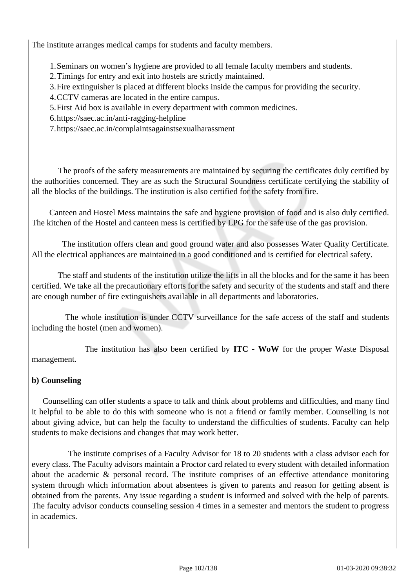The institute arranges medical camps for students and faculty members.

1.Seminars on women's hygiene are provided to all female faculty members and students.

2.Timings for entry and exit into hostels are strictly maintained.

3.Fire extinguisher is placed at different blocks inside the campus for providing the security.

4.CCTV cameras are located in the entire campus.

5.First Aid box is available in every department with common medicines.

6.https://saec.ac.in/anti-ragging-helpline

7.https://saec.ac.in/complaintsagainstsexualharassment

 The proofs of the safety measurements are maintained by securing the certificates duly certified by the authorities concerned. They are as such the Structural Soundness certificate certifying the stability of all the blocks of the buildings. The institution is also certified for the safety from fire.

 Canteen and Hostel Mess maintains the safe and hygiene provision of food and is also duly certified. The kitchen of the Hostel and canteen mess is certified by LPG for the safe use of the gas provision.

 The institution offers clean and good ground water and also possesses Water Quality Certificate. All the electrical appliances are maintained in a good conditioned and is certified for electrical safety.

 The staff and students of the institution utilize the lifts in all the blocks and for the same it has been certified. We take all the precautionary efforts for the safety and security of the students and staff and there are enough number of fire extinguishers available in all departments and laboratories.

 The whole institution is under CCTV surveillance for the safe access of the staff and students including the hostel (men and women).

 The institution has also been certified by **ITC - WoW** for the proper Waste Disposal management.

### **b) Counseling**

 Counselling can offer students a space to talk and think about problems and difficulties, and many find it helpful to be able to do this with someone who is not a friend or family member. Counselling is not about giving advice, but can help the faculty to understand the difficulties of students. Faculty can help students to make decisions and changes that may work better.

 The institute comprises of a Faculty Advisor for 18 to 20 students with a class advisor each for every class. The Faculty advisors maintain a Proctor card related to every student with detailed information about the academic & personal record. The institute comprises of an effective attendance monitoring system through which information about absentees is given to parents and reason for getting absent is obtained from the parents. Any issue regarding a student is informed and solved with the help of parents. The faculty advisor conducts counseling session 4 times in a semester and mentors the student to progress in academics.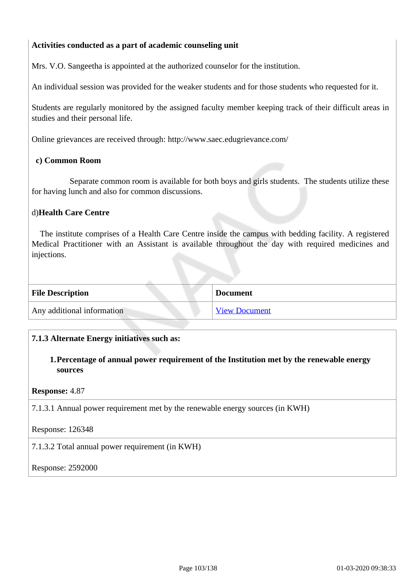### **Activities conducted as a part of academic counseling unit**

Mrs. V.O. Sangeetha is appointed at the authorized counselor for the institution.

An individual session was provided for the weaker students and for those students who requested for it.

Students are regularly monitored by the assigned faculty member keeping track of their difficult areas in studies and their personal life.

Online grievances are received through: http://www.saec.edugrievance.com/

#### **c) Common Room**

 Separate common room is available for both boys and girls students. The students utilize these for having lunch and also for common discussions.

### d)**Health Care Centre**

 The institute comprises of a Health Care Centre inside the campus with bedding facility. A registered Medical Practitioner with an Assistant is available throughout the day with required medicines and injections.

| <b>File Description</b>    | <b>Document</b>      |
|----------------------------|----------------------|
| Any additional information | <b>View Document</b> |

### **7.1.3 Alternate Energy initiatives such as:**

**1.Percentage of annual power requirement of the Institution met by the renewable energy sources**

**Response:** 4.87

7.1.3.1 Annual power requirement met by the renewable energy sources (in KWH)

Response: 126348

7.1.3.2 Total annual power requirement (in KWH)

Response: 2592000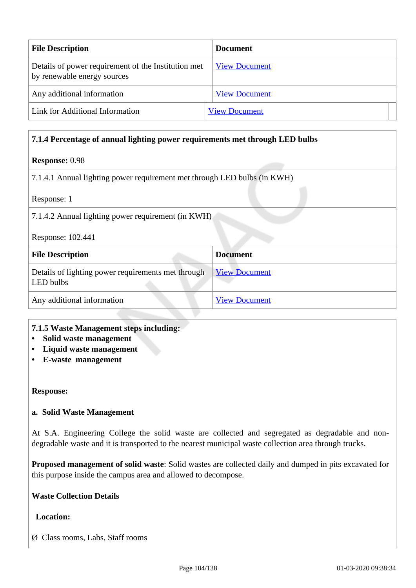| <b>File Description</b>                                                            | <b>Document</b>      |
|------------------------------------------------------------------------------------|----------------------|
| Details of power requirement of the Institution met<br>by renewable energy sources | <b>View Document</b> |
| Any additional information                                                         | <b>View Document</b> |
| Link for Additional Information                                                    | <b>View Document</b> |

# **7.1.4 Percentage of annual lighting power requirements met through LED bulbs**

### **Response:** 0.98

7.1.4.1 Annual lighting power requirement met through LED bulbs (in KWH)

Response: 1

7.1.4.2 Annual lighting power requirement (in KWH)

Response: 102.441

| <b>File Description</b>                                         | <b>Document</b>      |
|-----------------------------------------------------------------|----------------------|
| Details of lighting power requirements met through<br>LED bulbs | <b>View Document</b> |
| Any additional information                                      | <b>View Document</b> |

#### **7.1.5 Waste Management steps including:**

- **Solid waste management**
- **Liquid waste management**
- **E-waste management**

#### **Response:**

#### **a. Solid Waste Management**

At S.A. Engineering College the solid waste are collected and segregated as degradable and nondegradable waste and it is transported to the nearest municipal waste collection area through trucks.

**Proposed management of solid waste**: Solid wastes are collected daily and dumped in pits excavated for this purpose inside the campus area and allowed to decompose.

### **Waste Collection Details**

# **Location:**

Ø Class rooms, Labs, Staff rooms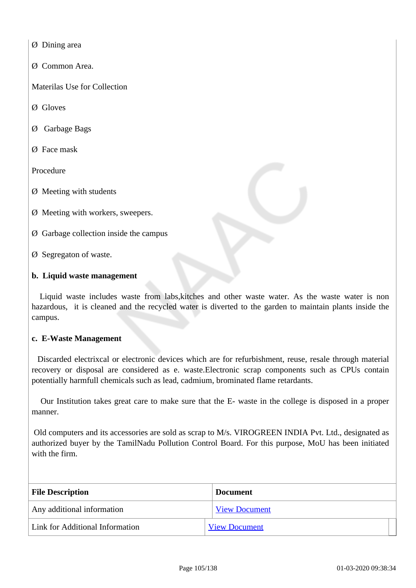- Ø Dining area
- Ø Common Area.
- Materilas Use for Collection
- Ø Gloves
- Ø Garbage Bags
- Ø Face mask

Procedure

- Ø Meeting with students
- Ø Meeting with workers, sweepers.
- Ø Garbage collection inside the campus
- Ø Segregaton of waste.

#### **b. Liquid waste management**

 Liquid waste includes waste from labs,kitches and other waste water. As the waste water is non hazardous, it is cleaned and the recycled water is diverted to the garden to maintain plants inside the campus.

#### **c. E-Waste Management**

 Discarded electrixcal or electronic devices which are for refurbishment, reuse, resale through material recovery or disposal are considered as e. waste.Electronic scrap components such as CPUs contain potentially harmfull chemicals such as lead, cadmium, brominated flame retardants.

 Our Institution takes great care to make sure that the E- waste in the college is disposed in a proper manner.

 Old computers and its accessories are sold as scrap to M/s. VIROGREEN INDIA Pvt. Ltd., designated as authorized buyer by the TamilNadu Pollution Control Board. For this purpose, MoU has been initiated with the firm.

| <b>File Description</b>         | <b>Document</b>      |
|---------------------------------|----------------------|
| Any additional information      | <b>View Document</b> |
| Link for Additional Information | <b>View Document</b> |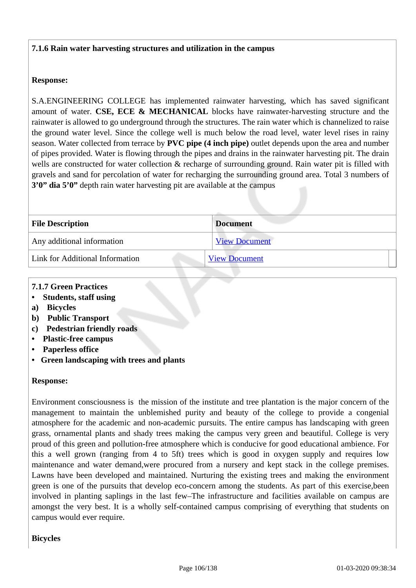### **7.1.6 Rain water harvesting structures and utilization in the campus**

# **Response:**

S.A.ENGINEERING COLLEGE has implemented rainwater harvesting, which has saved significant amount of water. **CSE, ECE & MECHANICAL** blocks have rainwater-harvesting structure and the rainwater is allowed to go underground through the structures. The rain water which is channelized to raise the ground water level. Since the college well is much below the road level, water level rises in rainy season. Water collected from terrace by **PVC pipe (4 inch pipe)** outlet depends upon the area and number of pipes provided. Water is flowing through the pipes and drains in the rainwater harvesting pit. The drain wells are constructed for water collection & recharge of surrounding ground. Rain water pit is filled with gravels and sand for percolation of water for recharging the surrounding ground area. Total 3 numbers of **3'0" dia 5'0"** depth rain water harvesting pit are available at the campus

| <b>File Description</b>         | <b>Document</b>      |
|---------------------------------|----------------------|
| Any additional information      | <b>View Document</b> |
| Link for Additional Information | <b>View Document</b> |

- **7.1.7 Green Practices**
- **Students, staff using**
- **a) Bicycles**
- **b) Public Transport**
- **c) Pedestrian friendly roads**
- **Plastic-free campus**
- **Paperless office**
- **Green landscaping with trees and plants**

#### **Response:**

Environment consciousness is the mission of the institute and tree plantation is the major concern of the management to maintain the unblemished purity and beauty of the college to provide a congenial atmosphere for the academic and non-academic pursuits. The entire campus has landscaping with green grass, ornamental plants and shady trees making the campus very green and beautiful. College is very proud of this green and pollution-free atmosphere which is conducive for good educational ambience. For this a well grown (ranging from 4 to 5ft) trees which is good in oxygen supply and requires low maintenance and water demand,were procured from a nursery and kept stack in the college premises. Lawns have been developed and maintained. Nurturing the existing trees and making the environment green is one of the pursuits that develop eco-concern among the students. As part of this exercise,been involved in planting saplings in the last few–The infrastructure and facilities available on campus are amongst the very best. It is a wholly self-contained campus comprising of everything that students on campus would ever require.

### **Bicycles**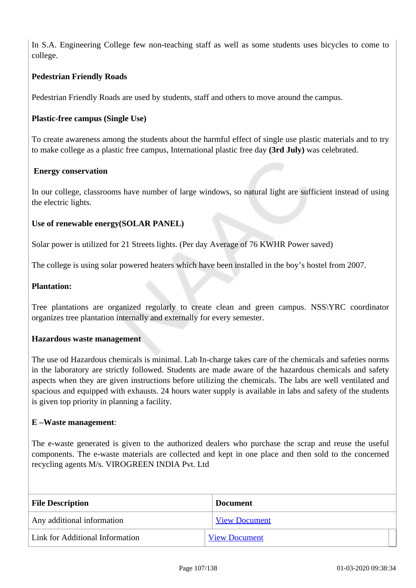In S.A. Engineering College few non-teaching staff as well as some students uses bicycles to come to college.

# **Pedestrian Friendly Roads**

Pedestrian Friendly Roads are used by students, staff and others to move around the campus.

#### **Plastic-free campus (Single Use)**

To create awareness among the students about the harmful effect of single use plastic materials and to try to make college as a plastic free campus, International plastic free day **(3rd July)** was celebrated.

#### **Energy conservation**

In our college, classrooms have number of large windows, so natural light are sufficient instead of using the electric lights.

#### **Use of renewable energy(SOLAR PANEL)**

Solar power is utilized for 21 Streets lights. (Per day Average of 76 KWHR Power saved)

The college is using solar powered heaters which have been installed in the boy's hostel from 2007.

#### **Plantation:**

Tree plantations are organized regularly to create clean and green campus. NSS\YRC coordinator organizes tree plantation internally and externally for every semester.

#### **Hazardous waste management**

The use od Hazardous chemicals is minimal. Lab In-charge takes care of the chemicals and safeties norms in the laboratory are strictly followed. Students are made aware of the hazardous chemicals and safety aspects when they are given instructions before utilizing the chemicals. The labs are well ventilated and spacious and equipped with exhausts. 24 hours water supply is available in labs and safety of the students is given top priority in planning a facility.

#### **E –Waste management**:

The e-waste generated is given to the authorized dealers who purchase the scrap and reuse the useful components. The e-waste materials are collected and kept in one place and then sold to the concerned recycling agents M/s. VIROGREEN INDIA Pvt. Ltd

| <b>File Description</b>         | <b>Document</b>      |  |
|---------------------------------|----------------------|--|
| Any additional information      | <b>View Document</b> |  |
| Link for Additional Information | <b>View Document</b> |  |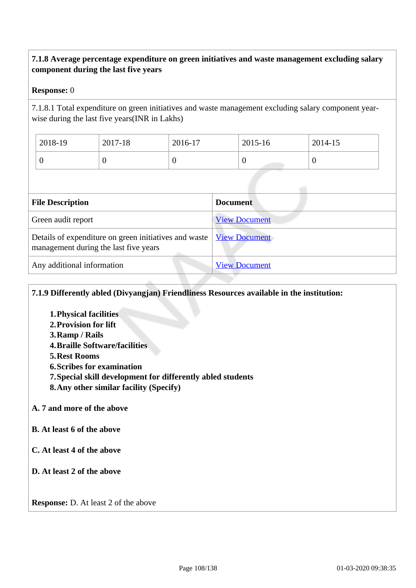# **7.1.8 Average percentage expenditure on green initiatives and waste management excluding salary component during the last five years**

#### **Response:** 0

7.1.8.1 Total expenditure on green initiatives and waste management excluding salary component yearwise during the last five years(INR in Lakhs)

| 2018-19 | 2017-18 | 2016-17 | 2015-16 | 2014-15 |
|---------|---------|---------|---------|---------|
| υ       |         | U       |         | ν       |

| <b>File Description</b>                                                                        | <b>Document</b>      |  |
|------------------------------------------------------------------------------------------------|----------------------|--|
| Green audit report                                                                             | <b>View Document</b> |  |
| Details of expenditure on green initiatives and waste<br>management during the last five years | <b>View Document</b> |  |
| Any additional information                                                                     | <b>View Document</b> |  |

**7.1.9 Differently abled (Divyangjan) Friendliness Resources available in the institution:**

- **1.Physical facilities**
- **2.Provision for lift**
- **3.Ramp / Rails**
- **4.Braille Software/facilities**
- **5.Rest Rooms**
- **6.Scribes for examination**
- **7.Special skill development for differently abled students**
- **8.Any other similar facility (Specify)**

### **A. 7 and more of the above**

#### **B. At least 6 of the above**

**C. At least 4 of the above**

### **D. At least 2 of the above**

**Response:** D. At least 2 of the above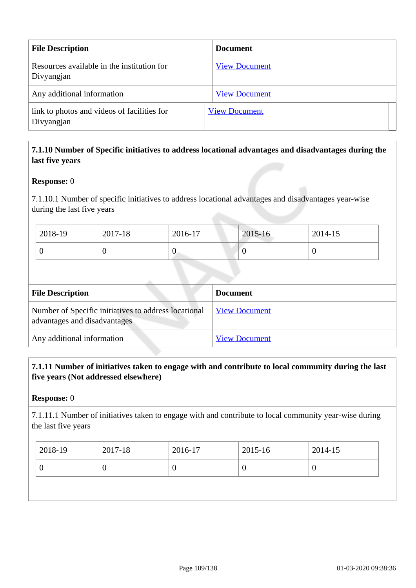| <b>File Description</b>                                   | <b>Document</b>      |
|-----------------------------------------------------------|----------------------|
| Resources available in the institution for<br>Divyangjan  | <b>View Document</b> |
| Any additional information                                | <b>View Document</b> |
| link to photos and videos of facilities for<br>Divyangjan | <b>View Document</b> |

# **7.1.10 Number of Specific initiatives to address locational advantages and disadvantages during the last five years**

#### **Response:** 0

7.1.10.1 Number of specific initiatives to address locational advantages and disadvantages year-wise during the last five years

| 2018-19 | 2017-18 | $2016-17$ | 2015-16 | 2014-15 |
|---------|---------|-----------|---------|---------|
|         |         | ◡         |         |         |

| <b>File Description</b>                                                              | <b>Document</b>      |
|--------------------------------------------------------------------------------------|----------------------|
| Number of Specific initiatives to address locational<br>advantages and disadvantages | <b>View Document</b> |
| Any additional information                                                           | <b>View Document</b> |

# **7.1.11 Number of initiatives taken to engage with and contribute to local community during the last five years (Not addressed elsewhere)**

#### **Response:** 0

7.1.11.1 Number of initiatives taken to engage with and contribute to local community year-wise during the last five years

| 2018-19 | 2017-18 | 2016-17 | 2015-16 | 2014-15          |
|---------|---------|---------|---------|------------------|
|         |         | ◡       | ν       | $\boldsymbol{0}$ |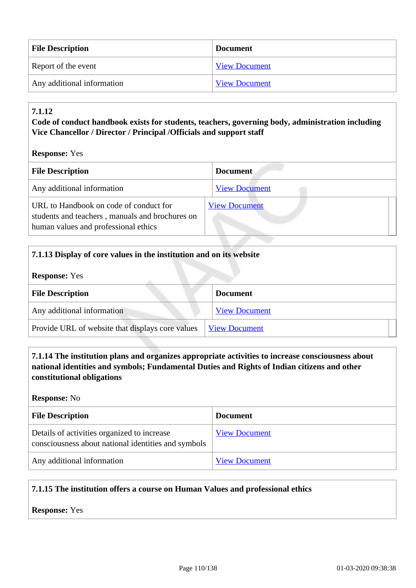| <b>File Description</b>    | <b>Document</b>      |
|----------------------------|----------------------|
| Report of the event        | <b>View Document</b> |
| Any additional information | <b>View Document</b> |

# **7.1.12**

# **Code of conduct handbook exists for students, teachers, governing body, administration including Vice Chancellor / Director / Principal /Officials and support staff**

| <b>Response: Yes</b> |  |  |
|----------------------|--|--|
|----------------------|--|--|

| <b>File Description</b>                                                                                                           | <b>Document</b>      |
|-----------------------------------------------------------------------------------------------------------------------------------|----------------------|
| Any additional information                                                                                                        | <b>View Document</b> |
| URL to Handbook on code of conduct for<br>students and teachers, manuals and brochures on<br>human values and professional ethics | <b>View Document</b> |

| 7.1.13 Display of core values in the institution and on its website |                      |  |
|---------------------------------------------------------------------|----------------------|--|
| <b>Response:</b> Yes                                                |                      |  |
| <b>File Description</b>                                             | <b>Document</b>      |  |
| Any additional information                                          | <b>View Document</b> |  |
| Provide URL of website that displays core values                    | <b>View Document</b> |  |

 **7.1.14 The institution plans and organizes appropriate activities to increase consciousness about national identities and symbols; Fundamental Duties and Rights of Indian citizens and other constitutional obligations**

#### **Response:** No

| <b>File Description</b>                                                                            | <b>Document</b>      |
|----------------------------------------------------------------------------------------------------|----------------------|
| Details of activities organized to increase<br>consciousness about national identities and symbols | <b>View Document</b> |
| Any additional information                                                                         | <b>View Document</b> |

# **7.1.15 The institution offers a course on Human Values and professional ethics**

#### **Response:** Yes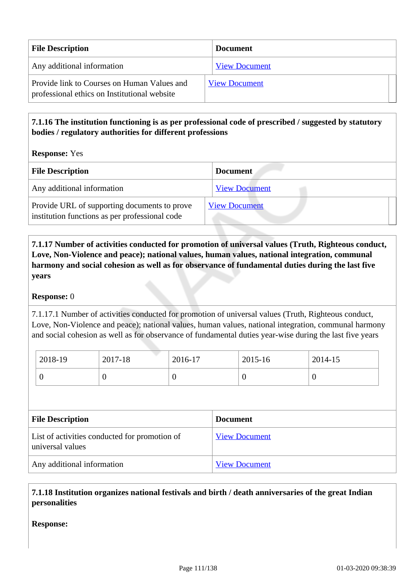| <b>File Description</b>                                                                     | <b>Document</b>      |
|---------------------------------------------------------------------------------------------|----------------------|
| Any additional information                                                                  | <b>View Document</b> |
| Provide link to Courses on Human Values and<br>professional ethics on Institutional website | <b>View Document</b> |

# **7.1.16 The institution functioning is as per professional code of prescribed / suggested by statutory bodies / regulatory authorities for different professions**

**Response:** Yes

| <b>File Description</b>                                                                        | <b>Document</b>      |
|------------------------------------------------------------------------------------------------|----------------------|
| Any additional information                                                                     | <b>View Document</b> |
| Provide URL of supporting documents to prove<br>institution functions as per professional code | <b>View Document</b> |

 **7.1.17 Number of activities conducted for promotion of universal values (Truth, Righteous conduct, Love, Non-Violence and peace); national values, human values, national integration, communal harmony and social cohesion as well as for observance of fundamental duties during the last five years**

#### **Response:** 0

7.1.17.1 Number of activities conducted for promotion of universal values (Truth, Righteous conduct, Love, Non-Violence and peace); national values, human values, national integration, communal harmony and social cohesion as well as for observance of fundamental duties year-wise during the last five years

| 2018-19 | 2017-18 | 2016-17 | 2015-16 | 2014-15 |
|---------|---------|---------|---------|---------|
|         |         |         |         |         |

| <b>File Description</b>                                           | <b>Document</b>      |
|-------------------------------------------------------------------|----------------------|
| List of activities conducted for promotion of<br>universal values | <b>View Document</b> |
| Any additional information                                        | <b>View Document</b> |

# **7.1.18 Institution organizes national festivals and birth / death anniversaries of the great Indian personalities**

**Response:**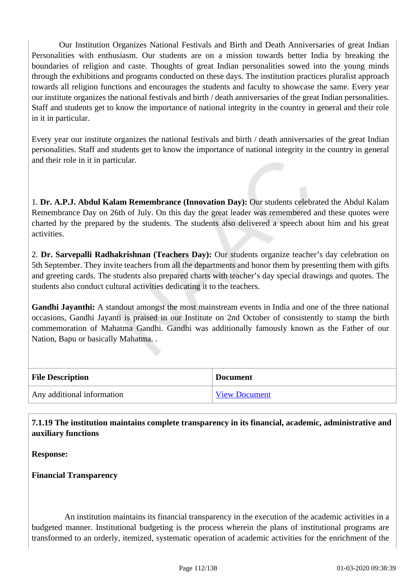Our Institution Organizes National Festivals and Birth and Death Anniversaries of great Indian Personalities with enthusiasm. Our students are on a mission towards better India by breaking the boundaries of religion and caste. Thoughts of great Indian personalities sowed into the young minds through the exhibitions and programs conducted on these days. The institution practices pluralist approach towards all religion functions and encourages the students and faculty to showcase the same. Every year our institute organizes the national festivals and birth / death anniversaries of the great Indian personalities. Staff and students get to know the importance of national integrity in the country in general and their role in it in particular.

Every year our institute organizes the national festivals and birth / death anniversaries of the great Indian personalities. Staff and students get to know the importance of national integrity in the country in general and their role in it in particular.

1. **Dr. A.P.J. Abdul Kalam Remembrance (Innovation Day):** Our students celebrated the Abdul Kalam Remembrance Day on 26th of July. On this day the great leader was remembered and these quotes were charted by the prepared by the students. The students also delivered a speech about him and his great activities.

2. **Dr. Sarvepalli Radhakrishnan (Teachers Day):** Our students organize teacher's day celebration on 5th September. They invite teachers from all the departments and honor them by presenting them with gifts and greeting cards. The students also prepared charts with teacher's day special drawings and quotes. The students also conduct cultural activities dedicating it to the teachers.

**Gandhi Jayanthi:** A standout amongst the most mainstream events in India and one of the three national occasions, Gandhi Jayanti is praised in our Institute on 2nd October of consistently to stamp the birth commemoration of Mahatma Gandhi. Gandhi was additionally famously known as the Father of our Nation, Bapu or basically Mahatma. .

| <b>File Description</b>    | <b>Document</b>      |
|----------------------------|----------------------|
| Any additional information | <b>View Document</b> |

 **7.1.19 The institution maintains complete transparency in its financial, academic, administrative and auxiliary functions**

**Response:** 

**Financial Transparency**

 An institution maintains its financial transparency in the execution of the academic activities in a budgeted manner. Institutional budgeting is the process wherein the plans of institutional programs are transformed to an orderly, itemized, systematic operation of academic activities for the enrichment of the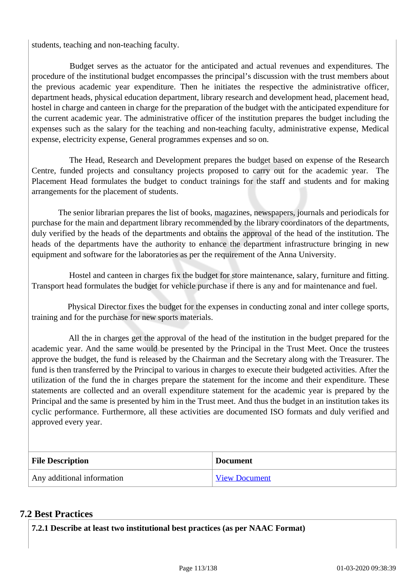students, teaching and non-teaching faculty.

 Budget serves as the actuator for the anticipated and actual revenues and expenditures. The procedure of the institutional budget encompasses the principal's discussion with the trust members about the previous academic year expenditure. Then he initiates the respective the administrative officer, department heads, physical education department, library research and development head, placement head, hostel in charge and canteen in charge for the preparation of the budget with the anticipated expenditure for the current academic year. The administrative officer of the institution prepares the budget including the expenses such as the salary for the teaching and non-teaching faculty, administrative expense, Medical expense, electricity expense, General programmes expenses and so on.

 The Head, Research and Development prepares the budget based on expense of the Research Centre, funded projects and consultancy projects proposed to carry out for the academic year. The Placement Head formulates the budget to conduct trainings for the staff and students and for making arrangements for the placement of students.

 The senior librarian prepares the list of books, magazines, newspapers, journals and periodicals for purchase for the main and department library recommended by the library coordinators of the departments, duly verified by the heads of the departments and obtains the approval of the head of the institution. The heads of the departments have the authority to enhance the department infrastructure bringing in new equipment and software for the laboratories as per the requirement of the Anna University.

 Hostel and canteen in charges fix the budget for store maintenance, salary, furniture and fitting. Transport head formulates the budget for vehicle purchase if there is any and for maintenance and fuel.

 Physical Director fixes the budget for the expenses in conducting zonal and inter college sports, training and for the purchase for new sports materials.

 All the in charges get the approval of the head of the institution in the budget prepared for the academic year. And the same would be presented by the Principal in the Trust Meet. Once the trustees approve the budget, the fund is released by the Chairman and the Secretary along with the Treasurer. The fund is then transferred by the Principal to various in charges to execute their budgeted activities. After the utilization of the fund the in charges prepare the statement for the income and their expenditure. These statements are collected and an overall expenditure statement for the academic year is prepared by the Principal and the same is presented by him in the Trust meet. And thus the budget in an institution takes its cyclic performance. Furthermore, all these activities are documented ISO formats and duly verified and approved every year.

| <b>File Description</b>    | <b>Document</b>      |
|----------------------------|----------------------|
| Any additional information | <b>View Document</b> |

# **7.2 Best Practices**

**7.2.1 Describe at least two institutional best practices (as per NAAC Format)**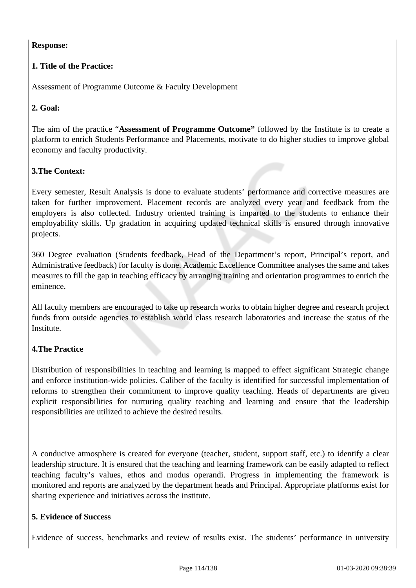#### **Response:**

### **1. Title of the Practice:**

Assessment of Programme Outcome & Faculty Development

### **2. Goal:**

The aim of the practice "**Assessment of Programme Outcome"** followed by the Institute is to create a platform to enrich Students Performance and Placements, motivate to do higher studies to improve global economy and faculty productivity.

#### **3.The Context:**

Every semester, Result Analysis is done to evaluate students' performance and corrective measures are taken for further improvement. Placement records are analyzed every year and feedback from the employers is also collected. Industry oriented training is imparted to the students to enhance their employability skills. Up gradation in acquiring updated technical skills is ensured through innovative projects.

360 Degree evaluation (Students feedback, Head of the Department's report, Principal's report, and Administrative feedback) for faculty is done. Academic Excellence Committee analyses the same and takes measures to fill the gap in teaching efficacy by arranging training and orientation programmes to enrich the eminence.

All faculty members are encouraged to take up research works to obtain higher degree and research project funds from outside agencies to establish world class research laboratories and increase the status of the **Institute.** 

# **4.The Practice**

Distribution of responsibilities in teaching and learning is mapped to effect significant Strategic change and enforce institution-wide policies. Caliber of the faculty is identified for successful implementation of reforms to strengthen their commitment to improve quality teaching. Heads of departments are given explicit responsibilities for nurturing quality teaching and learning and ensure that the leadership responsibilities are utilized to achieve the desired results.

A conducive atmosphere is created for everyone (teacher, student, support staff, etc.) to identify a clear leadership structure. It is ensured that the teaching and learning framework can be easily adapted to reflect teaching faculty's values, ethos and modus operandi. Progress in implementing the framework is monitored and reports are analyzed by the department heads and Principal. Appropriate platforms exist for sharing experience and initiatives across the institute.

#### **5. Evidence of Success**

Evidence of success, benchmarks and review of results exist. The students' performance in university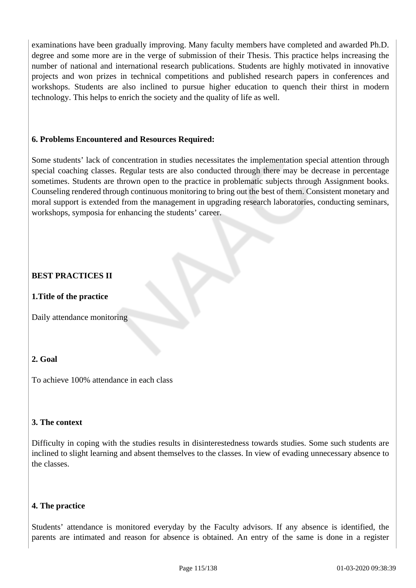examinations have been gradually improving. Many faculty members have completed and awarded Ph.D. degree and some more are in the verge of submission of their Thesis. This practice helps increasing the number of national and international research publications. Students are highly motivated in innovative projects and won prizes in technical competitions and published research papers in conferences and workshops. Students are also inclined to pursue higher education to quench their thirst in modern technology. This helps to enrich the society and the quality of life as well.

#### **6. Problems Encountered and Resources Required:**

Some students' lack of concentration in studies necessitates the implementation special attention through special coaching classes. Regular tests are also conducted through there may be decrease in percentage sometimes. Students are thrown open to the practice in problematic subjects through Assignment books. Counseling rendered through continuous monitoring to bring out the best of them. Consistent monetary and moral support is extended from the management in upgrading research laboratories, conducting seminars, workshops, symposia for enhancing the students' career.

# **BEST PRACTICES II**

#### **1.Title of the practice**

Daily attendance monitoring

#### **2. Goal**

To achieve 100% attendance in each class

#### **3. The context**

Difficulty in coping with the studies results in disinterestedness towards studies. Some such students are inclined to slight learning and absent themselves to the classes. In view of evading unnecessary absence to the classes.

#### **4. The practice**

Students' attendance is monitored everyday by the Faculty advisors. If any absence is identified, the parents are intimated and reason for absence is obtained. An entry of the same is done in a register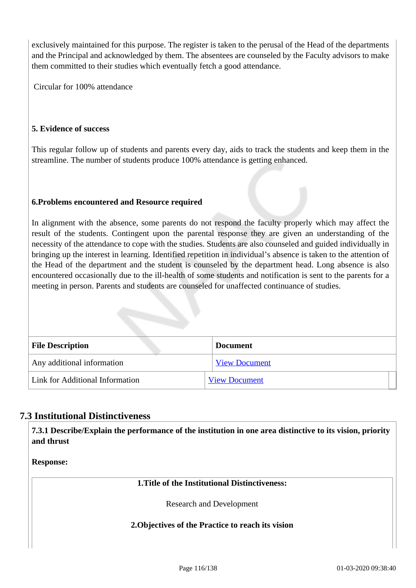exclusively maintained for this purpose. The register is taken to the perusal of the Head of the departments and the Principal and acknowledged by them. The absentees are counseled by the Faculty advisors to make them committed to their studies which eventually fetch a good attendance.

Circular for 100% attendance

#### **5. Evidence of success**

This regular follow up of students and parents every day, aids to track the students and keep them in the streamline. The number of students produce 100% attendance is getting enhanced.

#### **6.Problems encountered and Resource required**

In alignment with the absence, some parents do not respond the faculty properly which may affect the result of the students. Contingent upon the parental response they are given an understanding of the necessity of the attendance to cope with the studies. Students are also counseled and guided individually in bringing up the interest in learning. Identified repetition in individual's absence is taken to the attention of the Head of the department and the student is counseled by the department head. Long absence is also encountered occasionally due to the ill-health of some students and notification is sent to the parents for a meeting in person. Parents and students are counseled for unaffected continuance of studies.

| <b>File Description</b>         | <b>Document</b>      |
|---------------------------------|----------------------|
| Any additional information      | <b>View Document</b> |
| Link for Additional Information | <b>View Document</b> |

# **7.3 Institutional Distinctiveness**

 **7.3.1 Describe/Explain the performance of the institution in one area distinctive to its vision, priority and thrust**

**Response:** 

#### **1.Title of the Institutional Distinctiveness:**

Research and Development

**2.Objectives of the Practice to reach its vision**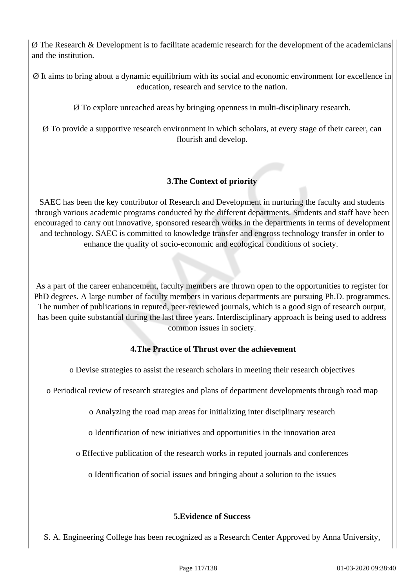Ø The Research & Development is to facilitate academic research for the development of the academicians and the institution.

 $\varnothing$  It aims to bring about a dynamic equilibrium with its social and economic environment for excellence in education, research and service to the nation.

Ø To explore unreached areas by bringing openness in multi-disciplinary research.

Ø To provide a supportive research environment in which scholars, at every stage of their career, can flourish and develop.

# **3.The Context of priority**

SAEC has been the key contributor of Research and Development in nurturing the faculty and students through various academic programs conducted by the different departments. Students and staff have been encouraged to carry out innovative, sponsored research works in the departments in terms of development and technology. SAEC is committed to knowledge transfer and engross technology transfer in order to enhance the quality of socio-economic and ecological conditions of society.

As a part of the career enhancement, faculty members are thrown open to the opportunities to register for PhD degrees. A large number of faculty members in various departments are pursuing Ph.D. programmes. The number of publications in reputed, peer-reviewed journals, which is a good sign of research output, has been quite substantial during the last three years. Interdisciplinary approach is being used to address common issues in society.

# **4.The Practice of Thrust over the achievement**

o Devise strategies to assist the research scholars in meeting their research objectives

o Periodical review of research strategies and plans of department developments through road map

o Analyzing the road map areas for initializing inter disciplinary research

o Identification of new initiatives and opportunities in the innovation area

o Effective publication of the research works in reputed journals and conferences

o Identification of social issues and bringing about a solution to the issues

#### **5.Evidence of Success**

S. A. Engineering College has been recognized as a Research Center Approved by Anna University,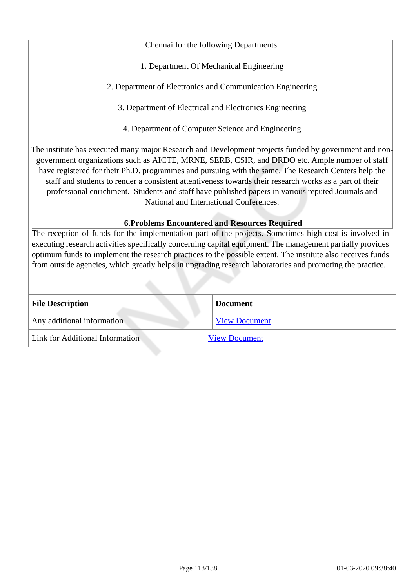Chennai for the following Departments.

- 1. Department Of Mechanical Engineering
- 2. Department of Electronics and Communication Engineering

3. Department of Electrical and Electronics Engineering

4. Department of Computer Science and Engineering

The institute has executed many major Research and Development projects funded by government and nongovernment organizations such as AICTE, MRNE, SERB, CSIR, and DRDO etc. Ample number of staff have registered for their Ph.D. programmes and pursuing with the same. The Research Centers help the staff and students to render a consistent attentiveness towards their research works as a part of their professional enrichment. Students and staff have published papers in various reputed Journals and National and International Conferences.

#### **6.Problems Encountered and Resources Required**

The reception of funds for the implementation part of the projects. Sometimes high cost is involved in executing research activities specifically concerning capital equipment. The management partially provides optimum funds to implement the research practices to the possible extent. The institute also receives funds from outside agencies, which greatly helps in upgrading research laboratories and promoting the practice.

| <b>File Description</b>         | <b>Document</b>      |
|---------------------------------|----------------------|
| Any additional information      | <b>View Document</b> |
| Link for Additional Information | <b>View Document</b> |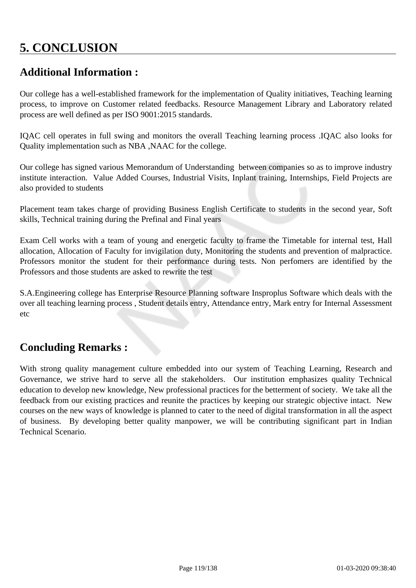# **5. CONCLUSION**

# **Additional Information :**

Our college has a well-established framework for the implementation of Quality initiatives, Teaching learning process, to improve on Customer related feedbacks. Resource Management Library and Laboratory related process are well defined as per ISO 9001:2015 standards.

IQAC cell operates in full swing and monitors the overall Teaching learning process .IQAC also looks for Quality implementation such as NBA ,NAAC for the college.

Our college has signed various Memorandum of Understanding between companies so as to improve industry institute interaction. Value Added Courses, Industrial Visits, Inplant training, Internships, Field Projects are also provided to students

Placement team takes charge of providing Business English Certificate to students in the second year, Soft skills, Technical training during the Prefinal and Final years

Exam Cell works with a team of young and energetic faculty to frame the Timetable for internal test, Hall allocation, Allocation of Faculty for invigilation duty, Monitoring the students and prevention of malpractice. Professors monitor the student for their performance during tests. Non perfomers are identified by the Professors and those students are asked to rewrite the test

S.A.Engineering college has Enterprise Resource Planning software Insproplus Software which deals with the over all teaching learning process , Student details entry, Attendance entry, Mark entry for Internal Assessment etc

# **Concluding Remarks :**

With strong quality management culture embedded into our system of Teaching Learning, Research and Governance, we strive hard to serve all the stakeholders. Our institution emphasizes quality Technical education to develop new knowledge, New professional practices for the betterment of society. We take all the feedback from our existing practices and reunite the practices by keeping our strategic objective intact. New courses on the new ways of knowledge is planned to cater to the need of digital transformation in all the aspect of business. By developing better quality manpower, we will be contributing significant part in Indian Technical Scenario.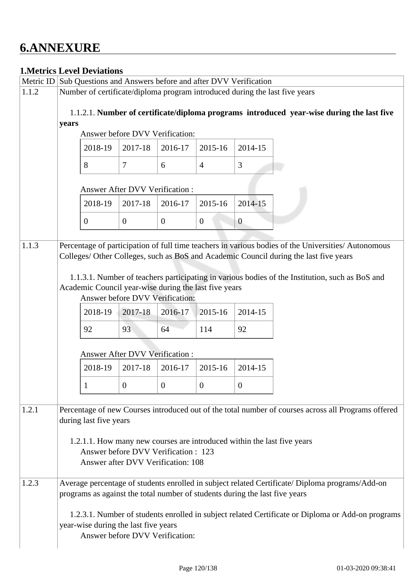# **6.ANNEXURE**

# **1.Metrics Level Deviations** Metric ID Sub Questions and Answers before and after DVV Verification 1.1.2 Number of certificate/diploma program introduced during the last five years 1.1.2.1. **Number of certificate/diploma programs introduced year-wise during the last five years** Answer before DVV Verification: 2018-19 2017-18 2016-17 2015-16 2014-15 8 7 6 4 3 Answer After DVV Verification : 2018-19 2017-18 2016-17 2015-16 2014-15  $0 \t 0 \t 0 \t 0$ 1.1.3 Percentage of participation of full time teachers in various bodies of the Universities/ Autonomous Colleges/ Other Colleges, such as BoS and Academic Council during the last five years 1.1.3.1. Number of teachers participating in various bodies of the Institution, such as BoS and Academic Council year-wise during the last five years Answer before DVV Verification: 2018-19 2017-18 2016-17 2015-16 2014-15 92 93 64 114 92 Answer After DVV Verification : 2018-19 2017-18 2016-17 2015-16 2014-15  $1 \qquad \begin{array}{|c|c|c|c|c|} \hline 0 & 0 & 0 \end{array}$ 1.2.1 Percentage of new Courses introduced out of the total number of courses across all Programs offered during last five years 1.2.1.1. How many new courses are introduced within the last five years Answer before DVV Verification : 123 Answer after DVV Verification: 108 1.2.3 Average percentage of students enrolled in subject related Certificate/ Diploma programs/Add-on programs as against the total number of students during the last five years

 1.2.3.1. Number of students enrolled in subject related Certificate or Diploma or Add-on programs year-wise during the last five years Answer before DVV Verification: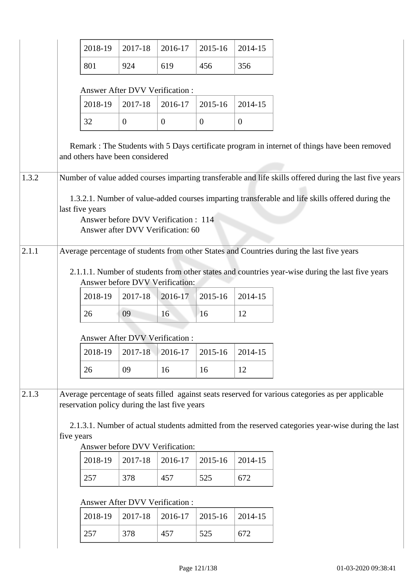|       |                                | 2018-19                                       | 2017-18                                                                   | 2016-17        | 2015-16        | 2014-15      |                                                                                                         |  |  |  |  |
|-------|--------------------------------|-----------------------------------------------|---------------------------------------------------------------------------|----------------|----------------|--------------|---------------------------------------------------------------------------------------------------------|--|--|--|--|
|       |                                | 801                                           | 924                                                                       | 619            | 456            | 356          |                                                                                                         |  |  |  |  |
|       |                                |                                               | Answer After DVV Verification :                                           |                |                |              |                                                                                                         |  |  |  |  |
|       |                                | 2018-19                                       | 2017-18                                                                   | 2016-17        | 2015-16        | 2014-15      |                                                                                                         |  |  |  |  |
|       |                                | 32                                            | $\theta$                                                                  | $\overline{0}$ | $\overline{0}$ | $\mathbf{0}$ |                                                                                                         |  |  |  |  |
|       |                                | and others have been considered               |                                                                           |                |                |              | Remark : The Students with 5 Days certificate program in internet of things have been removed           |  |  |  |  |
| 1.3.2 |                                |                                               |                                                                           |                |                |              | Number of value added courses imparting transferable and life skills offered during the last five years |  |  |  |  |
|       |                                | last five years                               | Answer before DVV Verification : 114<br>Answer after DVV Verification: 60 |                |                |              | 1.3.2.1. Number of value-added courses imparting transferable and life skills offered during the        |  |  |  |  |
| 2.1.1 |                                |                                               |                                                                           |                |                |              | Average percentage of students from other States and Countries during the last five years               |  |  |  |  |
|       |                                |                                               | Answer before DVV Verification:                                           |                |                |              | 2.1.1.1. Number of students from other states and countries year-wise during the last five years        |  |  |  |  |
|       |                                | 2018-19                                       | 2017-18                                                                   | 2016-17        | 2015-16        | 2014-15      |                                                                                                         |  |  |  |  |
|       |                                | 26                                            | 09                                                                        | 16             | 16             | 12           |                                                                                                         |  |  |  |  |
|       | Answer After DVV Verification: |                                               |                                                                           |                |                |              |                                                                                                         |  |  |  |  |
|       |                                | 2018-19                                       | 2017-18                                                                   | 2016-17        | 2015-16        | 2014-15      |                                                                                                         |  |  |  |  |
|       |                                | 26                                            | 09                                                                        | 16             | 16             | 12           |                                                                                                         |  |  |  |  |
| 2.1.3 |                                | reservation policy during the last five years |                                                                           |                |                |              | Average percentage of seats filled against seats reserved for various categories as per applicable      |  |  |  |  |
|       | five years                     |                                               | Answer before DVV Verification:                                           |                |                |              | 2.1.3.1. Number of actual students admitted from the reserved categories year-wise during the last      |  |  |  |  |
|       |                                | 2018-19                                       | 2017-18                                                                   | 2016-17        | 2015-16        | 2014-15      |                                                                                                         |  |  |  |  |
|       |                                | 257                                           | 378                                                                       | 457            | 525            | 672          |                                                                                                         |  |  |  |  |
|       |                                |                                               | Answer After DVV Verification :                                           |                |                |              |                                                                                                         |  |  |  |  |
|       |                                | 2018-19                                       | 2017-18                                                                   | 2016-17        | 2015-16        | 2014-15      |                                                                                                         |  |  |  |  |
|       |                                | 257                                           | 378                                                                       | 457            | 525            | 672          |                                                                                                         |  |  |  |  |
|       |                                |                                               |                                                                           |                |                |              |                                                                                                         |  |  |  |  |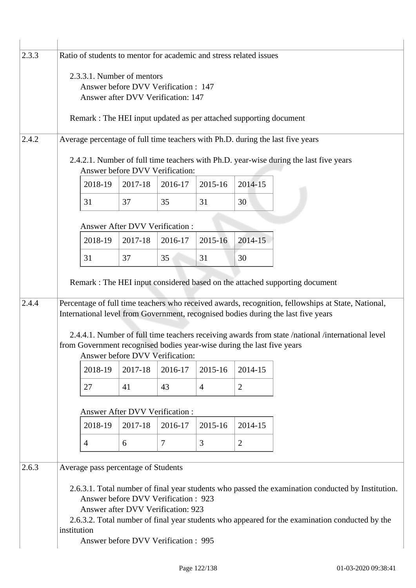|       |                                 |                                                                   |                |                | Ratio of students to mentor for academic and stress related issues                                                                                                                                                                                              |
|-------|---------------------------------|-------------------------------------------------------------------|----------------|----------------|-----------------------------------------------------------------------------------------------------------------------------------------------------------------------------------------------------------------------------------------------------------------|
|       |                                 | 2.3.3.1. Number of mentors<br>Answer before DVV Verification: 147 |                |                |                                                                                                                                                                                                                                                                 |
|       |                                 | Answer after DVV Verification: 147                                |                |                |                                                                                                                                                                                                                                                                 |
|       |                                 |                                                                   |                |                | Remark: The HEI input updated as per attached supporting document                                                                                                                                                                                               |
| 2.4.2 |                                 |                                                                   |                |                | Average percentage of full time teachers with Ph.D. during the last five years                                                                                                                                                                                  |
|       |                                 | Answer before DVV Verification:                                   |                |                | 2.4.2.1. Number of full time teachers with Ph.D. year-wise during the last five years                                                                                                                                                                           |
|       | 2018-19                         | 2017-18                                                           | 2016-17        | 2015-16        | 2014-15                                                                                                                                                                                                                                                         |
|       | 31                              | 37                                                                | 35             | 31             | 30                                                                                                                                                                                                                                                              |
|       |                                 | <b>Answer After DVV Verification:</b>                             |                |                |                                                                                                                                                                                                                                                                 |
|       | 2018-19                         | 2017-18                                                           | 2016-17        | 2015-16        | 2014-15                                                                                                                                                                                                                                                         |
|       | 31                              | 37                                                                | 35             | 31             | 30                                                                                                                                                                                                                                                              |
|       | Answer before DVV Verification: |                                                                   |                |                | International level from Government, recognised bodies during the last five years<br>2.4.4.1. Number of full time teachers receiving awards from state /national /international level<br>from Government recognised bodies year-wise during the last five years |
|       |                                 |                                                                   |                |                |                                                                                                                                                                                                                                                                 |
|       | 2018-19                         | 2017-18                                                           | 2016-17        | 2015-16        | 2014-15                                                                                                                                                                                                                                                         |
|       | 27                              | 41                                                                | 43             | $\overline{4}$ | 2                                                                                                                                                                                                                                                               |
|       |                                 | Answer After DVV Verification :                                   |                |                |                                                                                                                                                                                                                                                                 |
|       | 2018-19                         | 2017-18                                                           | 2016-17        | 2015-16        | 2014-15                                                                                                                                                                                                                                                         |
|       | $\overline{4}$                  | 6                                                                 | $\overline{7}$ | 3              | $\overline{2}$                                                                                                                                                                                                                                                  |
| 2.6.3 |                                 | Average pass percentage of Students                               |                |                |                                                                                                                                                                                                                                                                 |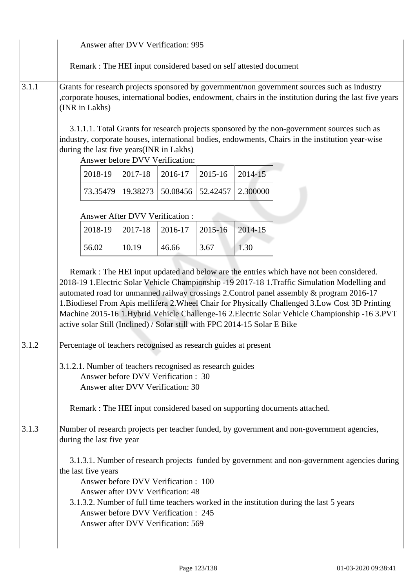|       | Answer after DVV Verification: 995                                                                                                                                                                          |          |          |          |          |                                                                                                                                                                                                                                                                                                                                                                                                               |
|-------|-------------------------------------------------------------------------------------------------------------------------------------------------------------------------------------------------------------|----------|----------|----------|----------|---------------------------------------------------------------------------------------------------------------------------------------------------------------------------------------------------------------------------------------------------------------------------------------------------------------------------------------------------------------------------------------------------------------|
|       | Remark : The HEI input considered based on self attested document                                                                                                                                           |          |          |          |          |                                                                                                                                                                                                                                                                                                                                                                                                               |
| 3.1.1 | (INR in Lakhs)<br>during the last five years (INR in Lakhs)                                                                                                                                                 |          |          |          |          | Grants for research projects sponsored by government/non government sources such as industry<br>, corporate houses, international bodies, endowment, chairs in the institution during the last five years<br>3.1.1.1. Total Grants for research projects sponsored by the non-government sources such as<br>industry, corporate houses, international bodies, endowments, Chairs in the institution year-wise |
|       | Answer before DVV Verification:                                                                                                                                                                             |          |          |          |          |                                                                                                                                                                                                                                                                                                                                                                                                               |
|       | 2018-19                                                                                                                                                                                                     | 2017-18  | 2016-17  | 2015-16  | 2014-15  |                                                                                                                                                                                                                                                                                                                                                                                                               |
|       | 73.35479                                                                                                                                                                                                    | 19.38273 | 50.08456 | 52.42457 | 2.300000 |                                                                                                                                                                                                                                                                                                                                                                                                               |
|       | Answer After DVV Verification :                                                                                                                                                                             |          |          |          |          |                                                                                                                                                                                                                                                                                                                                                                                                               |
|       | 2018-19                                                                                                                                                                                                     | 2017-18  | 2016-17  | 2015-16  | 2014-15  |                                                                                                                                                                                                                                                                                                                                                                                                               |
|       | 56.02                                                                                                                                                                                                       | 10.19    | 46.66    | 3.67     | 1.30     |                                                                                                                                                                                                                                                                                                                                                                                                               |
|       | active solar Still (Inclined) / Solar still with FPC 2014-15 Solar E Bike                                                                                                                                   |          |          |          |          | automated road for unmanned railway crossings 2. Control panel assembly & program 2016-17<br>1. Biodiesel From Apis mellifera 2. Wheel Chair for Physically Challenged 3. Low Cost 3D Printing<br>Machine 2015-16 1. Hybrid Vehicle Challenge-16 2. Electric Solar Vehicle Championship -16 3. PVT                                                                                                            |
| 3.1.2 | Percentage of teachers recognised as research guides at present<br>3.1.2.1. Number of teachers recognised as research guides<br>Answer before DVV Verification : 30<br>Answer after DVV Verification: 30    |          |          |          |          | Remark : The HEI input considered based on supporting documents attached.                                                                                                                                                                                                                                                                                                                                     |
| 3.1.3 | during the last five year<br>the last five years<br>Answer before DVV Verification : 100<br>Answer after DVV Verification: 48<br>Answer before DVV Verification : 245<br>Answer after DVV Verification: 569 |          |          |          |          | Number of research projects per teacher funded, by government and non-government agencies,<br>3.1.3.1. Number of research projects funded by government and non-government agencies during<br>3.1.3.2. Number of full time teachers worked in the institution during the last 5 years                                                                                                                         |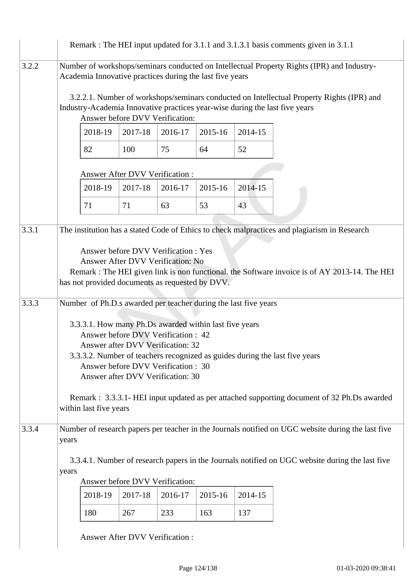|       |       |                                                                 |         |                                                                          |         |         | Remark : The HEI input updated for 3.1.1 and 3.1.3.1 basis comments given in 3.1.1                                                                                       |
|-------|-------|-----------------------------------------------------------------|---------|--------------------------------------------------------------------------|---------|---------|--------------------------------------------------------------------------------------------------------------------------------------------------------------------------|
| 3.2.2 |       | Academia Innovative practices during the last five years        |         |                                                                          |         |         | Number of workshops/seminars conducted on Intellectual Property Rights (IPR) and Industry-                                                                               |
|       |       |                                                                 |         | Answer before DVV Verification:                                          |         |         | 3.2.2.1. Number of workshops/seminars conducted on Intellectual Property Rights (IPR) and<br>Industry-Academia Innovative practices year-wise during the last five years |
|       |       | 2018-19                                                         | 2017-18 | 2016-17                                                                  | 2015-16 | 2014-15 |                                                                                                                                                                          |
|       |       | 82                                                              | 100     | 75                                                                       | 64      | 52      |                                                                                                                                                                          |
|       |       | Answer After DVV Verification:                                  |         |                                                                          |         |         |                                                                                                                                                                          |
|       |       | 2018-19                                                         | 2017-18 | 2016-17                                                                  | 2015-16 | 2014-15 |                                                                                                                                                                          |
|       |       | 71                                                              | 71      | 63                                                                       | 53      | 43      |                                                                                                                                                                          |
| 3.3.1 |       |                                                                 |         |                                                                          |         |         | The institution has a stated Code of Ethics to check malpractices and plagiarism in Research                                                                             |
|       |       |                                                                 |         | Answer before DVV Verification : Yes                                     |         |         |                                                                                                                                                                          |
|       |       |                                                                 |         | Answer After DVV Verification: No                                        |         |         |                                                                                                                                                                          |
|       |       | has not provided documents as requested by DVV.                 |         |                                                                          |         |         | Remark : The HEI given link is non functional. the Software invoice is of AY 2013-14. The HEI                                                                            |
| 3.3.3 |       | Number of Ph.D.s awarded per teacher during the last five years |         |                                                                          |         |         |                                                                                                                                                                          |
|       |       | 3.3.3.1. How many Ph.Ds awarded within last five years          |         |                                                                          |         |         |                                                                                                                                                                          |
|       |       |                                                                 |         | Answer before DVV Verification : 42<br>Answer after DVV Verification: 32 |         |         |                                                                                                                                                                          |
|       |       |                                                                 |         |                                                                          |         |         | 3.3.3.2. Number of teachers recognized as guides during the last five years                                                                                              |
|       |       |                                                                 |         | Answer before DVV Verification: 30<br>Answer after DVV Verification: 30  |         |         |                                                                                                                                                                          |
|       |       |                                                                 |         |                                                                          |         |         | Remark : 3.3.3.1 - HEI input updated as per attached supporting document of 32 Ph.Ds awarded                                                                             |
|       |       | within last five years                                          |         |                                                                          |         |         |                                                                                                                                                                          |
| 3.3.4 | years |                                                                 |         |                                                                          |         |         | Number of research papers per teacher in the Journals notified on UGC website during the last five                                                                       |
|       |       |                                                                 |         |                                                                          |         |         | 3.3.4.1. Number of research papers in the Journals notified on UGC website during the last five                                                                          |
|       | years |                                                                 |         | Answer before DVV Verification:                                          |         |         |                                                                                                                                                                          |
|       |       | 2018-19                                                         | 2017-18 | 2016-17                                                                  | 2015-16 | 2014-15 |                                                                                                                                                                          |
|       |       | 180                                                             | 267     | 233                                                                      | 163     | 137     |                                                                                                                                                                          |
|       |       | <b>Answer After DVV Verification:</b>                           |         |                                                                          |         |         |                                                                                                                                                                          |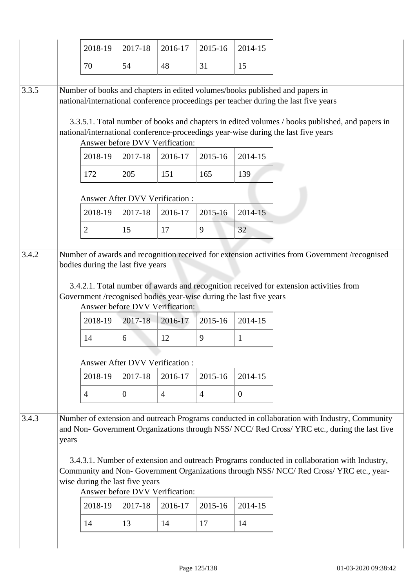| 2018-19<br>2017-18<br>2016-17<br>2015-16<br>2014-15<br>48<br>70<br>54<br>31<br>15<br>Number of books and chapters in edited volumes/books published and papers in<br>national/international conference proceedings per teacher during the last five years<br>3.3.5.1. Total number of books and chapters in edited volumes / books published, and papers in<br>national/international conference-proceedings year-wise during the last five years<br>Answer before DVV Verification:<br>2017-18<br>2018-19<br>2016-17<br>2015-16<br>2014-15<br>139<br>172<br>205<br>151<br>165<br>Answer After DVV Verification:<br>2018-19<br>2014-15<br>2017-18<br>2016-17<br>2015-16<br>$\overline{2}$<br>9<br>32<br>15<br>17 |                |  |  |  |
|------------------------------------------------------------------------------------------------------------------------------------------------------------------------------------------------------------------------------------------------------------------------------------------------------------------------------------------------------------------------------------------------------------------------------------------------------------------------------------------------------------------------------------------------------------------------------------------------------------------------------------------------------------------------------------------------------------------|----------------|--|--|--|
|                                                                                                                                                                                                                                                                                                                                                                                                                                                                                                                                                                                                                                                                                                                  |                |  |  |  |
|                                                                                                                                                                                                                                                                                                                                                                                                                                                                                                                                                                                                                                                                                                                  |                |  |  |  |
| Number of awards and recognition received for extension activities from Government /recognised<br>bodies during the last five years                                                                                                                                                                                                                                                                                                                                                                                                                                                                                                                                                                              | 3.3.5<br>3.4.2 |  |  |  |
|                                                                                                                                                                                                                                                                                                                                                                                                                                                                                                                                                                                                                                                                                                                  |                |  |  |  |
| 3.4.2.1. Total number of awards and recognition received for extension activities from<br>Government /recognised bodies year-wise during the last five years<br>Answer before DVV Verification:<br>2014-15<br>2018-19<br>2017-18<br>2015-16<br>2016-17                                                                                                                                                                                                                                                                                                                                                                                                                                                           |                |  |  |  |
| 9<br>12<br>14<br>6<br>$\mathbf{1}$                                                                                                                                                                                                                                                                                                                                                                                                                                                                                                                                                                                                                                                                               |                |  |  |  |
| <b>Answer After DVV Verification:</b>                                                                                                                                                                                                                                                                                                                                                                                                                                                                                                                                                                                                                                                                            |                |  |  |  |
| 2017-18<br>2015-16<br>2014-15<br>2018-19<br>2016-17                                                                                                                                                                                                                                                                                                                                                                                                                                                                                                                                                                                                                                                              |                |  |  |  |
| $\overline{0}$<br>$\mathbf{0}$<br>$\overline{4}$<br>$\overline{4}$<br>$\overline{4}$                                                                                                                                                                                                                                                                                                                                                                                                                                                                                                                                                                                                                             |                |  |  |  |
| Number of extension and outreach Programs conducted in collaboration with Industry, Community<br>and Non- Government Organizations through NSS/ NCC/ Red Cross/ YRC etc., during the last five<br>years                                                                                                                                                                                                                                                                                                                                                                                                                                                                                                          | 3.4.3          |  |  |  |
| 3.4.3.1. Number of extension and outreach Programs conducted in collaboration with Industry,<br>Community and Non- Government Organizations through NSS/ NCC/ Red Cross/ YRC etc., year-<br>wise during the last five years<br>Answer before DVV Verification:                                                                                                                                                                                                                                                                                                                                                                                                                                                   |                |  |  |  |
| 2015-16<br>2014-15<br>2018-19<br>2017-18<br>2016-17<br>13<br>14<br>14<br>14<br>17                                                                                                                                                                                                                                                                                                                                                                                                                                                                                                                                                                                                                                |                |  |  |  |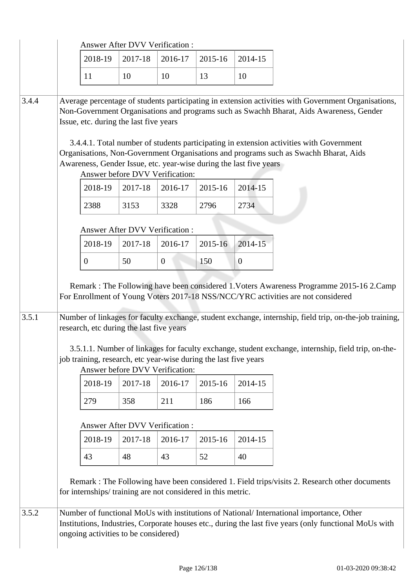|       |                                          | Answer After DVV Verification:  |                                                                                                       |         |                  |                                                                                                                                                                                                                                                                                           |
|-------|------------------------------------------|---------------------------------|-------------------------------------------------------------------------------------------------------|---------|------------------|-------------------------------------------------------------------------------------------------------------------------------------------------------------------------------------------------------------------------------------------------------------------------------------------|
|       | 2018-19                                  | 2017-18                         | 2016-17                                                                                               | 2015-16 | 2014-15          |                                                                                                                                                                                                                                                                                           |
|       | 11                                       | 10                              | 10                                                                                                    | 13      | 10               |                                                                                                                                                                                                                                                                                           |
| 3.4.4 | Issue, etc. during the last five years   |                                 |                                                                                                       |         |                  | Average percentage of students participating in extension activities with Government Organisations,<br>Non-Government Organisations and programs such as Swachh Bharat, Aids Awareness, Gender<br>3.4.4.1. Total number of students participating in extension activities with Government |
|       |                                          |                                 | Awareness, Gender Issue, etc. year-wise during the last five years<br>Answer before DVV Verification: |         |                  | Organisations, Non-Government Organisations and programs such as Swachh Bharat, Aids                                                                                                                                                                                                      |
|       | 2018-19                                  | 2017-18                         | 2016-17                                                                                               | 2015-16 | 2014-15          |                                                                                                                                                                                                                                                                                           |
|       | 2388                                     | 3153                            | 3328                                                                                                  | 2796    | 2734             |                                                                                                                                                                                                                                                                                           |
|       |                                          | Answer After DVV Verification:  |                                                                                                       |         |                  |                                                                                                                                                                                                                                                                                           |
|       | 2018-19                                  | 2017-18                         | 2016-17                                                                                               | 2015-16 | 2014-15          |                                                                                                                                                                                                                                                                                           |
|       | $\boldsymbol{0}$                         | 50                              | $\boldsymbol{0}$                                                                                      | 150     | $\boldsymbol{0}$ |                                                                                                                                                                                                                                                                                           |
| 3.5.1 |                                          |                                 |                                                                                                       |         |                  | Remark : The Following have been considered 1. Voters Awareness Programme 2015-16 2. Camp<br>For Enrollment of Young Voters 2017-18 NSS/NCC/YRC activities are not considered<br>Number of linkages for faculty exchange, student exchange, internship, field trip, on-the-job training,  |
|       | research, etc during the last five years |                                 | job training, research, etc year-wise during the last five years<br>Answer before DVV Verification:   |         |                  | 3.5.1.1. Number of linkages for faculty exchange, student exchange, internship, field trip, on-the-                                                                                                                                                                                       |
|       | 2018-19                                  | 2017-18                         | 2016-17                                                                                               | 2015-16 | 2014-15          |                                                                                                                                                                                                                                                                                           |
|       | 279                                      | 358                             | 211                                                                                                   | 186     | 166              |                                                                                                                                                                                                                                                                                           |
|       |                                          | Answer After DVV Verification : |                                                                                                       |         |                  |                                                                                                                                                                                                                                                                                           |
|       | 2018-19                                  | 2017-18                         | 2016-17                                                                                               | 2015-16 | 2014-15          |                                                                                                                                                                                                                                                                                           |
|       | 43                                       | 48                              | 43                                                                                                    | 52      | 40               |                                                                                                                                                                                                                                                                                           |
|       |                                          |                                 | for internships/training are not considered in this metric.                                           |         |                  | Remark : The Following have been considered 1. Field trips/visits 2. Research other documents                                                                                                                                                                                             |
| 3.5.2 | ongoing activities to be considered)     |                                 |                                                                                                       |         |                  | Number of functional MoUs with institutions of National/International importance, Other<br>Institutions, Industries, Corporate houses etc., during the last five years (only functional MoUs with                                                                                         |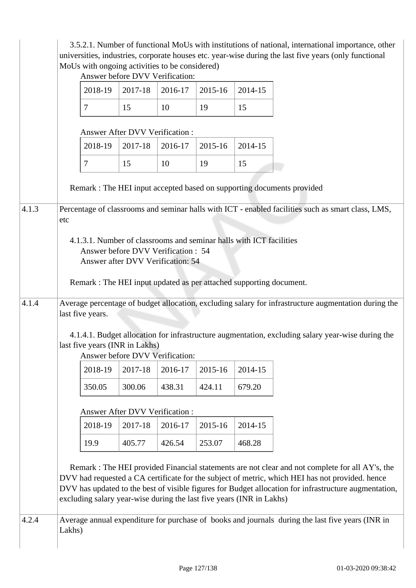3.5.2.1. Number of functional MoUs with institutions of national, international importance, other universities, industries, corporate houses etc. year-wise during the last five years (only functional MoUs with ongoing activities to be considered)

| Answer before DVV Verification: |  |
|---------------------------------|--|
|---------------------------------|--|

|       |        | 2018-19          | 2017-18                                    | 2016-17 | 2015-16                                                                                                                                                                                            | 2014-15 |
|-------|--------|------------------|--------------------------------------------|---------|----------------------------------------------------------------------------------------------------------------------------------------------------------------------------------------------------|---------|
|       |        | $\tau$           | 15                                         | 10      | 19                                                                                                                                                                                                 | 15      |
|       |        |                  | Answer After DVV Verification :            |         |                                                                                                                                                                                                    |         |
|       |        | 2018-19          | 2017-18                                    | 2016-17 | 2015-16                                                                                                                                                                                            | 2014-15 |
|       |        | 7                | 15                                         | 10      | 19                                                                                                                                                                                                 | 15      |
|       |        |                  |                                            |         | Remark : The HEI input accepted based on supporting documents provided                                                                                                                             |         |
| 4.1.3 | etc    |                  |                                            |         | Percentage of classrooms and seminar halls with ICT - enabled facilities such as smart class, LMS,                                                                                                 |         |
|       |        |                  |                                            |         | 4.1.3.1. Number of classrooms and seminar halls with ICT facilities                                                                                                                                |         |
|       |        |                  | Answer before DVV Verification : 54        |         |                                                                                                                                                                                                    |         |
|       |        |                  | Answer after DVV Verification: 54          |         |                                                                                                                                                                                                    |         |
|       |        |                  |                                            |         | Remark : The HEI input updated as per attached supporting document.                                                                                                                                |         |
| 4.1.4 |        |                  |                                            |         | Average percentage of budget allocation, excluding salary for infrastructure augmentation during the                                                                                               |         |
|       |        | last five years. |                                            |         |                                                                                                                                                                                                    |         |
|       |        |                  |                                            |         | 4.1.4.1. Budget allocation for infrastructure augmentation, excluding salary year-wise during the                                                                                                  |         |
|       |        |                  | last five years (INR in Lakhs)             |         |                                                                                                                                                                                                    |         |
|       |        | 2018-19          | Answer before DVV Verification:<br>2017-18 | 2016-17 | 2015-16                                                                                                                                                                                            | 2014-15 |
|       |        |                  |                                            |         |                                                                                                                                                                                                    |         |
|       |        | 350.05           | 300.06                                     | 438.31  | 424.11                                                                                                                                                                                             | 679.20  |
|       |        |                  | Answer After DVV Verification:             |         |                                                                                                                                                                                                    |         |
|       |        | 2018-19          | 2017-18                                    | 2016-17 | 2015-16                                                                                                                                                                                            | 2014-15 |
|       |        | 19.9             | 405.77                                     | 426.54  | 253.07                                                                                                                                                                                             | 468.28  |
|       |        |                  |                                            |         |                                                                                                                                                                                                    |         |
|       |        |                  |                                            |         | Remark : The HEI provided Financial statements are not clear and not complete for all AY's, the<br>DVV had requested a CA certificate for the subject of metric, which HEI has not provided. hence |         |
|       |        |                  |                                            |         | DVV has updated to the best of visible figures for Budget allocation for infrastructure augmentation,                                                                                              |         |
|       |        |                  |                                            |         | excluding salary year-wise during the last five years (INR in Lakhs)                                                                                                                               |         |
| 4.2.4 |        |                  |                                            |         | Average annual expenditure for purchase of books and journals during the last five years (INR in                                                                                                   |         |
|       | Lakhs) |                  |                                            |         |                                                                                                                                                                                                    |         |
|       |        |                  |                                            |         |                                                                                                                                                                                                    |         |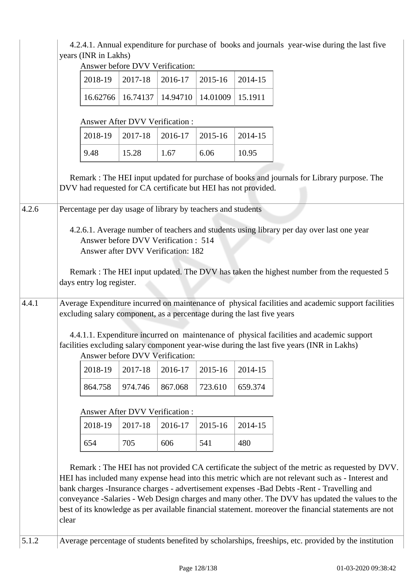|       |       | years (INR in Lakhs)                                                       |          | Answer before DVV Verification: |          |         | 4.2.4.1. Annual expenditure for purchase of books and journals year-wise during the last five                                                                                                                                                                                                                                                                                                                                                                                                                  |
|-------|-------|----------------------------------------------------------------------------|----------|---------------------------------|----------|---------|----------------------------------------------------------------------------------------------------------------------------------------------------------------------------------------------------------------------------------------------------------------------------------------------------------------------------------------------------------------------------------------------------------------------------------------------------------------------------------------------------------------|
|       |       | 2018-19                                                                    | 2017-18  | 2016-17                         | 2015-16  | 2014-15 |                                                                                                                                                                                                                                                                                                                                                                                                                                                                                                                |
|       |       | 16.62766                                                                   | 16.74137 | 14.94710                        | 14.01009 | 15.1911 |                                                                                                                                                                                                                                                                                                                                                                                                                                                                                                                |
|       |       | <b>Answer After DVV Verification:</b>                                      |          |                                 |          |         |                                                                                                                                                                                                                                                                                                                                                                                                                                                                                                                |
|       |       | 2018-19                                                                    | 2017-18  | 2016-17                         | 2015-16  | 2014-15 |                                                                                                                                                                                                                                                                                                                                                                                                                                                                                                                |
|       |       | 9.48                                                                       | 15.28    | 1.67                            | 6.06     | 10.95   |                                                                                                                                                                                                                                                                                                                                                                                                                                                                                                                |
|       |       | DVV had requested for CA certificate but HEI has not provided.             |          |                                 |          |         | Remark : The HEI input updated for purchase of books and journals for Library purpose. The                                                                                                                                                                                                                                                                                                                                                                                                                     |
| 4.2.6 |       | Percentage per day usage of library by teachers and students               |          |                                 |          |         |                                                                                                                                                                                                                                                                                                                                                                                                                                                                                                                |
|       |       | Answer before DVV Verification : 514<br>Answer after DVV Verification: 182 |          |                                 |          |         | 4.2.6.1. Average number of teachers and students using library per day over last one year                                                                                                                                                                                                                                                                                                                                                                                                                      |
|       |       | days entry log register.                                                   |          |                                 |          |         | Remark : The HEI input updated. The DVV has taken the highest number from the requested 5                                                                                                                                                                                                                                                                                                                                                                                                                      |
| 4.4.1 |       | excluding salary component, as a percentage during the last five years     |          |                                 |          |         | Average Expenditure incurred on maintenance of physical facilities and academic support facilities                                                                                                                                                                                                                                                                                                                                                                                                             |
|       |       |                                                                            |          | Answer before DVV Verification: |          |         | 4.4.1.1. Expenditure incurred on maintenance of physical facilities and academic support<br>facilities excluding salary component year-wise during the last five years (INR in Lakhs)                                                                                                                                                                                                                                                                                                                          |
|       |       | 2018-19                                                                    | 2017-18  | 2016-17                         | 2015-16  | 2014-15 |                                                                                                                                                                                                                                                                                                                                                                                                                                                                                                                |
|       |       | 864.758                                                                    | 974.746  | 867.068                         | 723.610  | 659.374 |                                                                                                                                                                                                                                                                                                                                                                                                                                                                                                                |
|       |       | <b>Answer After DVV Verification:</b>                                      |          |                                 |          |         |                                                                                                                                                                                                                                                                                                                                                                                                                                                                                                                |
|       |       | 2018-19                                                                    | 2017-18  | 2016-17                         | 2015-16  | 2014-15 |                                                                                                                                                                                                                                                                                                                                                                                                                                                                                                                |
|       |       | 654                                                                        | 705      | 606                             | 541      | 480     |                                                                                                                                                                                                                                                                                                                                                                                                                                                                                                                |
|       | clear |                                                                            |          |                                 |          |         | Remark : The HEI has not provided CA certificate the subject of the metric as requested by DVV.<br>HEI has included many expense head into this metric which are not relevant such as - Interest and<br>bank charges -Insurance charges - advertisement expenses -Bad Debts -Rent - Travelling and<br>conveyance -Salaries - Web Design charges and many other. The DVV has updated the values to the<br>best of its knowledge as per available financial statement. moreover the financial statements are not |
| 5.1.2 |       |                                                                            |          |                                 |          |         | Average percentage of students benefited by scholarships, freeships, etc. provided by the institution                                                                                                                                                                                                                                                                                                                                                                                                          |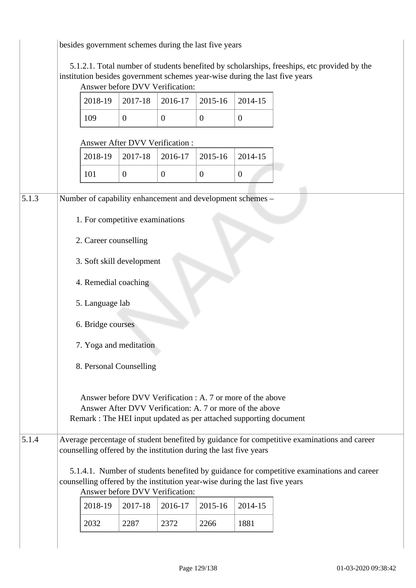besides government schemes during the last five years

 5.1.2.1. Total number of students benefited by scholarships, freeships, etc provided by the institution besides government schemes year-wise during the last five years Answer before DVV Verification:

|       | 2018-19                                                                     | 2017-18                         | 2016-17        | 2015-16        | 2014-15                                                                                                                |                                                                                             |
|-------|-----------------------------------------------------------------------------|---------------------------------|----------------|----------------|------------------------------------------------------------------------------------------------------------------------|---------------------------------------------------------------------------------------------|
|       | 109                                                                         | $\mathbf{0}$                    | $\overline{0}$ | $\overline{0}$ | $\boldsymbol{0}$                                                                                                       |                                                                                             |
|       |                                                                             | Answer After DVV Verification : |                |                |                                                                                                                        |                                                                                             |
|       | 2018-19                                                                     | 2017-18                         | 2016-17        | 2015-16        | 2014-15                                                                                                                |                                                                                             |
|       | 101                                                                         | $\mathbf{0}$                    | $\overline{0}$ | $\theta$       | $\overline{0}$                                                                                                         |                                                                                             |
| 5.1.3 | Number of capability enhancement and development schemes -                  |                                 |                |                |                                                                                                                        |                                                                                             |
|       | 1. For competitive examinations                                             |                                 |                |                |                                                                                                                        |                                                                                             |
|       | 2. Career counselling                                                       |                                 |                |                |                                                                                                                        |                                                                                             |
|       | 3. Soft skill development                                                   |                                 |                |                |                                                                                                                        |                                                                                             |
|       | 4. Remedial coaching                                                        |                                 |                |                |                                                                                                                        |                                                                                             |
|       | 5. Language lab                                                             |                                 |                |                |                                                                                                                        |                                                                                             |
|       | 6. Bridge courses                                                           |                                 |                |                |                                                                                                                        |                                                                                             |
|       | 7. Yoga and meditation                                                      |                                 |                |                |                                                                                                                        |                                                                                             |
|       | 8. Personal Counselling                                                     |                                 |                |                |                                                                                                                        |                                                                                             |
|       |                                                                             |                                 |                |                |                                                                                                                        |                                                                                             |
|       |                                                                             |                                 |                |                | Answer before DVV Verification : A. 7 or more of the above<br>Answer After DVV Verification: A. 7 or more of the above |                                                                                             |
|       | Remark : The HEI input updated as per attached supporting document          |                                 |                |                |                                                                                                                        |                                                                                             |
| 5.1.4 | counselling offered by the institution during the last five years           |                                 |                |                |                                                                                                                        | Average percentage of student benefited by guidance for competitive examinations and career |
|       |                                                                             |                                 |                |                |                                                                                                                        |                                                                                             |
|       | counselling offered by the institution year-wise during the last five years |                                 |                |                |                                                                                                                        | 5.1.4.1. Number of students benefited by guidance for competitive examinations and career   |
|       |                                                                             | Answer before DVV Verification: |                |                |                                                                                                                        |                                                                                             |
|       | 2018-19                                                                     | 2017-18                         | 2016-17        | 2015-16        | 2014-15                                                                                                                |                                                                                             |
|       | 2032                                                                        | 2287                            | 2372           | 2266           | 1881                                                                                                                   |                                                                                             |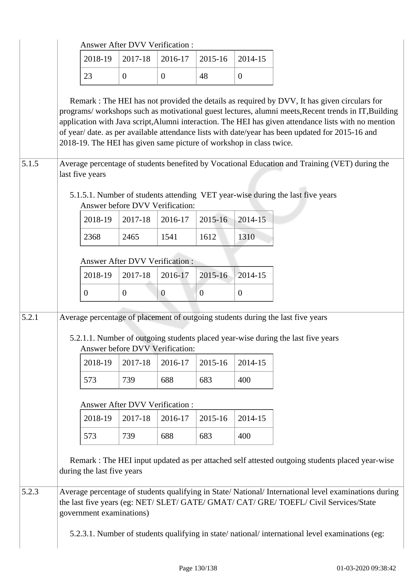|       |                                                                     | Answer After DVV Verification :       |                |                |                |                                                                                                                                                                                                                                                                                                                                                                                                                 |
|-------|---------------------------------------------------------------------|---------------------------------------|----------------|----------------|----------------|-----------------------------------------------------------------------------------------------------------------------------------------------------------------------------------------------------------------------------------------------------------------------------------------------------------------------------------------------------------------------------------------------------------------|
|       | 2018-19                                                             | 2017-18                               | 2016-17        | 2015-16        | 2014-15        |                                                                                                                                                                                                                                                                                                                                                                                                                 |
|       | 23                                                                  | $\overline{0}$                        | $\overline{0}$ | 48             | $\mathbf{0}$   |                                                                                                                                                                                                                                                                                                                                                                                                                 |
|       | 2018-19. The HEI has given same picture of workshop in class twice. |                                       |                |                |                | Remark : The HEI has not provided the details as required by DVV, It has given circulars for<br>programs/workshops such as motivational guest lectures, alumni meets, Recent trends in IT, Building<br>application with Java script, Alumni interaction. The HEI has given attendance lists with no mention<br>of year/ date. as per available attendance lists with date/year has been updated for 2015-16 and |
| 5.1.5 | last five years                                                     |                                       |                |                |                | Average percentage of students benefited by Vocational Education and Training (VET) during the                                                                                                                                                                                                                                                                                                                  |
|       |                                                                     | Answer before DVV Verification:       |                |                |                | 5.1.5.1. Number of students attending VET year-wise during the last five years                                                                                                                                                                                                                                                                                                                                  |
|       | 2018-19                                                             | 2017-18                               | 2016-17        | 2015-16        | 2014-15        |                                                                                                                                                                                                                                                                                                                                                                                                                 |
|       | 2368                                                                | 2465                                  | 1541           | 1612           | 1310           |                                                                                                                                                                                                                                                                                                                                                                                                                 |
|       |                                                                     | <b>Answer After DVV Verification:</b> |                |                |                |                                                                                                                                                                                                                                                                                                                                                                                                                 |
|       | 2018-19                                                             | 2017-18                               | 2016-17        | 2015-16        | 2014-15        |                                                                                                                                                                                                                                                                                                                                                                                                                 |
|       | $\boldsymbol{0}$                                                    | $\mathbf{0}$                          | $\mathbf{0}$   | $\overline{0}$ | $\overline{0}$ |                                                                                                                                                                                                                                                                                                                                                                                                                 |
| 5.2.1 |                                                                     |                                       |                |                |                | Average percentage of placement of outgoing students during the last five years                                                                                                                                                                                                                                                                                                                                 |
|       |                                                                     | Answer before DVV Verification:       |                |                |                | 5.2.1.1. Number of outgoing students placed year-wise during the last five years                                                                                                                                                                                                                                                                                                                                |
|       | 2018-19                                                             | 2017-18                               | 2016-17        | 2015-16        | 2014-15        |                                                                                                                                                                                                                                                                                                                                                                                                                 |
|       | 573                                                                 | 739                                   | 688            | 683            | 400            |                                                                                                                                                                                                                                                                                                                                                                                                                 |
|       |                                                                     | Answer After DVV Verification:        |                |                |                |                                                                                                                                                                                                                                                                                                                                                                                                                 |
|       | 2018-19                                                             | 2017-18                               | 2016-17        | 2015-16        | 2014-15        |                                                                                                                                                                                                                                                                                                                                                                                                                 |
|       | 573                                                                 | 739                                   | 688            | 683            | 400            |                                                                                                                                                                                                                                                                                                                                                                                                                 |
|       | during the last five years                                          |                                       |                |                |                | Remark : The HEI input updated as per attached self attested outgoing students placed year-wise                                                                                                                                                                                                                                                                                                                 |
| 5.2.3 | government examinations)                                            |                                       |                |                |                | Average percentage of students qualifying in State/National/International level examinations during<br>the last five years (eg: NET/ SLET/ GATE/ GMAT/ CAT/ GRE/ TOEFL/ Civil Services/State                                                                                                                                                                                                                    |
|       |                                                                     |                                       |                |                |                | 5.2.3.1. Number of students qualifying in state/national/international level examinations (eg:                                                                                                                                                                                                                                                                                                                  |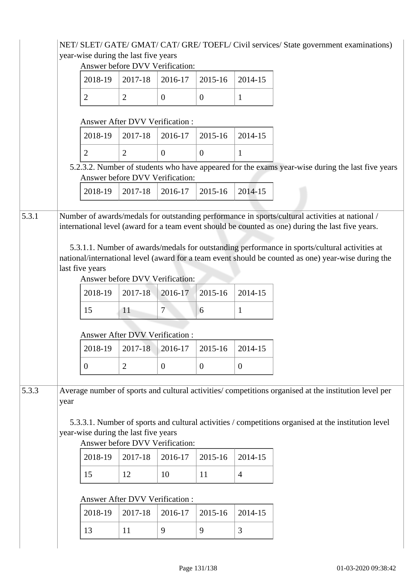| NET/SLET/GATE/GMAT/CAT/GRE/TOEFL/Civil services/State government examinations) |  |
|--------------------------------------------------------------------------------|--|
| year-wise during the last five years                                           |  |

|       |      |                                                                                                                                                                                                                                                                                                                              |                                 | Answer before DVV Verification: |                  |                |  |  |
|-------|------|------------------------------------------------------------------------------------------------------------------------------------------------------------------------------------------------------------------------------------------------------------------------------------------------------------------------------|---------------------------------|---------------------------------|------------------|----------------|--|--|
|       |      | 2018-19                                                                                                                                                                                                                                                                                                                      | 2017-18                         | 2016-17                         | 2015-16          | 2014-15        |  |  |
|       |      | $\overline{2}$                                                                                                                                                                                                                                                                                                               | $\overline{2}$                  | $\theta$                        | $\overline{0}$   | 1              |  |  |
|       |      |                                                                                                                                                                                                                                                                                                                              |                                 |                                 |                  |                |  |  |
|       |      |                                                                                                                                                                                                                                                                                                                              | Answer After DVV Verification : |                                 |                  |                |  |  |
|       |      | 2018-19                                                                                                                                                                                                                                                                                                                      | 2017-18                         | 2016-17                         | 2015-16          | 2014-15        |  |  |
|       |      | $\overline{2}$                                                                                                                                                                                                                                                                                                               | $\overline{2}$                  | $\overline{0}$                  | $\overline{0}$   | 1              |  |  |
|       |      | 5.2.3.2. Number of students who have appeared for the exams year-wise during the last five years                                                                                                                                                                                                                             | Answer before DVV Verification: |                                 |                  |                |  |  |
|       |      | 2018-19                                                                                                                                                                                                                                                                                                                      | 2017-18                         | 2016-17                         | 2015-16          | 2014-15        |  |  |
|       |      | international level (award for a team event should be counted as one) during the last five years.<br>5.3.1.1. Number of awards/medals for outstanding performance in sports/cultural activities at<br>national/international level (award for a team event should be counted as one) year-wise during the<br>last five years |                                 |                                 |                  |                |  |  |
|       |      |                                                                                                                                                                                                                                                                                                                              | Answer before DVV Verification: |                                 |                  |                |  |  |
|       |      |                                                                                                                                                                                                                                                                                                                              |                                 |                                 |                  |                |  |  |
|       |      | 2018-19                                                                                                                                                                                                                                                                                                                      | 2017-18                         | 2016-17                         | 2015-16          | 2014-15        |  |  |
|       |      | 15                                                                                                                                                                                                                                                                                                                           | 11                              | 7                               | 6                | $\mathbf{1}$   |  |  |
|       |      |                                                                                                                                                                                                                                                                                                                              | Answer After DVV Verification:  |                                 |                  |                |  |  |
|       |      | 2018-19                                                                                                                                                                                                                                                                                                                      | 2017-18                         | 2016-17                         | 2015-16          | 2014-15        |  |  |
|       |      | 0                                                                                                                                                                                                                                                                                                                            | $\overline{2}$                  | $\boldsymbol{0}$                | $\boldsymbol{0}$ | $\overline{0}$ |  |  |
|       |      |                                                                                                                                                                                                                                                                                                                              |                                 |                                 |                  |                |  |  |
| 5.3.3 | year | Average number of sports and cultural activities/ competitions organised at the institution level per                                                                                                                                                                                                                        |                                 |                                 |                  |                |  |  |
|       |      | 5.3.3.1. Number of sports and cultural activities / competitions organised at the institution level<br>year-wise during the last five years                                                                                                                                                                                  | Answer before DVV Verification: |                                 |                  |                |  |  |
|       |      | 2018-19                                                                                                                                                                                                                                                                                                                      | 2017-18                         | 2016-17                         | 2015-16          | 2014-15        |  |  |
|       |      | 15                                                                                                                                                                                                                                                                                                                           | 12                              | 10                              | 11               | $\overline{4}$ |  |  |
|       |      |                                                                                                                                                                                                                                                                                                                              | Answer After DVV Verification:  |                                 |                  |                |  |  |
|       |      | 2018-19                                                                                                                                                                                                                                                                                                                      | 2017-18                         | 2016-17                         | 2015-16          | 2014-15        |  |  |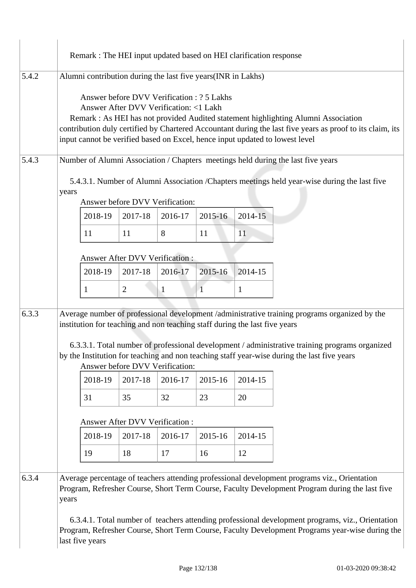|       |       | Remark: The HEI input updated based on HEI clarification response          |                                        |         |                                            |         |                                                                                                                                                                                                                                                                                                |
|-------|-------|----------------------------------------------------------------------------|----------------------------------------|---------|--------------------------------------------|---------|------------------------------------------------------------------------------------------------------------------------------------------------------------------------------------------------------------------------------------------------------------------------------------------------|
| 5.4.2 |       | Alumni contribution during the last five years(INR in Lakhs)               |                                        |         |                                            |         |                                                                                                                                                                                                                                                                                                |
|       |       |                                                                            | Answer After DVV Verification: <1 Lakh |         | Answer before DVV Verification : ? 5 Lakhs |         | Remark: As HEI has not provided Audited statement highlighting Alumni Association                                                                                                                                                                                                              |
|       |       |                                                                            |                                        |         |                                            |         | contribution duly certified by Chartered Accountant during the last five years as proof to its claim, its<br>input cannot be verified based on Excel, hence input updated to lowest level                                                                                                      |
| 5.4.3 |       |                                                                            |                                        |         |                                            |         | Number of Alumni Association / Chapters meetings held during the last five years                                                                                                                                                                                                               |
|       | years |                                                                            |                                        |         |                                            |         | 5.4.3.1. Number of Alumni Association / Chapters meetings held year-wise during the last five                                                                                                                                                                                                  |
|       |       |                                                                            | Answer before DVV Verification:        |         |                                            |         |                                                                                                                                                                                                                                                                                                |
|       |       | 2018-19                                                                    | 2017-18                                | 2016-17 | 2015-16                                    | 2014-15 |                                                                                                                                                                                                                                                                                                |
|       |       | 11                                                                         | 11                                     | 8       | 11                                         | 11      |                                                                                                                                                                                                                                                                                                |
|       |       |                                                                            | Answer After DVV Verification :        |         |                                            |         |                                                                                                                                                                                                                                                                                                |
|       |       | 2018-19                                                                    | 2017-18                                | 2016-17 | 2015-16                                    | 2014-15 |                                                                                                                                                                                                                                                                                                |
|       |       | 1                                                                          | $\overline{2}$                         | 1       | 1                                          | 1       |                                                                                                                                                                                                                                                                                                |
| 6.3.3 |       | institution for teaching and non teaching staff during the last five years | Answer before DVV Verification:        |         |                                            |         | Average number of professional development /administrative training programs organized by the<br>6.3.3.1. Total number of professional development / administrative training programs organized<br>by the Institution for teaching and non teaching staff year-wise during the last five years |
|       |       | 2018-19                                                                    | 2017-18                                | 2016-17 | 2015-16                                    | 2014-15 |                                                                                                                                                                                                                                                                                                |
|       |       | 31                                                                         | 35                                     | 32      | 23                                         | 20      |                                                                                                                                                                                                                                                                                                |
|       |       |                                                                            | Answer After DVV Verification :        |         |                                            |         |                                                                                                                                                                                                                                                                                                |
|       |       | 2018-19                                                                    | 2017-18                                | 2016-17 | 2015-16                                    | 2014-15 |                                                                                                                                                                                                                                                                                                |
|       |       | 19                                                                         | 18                                     | 17      | 16                                         | 12      |                                                                                                                                                                                                                                                                                                |
| 6.3.4 | years |                                                                            |                                        |         |                                            |         | Average percentage of teachers attending professional development programs viz., Orientation<br>Program, Refresher Course, Short Term Course, Faculty Development Program during the last five                                                                                                 |
|       |       | last five years                                                            |                                        |         |                                            |         | 6.3.4.1. Total number of teachers attending professional development programs, viz., Orientation<br>Program, Refresher Course, Short Term Course, Faculty Development Programs year-wise during the                                                                                            |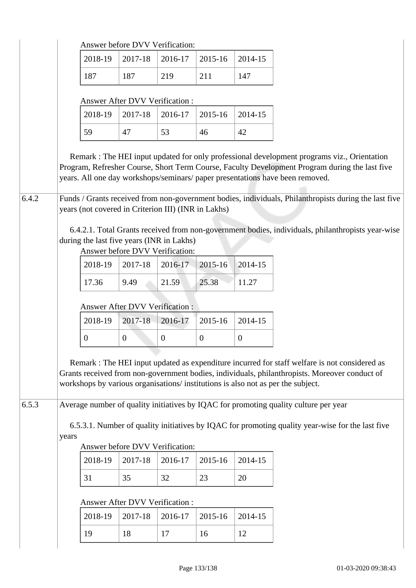|       |       |                  | Answer before DVV Verification:                                                                                                                                                                                                                                                |                  |                  |                  |
|-------|-------|------------------|--------------------------------------------------------------------------------------------------------------------------------------------------------------------------------------------------------------------------------------------------------------------------------|------------------|------------------|------------------|
|       |       | 2018-19          | 2017-18                                                                                                                                                                                                                                                                        | 2016-17          | 2015-16          | 2014-15          |
|       |       | 187              | 187                                                                                                                                                                                                                                                                            | 219              | 211              | 147              |
|       |       |                  | Answer After DVV Verification:                                                                                                                                                                                                                                                 |                  |                  |                  |
|       |       | 2018-19          | 2017-18                                                                                                                                                                                                                                                                        | 2016-17          | 2015-16          | 2014-15          |
|       |       | 59               | 47                                                                                                                                                                                                                                                                             | 53               | 46               | 42               |
|       |       |                  | Remark : The HEI input updated for only professional development programs viz., Orientation<br>Program, Refresher Course, Short Term Course, Faculty Development Program during the last five<br>years. All one day workshops/seminars/ paper presentations have been removed. |                  |                  |                  |
| 6.4.2 |       |                  | Funds / Grants received from non-government bodies, individuals, Philanthropists during the last five<br>years (not covered in Criterion III) (INR in Lakhs)                                                                                                                   |                  |                  |                  |
|       |       |                  | 6.4.2.1. Total Grants received from non-government bodies, individuals, philanthropists year-wise                                                                                                                                                                              |                  |                  |                  |
|       |       |                  | during the last five years (INR in Lakhs)<br>Answer before DVV Verification:                                                                                                                                                                                                   |                  |                  |                  |
|       |       | 2018-19          | 2017-18                                                                                                                                                                                                                                                                        | 2016-17          | 2015-16          | 2014-15          |
|       |       | 17.36            | 9.49                                                                                                                                                                                                                                                                           | 21.59            | 25.38            | 11.27            |
|       |       |                  | Answer After DVV Verification:                                                                                                                                                                                                                                                 |                  |                  |                  |
|       |       | 2018-19          | 2017-18                                                                                                                                                                                                                                                                        | 2016-17          | 2015-16          | 2014-15          |
|       |       | $\boldsymbol{0}$ | $\boldsymbol{0}$                                                                                                                                                                                                                                                               | $\boldsymbol{0}$ | $\boldsymbol{0}$ | $\boldsymbol{0}$ |
|       |       |                  | Remark : The HEI input updated as expenditure incurred for staff welfare is not considered as<br>Grants received from non-government bodies, individuals, philanthropists. Moreover conduct of                                                                                 |                  |                  |                  |
|       |       |                  | workshops by various organisations/institutions is also not as per the subject.                                                                                                                                                                                                |                  |                  |                  |
|       |       |                  | Average number of quality initiatives by IQAC for promoting quality culture per year                                                                                                                                                                                           |                  |                  |                  |
|       | years |                  | 6.5.3.1. Number of quality initiatives by IQAC for promoting quality year-wise for the last five                                                                                                                                                                               |                  |                  |                  |
|       |       | 2018-19          | Answer before DVV Verification:<br>2017-18                                                                                                                                                                                                                                     | 2016-17          | 2015-16          | 2014-15          |
|       |       | 31               | 35                                                                                                                                                                                                                                                                             | 32               | 23               | 20               |
|       |       |                  |                                                                                                                                                                                                                                                                                |                  |                  |                  |
| 6.5.3 |       | 2018-19          | Answer After DVV Verification :<br>2017-18                                                                                                                                                                                                                                     | 2016-17          | 2015-16          | 2014-15          |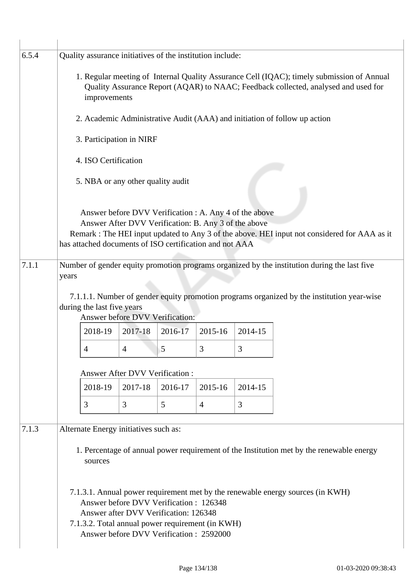| 6.5.4 |       |                            |                                                                                                                             |         | Quality assurance initiatives of the institution include:                                                                                                                 |                |                                                                                                                                                                                 |
|-------|-------|----------------------------|-----------------------------------------------------------------------------------------------------------------------------|---------|---------------------------------------------------------------------------------------------------------------------------------------------------------------------------|----------------|---------------------------------------------------------------------------------------------------------------------------------------------------------------------------------|
|       |       | improvements               |                                                                                                                             |         |                                                                                                                                                                           |                | 1. Regular meeting of Internal Quality Assurance Cell (IQAC); timely submission of Annual<br>Quality Assurance Report (AQAR) to NAAC; Feedback collected, analysed and used for |
|       |       |                            |                                                                                                                             |         |                                                                                                                                                                           |                | 2. Academic Administrative Audit (AAA) and initiation of follow up action                                                                                                       |
|       |       |                            | 3. Participation in NIRF                                                                                                    |         |                                                                                                                                                                           |                |                                                                                                                                                                                 |
|       |       | 4. ISO Certification       |                                                                                                                             |         |                                                                                                                                                                           |                |                                                                                                                                                                                 |
|       |       |                            | 5. NBA or any other quality audit                                                                                           |         |                                                                                                                                                                           |                |                                                                                                                                                                                 |
|       |       |                            |                                                                                                                             |         | Answer before DVV Verification : A. Any 4 of the above<br>Answer After DVV Verification: B. Any 3 of the above<br>has attached documents of ISO certification and not AAA |                | Remark : The HEI input updated to Any 3 of the above. HEI input not considered for AAA as it                                                                                    |
| 7.1.1 | years |                            |                                                                                                                             |         |                                                                                                                                                                           |                | Number of gender equity promotion programs organized by the institution during the last five                                                                                    |
|       |       | during the last five years | Answer before DVV Verification:                                                                                             |         |                                                                                                                                                                           |                | 7.1.1.1. Number of gender equity promotion programs organized by the institution year-wise                                                                                      |
|       |       | 2018-19                    | 2017-18                                                                                                                     | 2016-17 | 2015-16                                                                                                                                                                   | 2014-15        |                                                                                                                                                                                 |
|       |       | 4                          | $\overline{4}$                                                                                                              | 5       | 3                                                                                                                                                                         | 3              |                                                                                                                                                                                 |
|       |       |                            | Answer After DVV Verification :                                                                                             |         |                                                                                                                                                                           |                |                                                                                                                                                                                 |
|       |       | 2018-19                    | 2017-18                                                                                                                     | 2016-17 | 2015-16                                                                                                                                                                   | 2014-15        |                                                                                                                                                                                 |
|       |       | 3                          | 3                                                                                                                           | 5       | $\overline{4}$                                                                                                                                                            | $\overline{3}$ |                                                                                                                                                                                 |
| 7.1.3 |       |                            | Alternate Energy initiatives such as:                                                                                       |         |                                                                                                                                                                           |                |                                                                                                                                                                                 |
|       |       | sources                    |                                                                                                                             |         |                                                                                                                                                                           |                | 1. Percentage of annual power requirement of the Institution met by the renewable energy                                                                                        |
|       |       |                            | Answer before DVV Verification: 126348<br>Answer after DVV Verification: 126348<br>Answer before DVV Verification : 2592000 |         | 7.1.3.2. Total annual power requirement (in KWH)                                                                                                                          |                | 7.1.3.1. Annual power requirement met by the renewable energy sources (in KWH)                                                                                                  |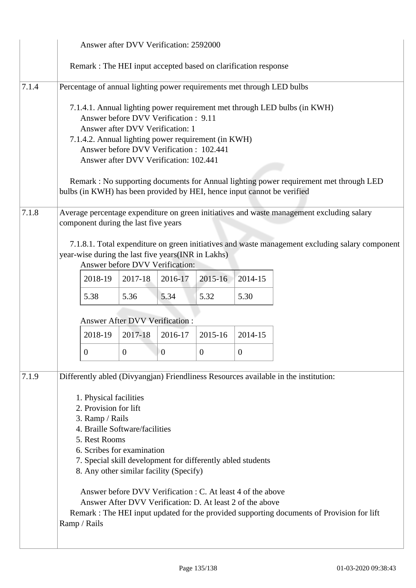|       | Answer after DVV Verification: 2592000                                                                                                                                                                                                                                        |                                            |                |                |                                                                                                                          |                                                                                                                                                                                              |
|-------|-------------------------------------------------------------------------------------------------------------------------------------------------------------------------------------------------------------------------------------------------------------------------------|--------------------------------------------|----------------|----------------|--------------------------------------------------------------------------------------------------------------------------|----------------------------------------------------------------------------------------------------------------------------------------------------------------------------------------------|
|       |                                                                                                                                                                                                                                                                               |                                            |                |                | Remark : The HEI input accepted based on clarification response                                                          |                                                                                                                                                                                              |
| 7.1.4 |                                                                                                                                                                                                                                                                               |                                            |                |                | Percentage of annual lighting power requirements met through LED bulbs                                                   |                                                                                                                                                                                              |
|       | Answer before DVV Verification: 9.11<br>Answer after DVV Verification: 1<br>7.1.4.2. Annual lighting power requirement (in KWH)<br>Answer before DVV Verification: 102.441<br>Answer after DVV Verification: 102.441                                                          |                                            |                |                |                                                                                                                          | 7.1.4.1. Annual lighting power requirement met through LED bulbs (in KWH)                                                                                                                    |
|       |                                                                                                                                                                                                                                                                               |                                            |                |                | bulbs (in KWH) has been provided by HEI, hence input cannot be verified                                                  | Remark: No supporting documents for Annual lighting power requirement met through LED                                                                                                        |
| 7.1.8 | component during the last five years<br>year-wise during the last five years(INR in Lakhs)                                                                                                                                                                                    |                                            |                |                |                                                                                                                          | Average percentage expenditure on green initiatives and waste management excluding salary<br>7.1.8.1. Total expenditure on green initiatives and waste management excluding salary component |
|       | 2018-19                                                                                                                                                                                                                                                                       | Answer before DVV Verification:<br>2017-18 | 2016-17        | 2015-16        | 2014-15                                                                                                                  |                                                                                                                                                                                              |
|       | 5.38                                                                                                                                                                                                                                                                          | 5.36                                       | 5.34           | 5.32           | 5.30                                                                                                                     |                                                                                                                                                                                              |
|       |                                                                                                                                                                                                                                                                               | Answer After DVV Verification:             |                |                |                                                                                                                          |                                                                                                                                                                                              |
|       | 2018-19                                                                                                                                                                                                                                                                       | 2017-18                                    | 2016-17        | 2015-16        | 2014-15                                                                                                                  |                                                                                                                                                                                              |
|       | $\overline{0}$                                                                                                                                                                                                                                                                | $\mathbf{0}$                               | $\overline{0}$ | $\overline{0}$ | $\boldsymbol{0}$                                                                                                         |                                                                                                                                                                                              |
| 7.1.9 | 1. Physical facilities<br>2. Provision for lift<br>3. Ramp / Rails<br>4. Braille Software/facilities<br>5. Rest Rooms<br>6. Scribes for examination<br>7. Special skill development for differently abled students<br>8. Any other similar facility (Specify)<br>Ramp / Rails |                                            |                |                | Answer before DVV Verification : C. At least 4 of the above<br>Answer After DVV Verification: D. At least 2 of the above | Differently abled (Divyangjan) Friendliness Resources available in the institution:<br>Remark : The HEI input updated for the provided supporting documents of Provision for lift            |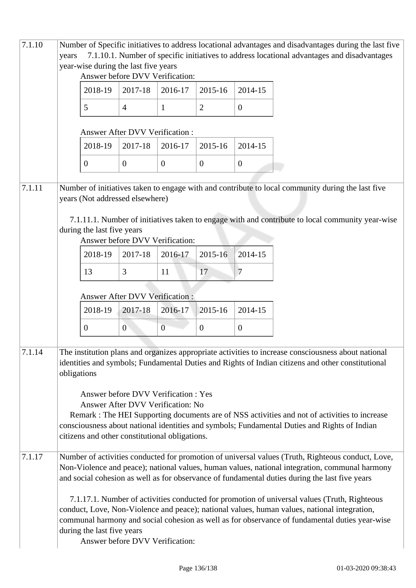| 7.1.10 |             |                                                |                                       |                                                                           |                |                | Number of Specific initiatives to address locational advantages and disadvantages during the last five                                                                                                                                                                                                |
|--------|-------------|------------------------------------------------|---------------------------------------|---------------------------------------------------------------------------|----------------|----------------|-------------------------------------------------------------------------------------------------------------------------------------------------------------------------------------------------------------------------------------------------------------------------------------------------------|
|        | years       |                                                |                                       |                                                                           |                |                | 7.1.10.1. Number of specific initiatives to address locational advantages and disadvantages                                                                                                                                                                                                           |
|        |             | year-wise during the last five years           |                                       | Answer before DVV Verification:                                           |                |                |                                                                                                                                                                                                                                                                                                       |
|        |             | 2018-19                                        | 2017-18                               | 2016-17                                                                   | 2015-16        | 2014-15        |                                                                                                                                                                                                                                                                                                       |
|        |             | 5                                              | $\overline{4}$                        | $\mathbf{1}$                                                              | $\overline{2}$ | $\mathbf{0}$   |                                                                                                                                                                                                                                                                                                       |
|        |             |                                                | <b>Answer After DVV Verification:</b> |                                                                           |                |                |                                                                                                                                                                                                                                                                                                       |
|        |             | 2018-19                                        | 2017-18                               | 2016-17                                                                   | 2015-16        | 2014-15        |                                                                                                                                                                                                                                                                                                       |
|        |             | $\theta$                                       | $\mathbf{0}$                          | $\overline{0}$                                                            | $\overline{0}$ | $\mathbf{0}$   |                                                                                                                                                                                                                                                                                                       |
| 7.1.11 |             | years (Not addressed elsewhere)                |                                       |                                                                           |                |                | Number of initiatives taken to engage with and contribute to local community during the last five<br>7.1.11.1. Number of initiatives taken to engage with and contribute to local community year-wise                                                                                                 |
|        |             | during the last five years                     |                                       | Answer before DVV Verification:                                           |                |                |                                                                                                                                                                                                                                                                                                       |
|        |             | 2018-19                                        | 2017-18                               | 2016-17                                                                   | 2015-16        | 2014-15        |                                                                                                                                                                                                                                                                                                       |
|        |             | 13                                             | 3                                     | 11                                                                        | 17             | 7              |                                                                                                                                                                                                                                                                                                       |
|        |             |                                                |                                       | <b>Answer After DVV Verification:</b>                                     |                |                |                                                                                                                                                                                                                                                                                                       |
|        |             | 2018-19                                        | 2017-18                               | 2016-17                                                                   | 2015-16        | 2014-15        |                                                                                                                                                                                                                                                                                                       |
|        |             | $\overline{0}$                                 | $\overline{0}$                        | $\overline{0}$                                                            | $\overline{0}$ | $\overline{0}$ |                                                                                                                                                                                                                                                                                                       |
| 7.1.14 | obligations |                                                |                                       |                                                                           |                |                | The institution plans and organizes appropriate activities to increase consciousness about national<br>identities and symbols; Fundamental Duties and Rights of Indian citizens and other constitutional                                                                                              |
|        |             |                                                |                                       | Answer before DVV Verification : Yes<br>Answer After DVV Verification: No |                |                | Remark : The HEI Supporting documents are of NSS activities and not of activities to increase                                                                                                                                                                                                         |
|        |             | citizens and other constitutional obligations. |                                       |                                                                           |                |                | consciousness about national identities and symbols; Fundamental Duties and Rights of Indian                                                                                                                                                                                                          |
| 7.1.17 |             |                                                |                                       |                                                                           |                |                | Number of activities conducted for promotion of universal values (Truth, Righteous conduct, Love,<br>Non-Violence and peace); national values, human values, national integration, communal harmony<br>and social cohesion as well as for observance of fundamental duties during the last five years |
|        |             | during the last five years                     |                                       | Answer before DVV Verification:                                           |                |                | 7.1.17.1. Number of activities conducted for promotion of universal values (Truth, Righteous<br>conduct, Love, Non-Violence and peace); national values, human values, national integration,<br>communal harmony and social cohesion as well as for observance of fundamental duties year-wise        |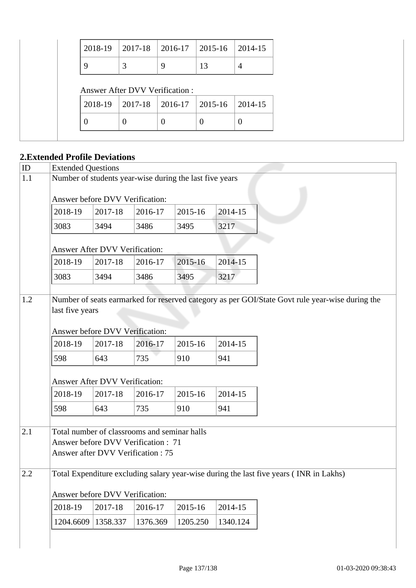| 2018-19                         | 2017-18 | 2016-17 | 2015-16 | 2014-15 |
|---------------------------------|---------|---------|---------|---------|
| 9                               | 3       | 9       | 13      | 4       |
| Answer After DVV Verification : |         |         |         |         |
| 2018-19                         | 2017-18 | 2016-17 | 2015-16 | 2014-15 |
|                                 |         |         |         |         |

# **2.Extended Profile Deviations**

| ID      | <b>Extended Questions</b>                               |         |                                                                                    |                                                                                                 |         |  |  |  |  |
|---------|---------------------------------------------------------|---------|------------------------------------------------------------------------------------|-------------------------------------------------------------------------------------------------|---------|--|--|--|--|
| 1.1     | Number of students year-wise during the last five years |         |                                                                                    |                                                                                                 |         |  |  |  |  |
|         | Answer before DVV Verification:                         |         |                                                                                    |                                                                                                 |         |  |  |  |  |
|         | 2018-19                                                 | 2017-18 | 2016-17                                                                            | 2015-16                                                                                         | 2014-15 |  |  |  |  |
|         | 3083                                                    | 3494    | 3486                                                                               | 3495                                                                                            | 3217    |  |  |  |  |
|         |                                                         |         |                                                                                    |                                                                                                 |         |  |  |  |  |
|         | <b>Answer After DVV Verification:</b>                   |         |                                                                                    |                                                                                                 |         |  |  |  |  |
|         | 2018-19                                                 | 2017-18 | 2016-17                                                                            | 2015-16                                                                                         | 2014-15 |  |  |  |  |
|         | 3083                                                    | 3494    | 3486                                                                               | 3495                                                                                            | 3217    |  |  |  |  |
|         |                                                         |         |                                                                                    |                                                                                                 |         |  |  |  |  |
| 1.2     | last five years                                         |         |                                                                                    | Number of seats earmarked for reserved category as per GOI/State Govt rule year-wise during the |         |  |  |  |  |
|         | Answer before DVV Verification:                         |         |                                                                                    |                                                                                                 |         |  |  |  |  |
|         |                                                         |         |                                                                                    |                                                                                                 |         |  |  |  |  |
|         | 2018-19                                                 | 2017-18 | 2016-17                                                                            | 2015-16                                                                                         | 2014-15 |  |  |  |  |
|         | 598                                                     | 643     | 735                                                                                | 910                                                                                             | 941     |  |  |  |  |
|         |                                                         |         |                                                                                    |                                                                                                 |         |  |  |  |  |
|         | <b>Answer After DVV Verification:</b>                   |         |                                                                                    |                                                                                                 |         |  |  |  |  |
|         | 2018-19                                                 | 2017-18 | 2016-17                                                                            | 2015-16                                                                                         | 2014-15 |  |  |  |  |
|         | 598                                                     | 643     | 735                                                                                | 910                                                                                             | 941     |  |  |  |  |
|         |                                                         |         |                                                                                    |                                                                                                 |         |  |  |  |  |
|         |                                                         |         | Total number of classrooms and seminar halls<br>Answer before DVV Verification: 71 |                                                                                                 |         |  |  |  |  |
| 2.1     |                                                         |         | Answer after DVV Verification: 75                                                  |                                                                                                 |         |  |  |  |  |
|         |                                                         |         |                                                                                    |                                                                                                 |         |  |  |  |  |
| $2.2\,$ |                                                         |         |                                                                                    | Total Expenditure excluding salary year-wise during the last five years (INR in Lakhs)          |         |  |  |  |  |
|         | Answer before DVV Verification:                         |         |                                                                                    |                                                                                                 |         |  |  |  |  |
|         | 2018-19                                                 | 2017-18 | 2016-17                                                                            | 2015-16                                                                                         | 2014-15 |  |  |  |  |